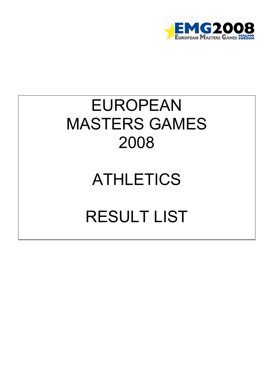

## EUROPEAN MASTERS GAMES 2008

## ATHLETICS

## RESULT LIST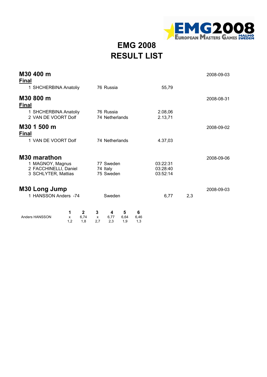

**EMG 2008 RESULT LIST**

| M30 400 m<br><b>Final</b>                                                        |                                              |                                                       |                                  |     | 2008-09-03 |
|----------------------------------------------------------------------------------|----------------------------------------------|-------------------------------------------------------|----------------------------------|-----|------------|
| 1 SHCHERBINA Anatoliy                                                            |                                              | 76 Russia                                             | 55,79                            |     |            |
| M30 800 m<br><b>Final</b>                                                        |                                              |                                                       |                                  |     | 2008-08-31 |
| 1 SHCHERBINA Anatoliy<br>2 VAN DE VOORT Dolf                                     |                                              | 76 Russia<br>74 Netherlands                           | 2.08,06<br>2.13,71               |     |            |
| M30 1 500 m<br><b>Final</b>                                                      |                                              |                                                       |                                  |     | 2008-09-02 |
| 1 VAN DE VOORT Dolf                                                              |                                              | 74 Netherlands                                        | 4.37,03                          |     |            |
| M30 marathon<br>1 MAGNOY, Magnus<br>2 FACCHINELLI, Daniel<br>3 SCHLYTER, Mattias |                                              | 77 Sweden<br>74 Italy<br>75 Sweden                    | 03:22:31<br>03:28:40<br>03:52:14 |     | 2008-09-06 |
| M30 Long Jump<br>1 HANSSON Anders -74                                            |                                              | Sweden                                                | 6,77                             | 2,3 | 2008-09-03 |
| Anders HANSSON                                                                   | $\mathbf{2}$<br>1<br>6,74<br>X<br>1.2<br>1.8 | 3<br>5<br>4<br>6,64<br>6,77<br>X<br>2.7<br>2.3<br>1.9 | 6<br>6,46<br>1.3                 |     |            |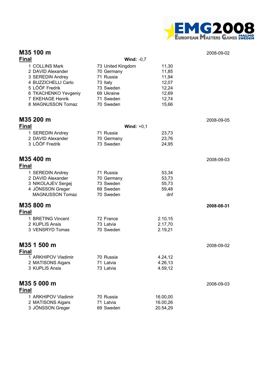

| M35 100 m                                                                                                                                                         |                                                                                                               |                                                                      | 2008-09-02 |
|-------------------------------------------------------------------------------------------------------------------------------------------------------------------|---------------------------------------------------------------------------------------------------------------|----------------------------------------------------------------------|------------|
| <b>Final</b>                                                                                                                                                      | Wind: $-0,7$                                                                                                  |                                                                      |            |
| 1 COLLINS Mark<br>2 DAVID Alexander<br>3 SEREDIN Andrey<br>4 BUZZICHELLI Carlo<br>5 LÖÖF Fredrik<br>6 TKACHENKO Yevgeniy<br>7 EKEHAGE Henrik<br>8 MAGNUSSON Tomaz | 73 United Kingdom<br>70 Germany<br>71 Russia<br>73 Italy<br>73 Sweden<br>69 Ukraine<br>71 Sweden<br>70 Sweden | 11,30<br>11,85<br>11,94<br>12,07<br>12,24<br>12,69<br>12,74<br>15,66 |            |
| M35 200 m                                                                                                                                                         |                                                                                                               |                                                                      | 2008-09-05 |
| <b>Final</b>                                                                                                                                                      | Wind: $+0,1$                                                                                                  |                                                                      |            |
| 1 SEREDIN Andrey<br>2 DAVID Alexander<br>3 LÖÖF Fredrik                                                                                                           | 71 Russia<br>70 Germany<br>73 Sweden                                                                          | 23,73<br>23,76<br>24,95                                              |            |
| M35 400 m<br><b>Final</b>                                                                                                                                         |                                                                                                               |                                                                      | 2008-09-03 |
| 1 SEREDIN Andrey<br>2 DAVID Alexander<br>3 NIKOLAJEV Sergej<br>4 JÖNSSON Greger<br><b>MAGNUSSON Tomaz</b>                                                         | 71 Russia<br>70 Germany<br>73 Sweden<br>69 Sweden<br>70 Sweden                                                | 53,34<br>53,73<br>55,73<br>59,48<br>dnf                              |            |
| M35 800 m<br><b>Final</b>                                                                                                                                         |                                                                                                               |                                                                      | 2008-08-31 |
| 1 BRETING Vincent<br>2 KUPLIS Ansis<br>3 VENSRYD Tomas                                                                                                            | 72 France<br>73 Latvia<br>70 Sweden                                                                           | 2.10,15<br>2.17,70<br>2.19,21                                        |            |
| M35 1 500 m<br><b>Final</b>                                                                                                                                       |                                                                                                               |                                                                      | 2008-09-02 |
| 1 ARKHIPOV Vladimir<br>2 MATISONS Aigars<br>3 KUPLIS Ansis                                                                                                        | 70 Russia<br>71 Latvia<br>73 Latvia                                                                           | 4.24,12<br>4.26,13<br>4.59,12                                        |            |
| M35 5 000 m<br><b>Final</b>                                                                                                                                       |                                                                                                               |                                                                      | 2008-09-03 |
| 1 ARKHIPOV Vladimir<br>2 MATISONS Aigars<br>3 JÖNSSON Greger                                                                                                      | 70 Russia<br>71 Latvia<br>69 Sweden                                                                           | 16.00,00<br>16.00,26<br>20.54,29                                     |            |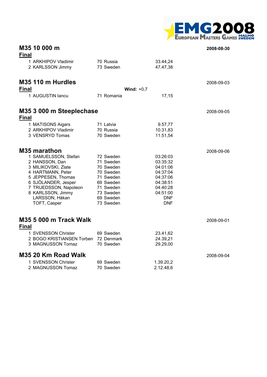

| M35 10 000 m<br><b>Final</b>                                                                                                                                                                                                           |                                                                                                                                |                                                                                                                          | 2008-08-30 |
|----------------------------------------------------------------------------------------------------------------------------------------------------------------------------------------------------------------------------------------|--------------------------------------------------------------------------------------------------------------------------------|--------------------------------------------------------------------------------------------------------------------------|------------|
| 1 ARKHIPOV Vladimir<br>2 KARLSSON Jimmy                                                                                                                                                                                                | 70 Russia<br>73 Sweden                                                                                                         | 33.44,24<br>47.47,38                                                                                                     |            |
| M35 110 m Hurdles<br><b>Final</b>                                                                                                                                                                                                      |                                                                                                                                | Wind: $+0.7$                                                                                                             | 2008-09-03 |
| 1 AUGUSTIN lancu                                                                                                                                                                                                                       | 71 Romania                                                                                                                     | 17,15                                                                                                                    |            |
| M35 3 000 m Steeplechase<br><b>Final</b>                                                                                                                                                                                               |                                                                                                                                |                                                                                                                          | 2008-09-05 |
| 1 MATISONS Aigars<br>2 ARKHIPOV Vladimir<br>3 VENSRYD Tomas                                                                                                                                                                            | 71 Latvia<br>70 Russia<br>70 Sweden                                                                                            | 9.57,77<br>10.31,83<br>11.51,54                                                                                          |            |
| <b>M35 marathon</b><br>1 SAMUELSSON, Stefan<br>2 HANSSON, Dan<br>3 MILIKOVSKI, Zlate<br>4 HARTMANN, Peter<br>5 JEPPESEN, Thomas<br>6 SJÖLANDER, Jesper<br>7 TRUEDSSON, Napoleon<br>8 KARLSSON, Jimmy<br>LARSSON, Håkan<br>TOFT, Casper | 72 Sweden<br>71 Sweden<br>70 Sweden<br>70 Sweden<br>71 Sweden<br>69 Sweden<br>71 Sweden<br>73 Sweden<br>69 Sweden<br>73 Sweden | 03:26:03<br>03:35:32<br>04:01:06<br>04:37:04<br>04:37:06<br>04:38:51<br>04:40:28<br>04:51:00<br><b>DNF</b><br><b>DNF</b> | 2008-09-06 |
| <b>M35 5 000 m Track Walk</b><br><b>Final</b>                                                                                                                                                                                          |                                                                                                                                |                                                                                                                          | 2008-09-01 |
| 1 SVENSSON Christer<br>2 BOGO KRISTIANSEN Torben 72 Denmark<br>3 MAGNUSSON Tomaz                                                                                                                                                       | 69 Sweden<br>70 Sweden                                                                                                         | 23.41,62<br>24.39,21<br>29.29,00                                                                                         |            |
| M35 20 Km Road Walk                                                                                                                                                                                                                    |                                                                                                                                |                                                                                                                          | 2008-09-04 |
| 1 SVENSSON Christer<br>2 MAGNUSSON Tomaz                                                                                                                                                                                               | 69 Sweden<br>70 Sweden                                                                                                         | 1.39.20,2<br>2.12.48,6                                                                                                   |            |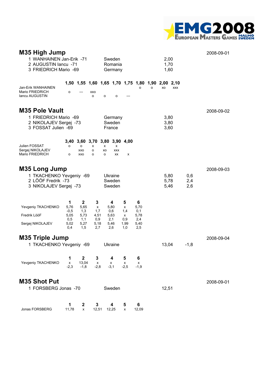

| M35 High Jump<br>1 WANHAINEN Jan-Erik -71<br>2 AUGUSTIN Iancu -71<br>3 FRIEDRICH Mario -69      |                                                   |                                                           |                                             |              | Sweden<br>Romania<br>Germany                   |                                          |                                                |                 | 2,00<br>1,70<br>1,60 |                    |                   | 2008-09-01 |
|-------------------------------------------------------------------------------------------------|---------------------------------------------------|-----------------------------------------------------------|---------------------------------------------|--------------|------------------------------------------------|------------------------------------------|------------------------------------------------|-----------------|----------------------|--------------------|-------------------|------------|
| Jan-Erik WANHAINEN                                                                              | 1,50                                              | 1,55                                                      | 1,60 1,65 1,70 1,75 1,80                    |              |                                                |                                          | o                                              | 1,90<br>$\circ$ | 2,00<br>XO           | 2,10<br><b>XXX</b> |                   |            |
| Mario FRIEDRICH<br><b>Iancu AUGUSTIN</b>                                                        | o                                                 |                                                           | XXO<br>$\circ$                              | o            | o                                              |                                          |                                                |                 |                      |                    |                   |            |
| <b>M35 Pole Vault</b><br>1 FRIEDRICH Mario -69<br>2 NIKOLAJEV Sergej -73<br>3 FOSSAT Julien -69 |                                                   |                                                           |                                             |              | Germany<br>Sweden<br>France                    |                                          |                                                |                 | 3,80<br>3,80<br>3,60 |                    |                   | 2008-09-02 |
| Julien FOSSAT<br>Sergej NIKOLAJEV<br>Mario FRIEDRICH                                            | 3,40<br>o<br>o                                    | o<br>XXO<br>XXO                                           | 3,60 3,70 3,80 3,90 4,00<br>x<br>о<br>o     | x<br>XO<br>o | x<br><b>XXX</b><br>XX                          | x                                        |                                                |                 |                      |                    |                   |            |
| M35 Long Jump<br>1 TKACHENKO Yevgeniy -69<br>2 LÖÖF Fredrik -73<br>3 NIKOLAJEV Sergej -73       |                                                   |                                                           |                                             |              | Ukraine<br>Sweden<br>Sweden                    |                                          |                                                |                 | 5,80<br>5,78<br>5,46 |                    | 0,6<br>2,4<br>2,6 | 2008-09-03 |
| Yevgeniy TKACHENKO<br>Fredrik LööF<br>Sergej NIKOLAJEV                                          | 1<br>5,76<br>$-0,5$<br>5,05<br>0,5<br>5,02<br>0,4 | $\mathbf{2}$<br>5,65<br>1,3<br>5,73<br>1,1<br>5,27<br>1,5 | 3<br>x<br>1,7<br>4,51<br>0,9<br>5,18<br>2,7 |              | 4<br>5,80<br>0,6<br>5,63<br>2,1<br>5,46<br>2,6 | 5<br>x<br>1,4<br>x<br>0,9<br>1,99<br>1,0 | 6<br>5,70<br>0,1<br>5,78<br>2,4<br>5,40<br>2,5 |                 |                      |                    |                   |            |
| <b>M35 Triple Jump</b><br>1 TKACHENKO Yevgeniy -69                                              |                                                   |                                                           |                                             |              | Ukraine                                        |                                          |                                                |                 | 13,04                |                    | $-1,8$            | 2008-09-04 |
| Yevgeniy TKACHENKO                                                                              | 1<br>x<br>$-2,3$                                  | $\mathbf{2}$<br>13,04<br>$-1,8$                           | 3<br>x<br>$-2,8$                            |              | 4<br>x<br>$-3,1$                               | 5<br>x<br>$-2,5$                         | 6<br>x<br>$-1,9$                               |                 |                      |                    |                   |            |
| <b>M35 Shot Put</b><br>1 FORSBERG Jonas -70                                                     |                                                   |                                                           |                                             |              | Sweden                                         |                                          |                                                |                 | 12,51                |                    |                   | 2008-09-01 |
| Jonas FORSBERG                                                                                  | 1<br>11,78                                        | 2<br>x                                                    | 3<br>12,51                                  |              | 4<br>12,25                                     | 5<br>x                                   | 6<br>12,09                                     |                 |                      |                    |                   |            |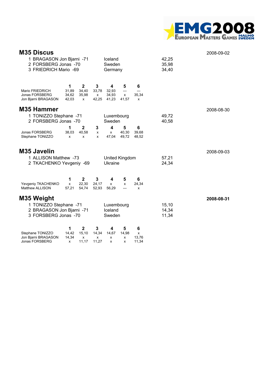

| <b>M35 Discus</b>                              |                |                |                       |                         |                |                |                | 2008-09-02 |
|------------------------------------------------|----------------|----------------|-----------------------|-------------------------|----------------|----------------|----------------|------------|
| 1 BRAGASON Jon Bjarni -71                      |                |                |                       | Iceland                 |                |                | 42,25          |            |
| 2 FORSBERG Jonas -70<br>3 FRIEDRICH Mario -69  |                |                |                       | Sweden<br>Germany       |                |                | 35,98<br>34,40 |            |
|                                                |                |                |                       |                         |                |                |                |            |
|                                                | 1              | $\mathbf{2}$   | 3                     | 4                       | 5              | 6              |                |            |
| Mario FRIEDRICH<br>Jonas FORSBERG              | 31,89<br>34,62 | 34,40<br>35,98 | 33,78<br>$\mathsf{x}$ | 32,93<br>34,93          | ---<br>x       | ---<br>35,34   |                |            |
| Jon Bjarni BRAGASON                            | 42,03          | x              | 42,25                 | 41,23                   | 41,57          | X              |                |            |
| M35 Hammer                                     |                |                |                       |                         |                |                |                | 2008-08-30 |
| 1 TONIZZO Stephane -71<br>2 FORSBERG Jonas -70 |                |                |                       | Luxembourg<br>Sweden    |                |                | 49,72<br>40,58 |            |
| Jonas FORSBERG                                 | 1              | $\mathbf 2$    | 3                     | $\overline{\mathbf{4}}$ | 5              | 6              |                |            |
| Stephane TONIZZO                               | 38,03<br>x     | 40,58<br>x     | x<br>x                | x<br>47,04              | 40,30<br>49,72 | 39,68<br>48,52 |                |            |
| <b>M35 Javelin</b>                             |                |                |                       |                         |                |                |                | 2008-09-03 |
| 1 ALLISON Matthew -73                          |                |                |                       |                         | United Kingdom |                | 57,21          |            |
| 2 TKACHENKO Yevgeniy -69                       |                |                |                       | Ukraine                 |                |                | 24,34          |            |
|                                                | 1              | $\mathbf{2}$   | 3                     | 4                       | 5              | 6              |                |            |
| Yevgeniy TKACHENKO<br>Matthew ALLISON          | x<br>57,21     | 22.30<br>54,74 | 24,17<br>52,93        | x<br>56,29              | x<br>---       | 24,34<br>X     |                |            |
| M35 Weight                                     |                |                |                       |                         |                |                |                | 2008-08-31 |
| 1 TONIZZO Stephane -71                         |                |                |                       | Luxembourg              |                |                | 15,10          |            |
| 2 BRAGASON Jon Bjarni -71                      |                |                |                       | Iceland                 |                |                | 14,34          |            |
| 3 FORSBERG Jonas -70                           |                |                |                       | Sweden                  |                |                | 11,34          |            |
|                                                | 1              | $\mathbf{2}$   | 3                     | 4                       | 5              | 6              |                |            |
| Stephane TONIZZO<br>Jon Bjarni BRAGASON        | 14.42<br>14,34 | 15,10<br>x     | 14,34<br>x            | 14,67<br>x              | 14,98<br>x     | X<br>13,76     |                |            |
| Jonas FORSBERG                                 | x              | 11,17          | 11,27                 | x                       | x              | 11,34          |                |            |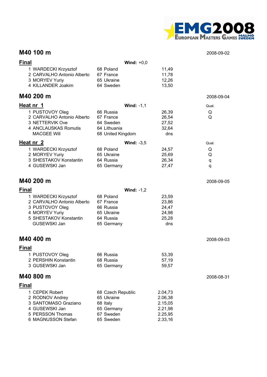

#### **M40 100 m** 2008-09-02

| <b>Final</b>                                                                                                                             | Wind: $+0,0$                                                                        |                                                                |                  |
|------------------------------------------------------------------------------------------------------------------------------------------|-------------------------------------------------------------------------------------|----------------------------------------------------------------|------------------|
| 1 WARDECKI Krzysztof<br>2 CARVALHO Antonio Alberto<br>3 MORYEV Yuriy<br>4 KILLANDER Joakim                                               | 68 Poland<br>67 France<br>65 Ukraine<br>64 Sweden                                   | 11,49<br>11,78<br>12,26<br>13,50                               |                  |
| M40 200 m                                                                                                                                |                                                                                     |                                                                | 2008-09-04       |
| Heat nr 1                                                                                                                                | <b>Wind: -1,1</b>                                                                   |                                                                | Qual.            |
| 1 PUSTOVOY Oleg<br>2 CARVALHO Antonio Alberto<br>3 NETTERVIK Ove<br>4 ANCLAUSKAS Romutis<br><b>MACGEE Will</b>                           | 66 Russia<br>67 France<br>64 Sweden<br>64 Lithuania<br>68 United Kingdom            | 26,39<br>26,54<br>27,52<br>32,64<br>dns                        | Q<br>Q           |
| Heat nr 2                                                                                                                                | <b>Wind: -3,5</b>                                                                   |                                                                | Qual.            |
| 1 WARDECKI Krzysztof<br>2 MORYEV Yuriy<br>3 SHESTAKOV Konstantin<br>4 GUSEWSKI Jan                                                       | 68 Poland<br>65 Ukraine<br>64 Russia<br>65 Germany                                  | 24,57<br>25,69<br>26,34<br>27,47                               | Q<br>Q<br>q<br>q |
| M40 200 m                                                                                                                                |                                                                                     |                                                                | 2008-09-05       |
| <b>Final</b>                                                                                                                             | Wind: $-1,2$                                                                        |                                                                |                  |
| 1 WARDECKI Krzysztof<br>2 CARVALHO Antonio Alberto<br>3 PUSTOVOY Oleg<br>4 MORYEV Yuriy<br>5 SHESTAKOV Konstantin<br><b>GUSEWSKI Jan</b> | 68 Poland<br>67 France<br>66 Russia<br>65 Ukraine<br>64 Russia<br>65 Germany        | 23,59<br>23,86<br>24,47<br>24,98<br>25,28<br>dns               |                  |
| M40 400 m                                                                                                                                |                                                                                     |                                                                | 2008-09-03       |
| <b>Final</b>                                                                                                                             |                                                                                     |                                                                |                  |
| 1 PUSTOVOY Oleg<br>2 PERSHIN Konstantin<br>3 GUSEWSKI Jan                                                                                | 66 Russia<br>68 Russia<br>65 Germany                                                | 53,39<br>57,19<br>59,57                                        |                  |
| M40 800 m                                                                                                                                |                                                                                     |                                                                | 2008-08-31       |
| <b>Final</b>                                                                                                                             |                                                                                     |                                                                |                  |
| 1 CEPEK Robert<br>2 RODNOV Andrey<br>3 SANTOMASO Graziano<br>4 GUSEWSKI Jan<br>5 PERSSON Thomas<br>6 MAGNUSSON Stefan                    | 68 Czech Republic<br>65 Ukraine<br>68 Italy<br>65 Germany<br>67 Sweden<br>65 Sweden | 2.04,73<br>2.06,38<br>2.15,05<br>2.21,98<br>2.25,95<br>2.33,16 |                  |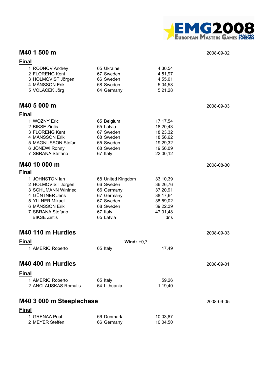

### **M40 1 500 m** 2008-09-02

| <b>Final</b>                         |                         |                      |            |
|--------------------------------------|-------------------------|----------------------|------------|
| 1 RODNOV Andrey                      | 65 Ukraine              | 4.30,54              |            |
| 2 FLORENG Kent                       | 67 Sweden               | 4.51,97              |            |
| 3 HOLMQVIST Jörgen                   | 66 Sweden               | 4.55,01              |            |
| 4 MÅNSSON Erik                       | 68 Sweden               | 5.04,58              |            |
| 5 VOLACEK Jörg                       | 64 Germany              | 5.21,28              |            |
| M40 5 000 m                          |                         |                      | 2008-09-03 |
| <b>Final</b>                         |                         |                      |            |
| 1 WOZNY Eric                         | 65 Belgium              | 17.17,54             |            |
| 2 BIKSE Zintis                       | 65 Latvia               | 18.20,43             |            |
| 3 FLORENG Kent                       | 67 Sweden               | 18.23,32             |            |
| 4 MÅNSSON Erik<br>5 MAGNUSSON Stefan | 68 Sweden<br>65 Sweden  | 18.56,62<br>19.29,32 |            |
| 6 JÖNEWI Ronny                       | 68 Sweden               | 19.56,09             |            |
| 7 SBRANA Stefano                     | 67 Italy                | 22.00,12             |            |
| M40 10 000 m                         |                         |                      | 2008-08-30 |
| <b>Final</b>                         |                         |                      |            |
| 1 JOHNSTON lan                       | 68 United Kingdom       | 33.10,39             |            |
| 2 HOLMQVIST Jorgen                   | 66 Sweden               | 36.26,76             |            |
| 3 SCHUMANN Winfried                  | 66 Germany              | 37.20,91             |            |
| 4 GÜNTNER Jens<br>5 YLLNER Mikael    | 67 Germany<br>67 Sweden | 38.17,64             |            |
| 6 MÅNSSON Erik                       | 68 Sweden               | 38.59,02<br>39.22,39 |            |
| 7 SBRANA Stefano                     | 67 Italy                | 47.01,48             |            |
| <b>BIKSE Zintis</b>                  | 65 Latvia               | dns                  |            |
| M40 110 m Hurdles                    |                         |                      | 2008-09-03 |
| <b>Final</b>                         | Wind: $+0.7$            |                      |            |
| 1 AMERIO Roberto                     | 65 Italy                | 17,49                |            |
| M40 400 m Hurdles                    |                         |                      |            |
|                                      |                         |                      | 2008-09-01 |
| <u>Final</u>                         |                         |                      |            |
| 1 AMERIO Roberto                     | 65 Italy                | 59,26                |            |
| 2 ANCLAUSKAS Romutis                 | 64 Lithuania            | 1.19,40              |            |
| M40 3 000 m Steeplechase             |                         |                      | 2008-09-05 |
| <b>Final</b>                         |                         |                      |            |
| 1 GRENAA Poul                        | 66 Denmark              | 10.03,87             |            |
| 2 MEYER Steffen                      | 66 Germany              | 10.04,50             |            |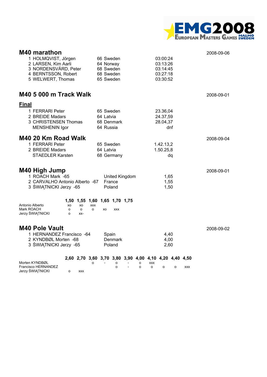

| M40 marathon<br>1 HOLMQVIST, Jörgen<br>2 LARSEN, Kim Aarli<br>3 NORDENSVÄRD, Peter<br>4 BERNTSSON, Robert<br>5 WELWERT, Thomas | 66 Sweden<br>64 Norway<br>68 Sweden<br>68 Sweden<br>65 Sweden                    | 03:00:24<br>03:13:26<br>03:14:45<br>03:27:18<br>03:30:52 | 2008-09-06 |
|--------------------------------------------------------------------------------------------------------------------------------|----------------------------------------------------------------------------------|----------------------------------------------------------|------------|
| <b>M40 5 000 m Track Walk</b>                                                                                                  |                                                                                  |                                                          | 2008-09-01 |
| <b>Final</b><br>1 FERRARI Peter<br>2 BREIDE Madars<br>3 CHRISTENSEN Thomas<br><b>MENSHENIN Igor</b>                            | 65 Sweden<br>64 Latvia<br>68 Denmark<br>64 Russia                                | 23.36,04<br>24.37,59<br>28.04,37<br>dnf                  |            |
| M40 20 Km Road Walk<br>1 FERRARI Peter<br>2 BREIDE Madars<br><b>STAEDLER Karsten</b>                                           | 65 Sweden<br>64 Latvia<br>68 Germany                                             | 1.42.13,2<br>1.50.25,8<br>dq                             | 2008-09-04 |
| <b>M40 High Jump</b><br>1 ROACH Mark -65<br>2 CARVALHO Antonio Alberto -67<br>3 ŚWIĄTNICKI Jerzy -65                           | United Kingdom<br>France<br>Poland                                               | 1,65<br>1,55<br>1,50                                     | 2008-09-01 |
| Antonio Alberto<br>XO<br>XO<br><b>XXX</b><br>Mark ROACH<br>o<br>$\circ$<br>o<br>Jerzy ŚWIĄTNICKI<br>$\Omega$<br>$XX-$          | 1,50 1,55 1,60 1,65 1,70 1,75<br>XO<br><b>XXX</b>                                |                                                          |            |
| <b>M40 Pole Vault</b><br>1 HERNANDEZ Francisco -64<br>2 KYNDBØL Morten -68<br>3 ŚWIĄTNICKI Jerzy -65                           | Spain<br>Denmark<br>Poland                                                       | 4,40<br>4,00<br>2,60                                     | 2008-09-02 |
| Morten KYNDBØL<br>o<br>Francisco HERNANDEZ<br>Jerzy ŚWIĄTNICKI<br>$\Omega$<br><b>XXX</b>                                       | 2,60 2,70 3,60 3,70 3,80 3,90 4,00 4,10 4,20 4,40 4,50<br>о<br>o<br>$\circ$<br>o | <b>XXX</b><br>o<br>o<br><b>XXX</b><br>o                  |            |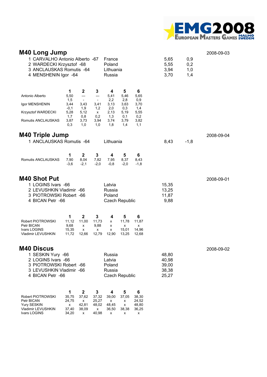

| <b>M40 Long Jump</b><br>1 CARVALHO Antonio Alberto -67<br>2 WARDECKI Krzysztof -68<br>3 ANCLAUSKAS Romutis -64<br>4 MENSHENIN Igor -64  |                                                                  |                                                                                   |                                                    | France<br>Poland<br>Lithuania<br>Russia                       |                                                               |                                                               | 5,65<br>5,55<br>3,94<br>3,70              | 0,9<br>0,2<br>1,0<br>1,4 | 2008-09-03 |
|-----------------------------------------------------------------------------------------------------------------------------------------|------------------------------------------------------------------|-----------------------------------------------------------------------------------|----------------------------------------------------|---------------------------------------------------------------|---------------------------------------------------------------|---------------------------------------------------------------|-------------------------------------------|--------------------------|------------|
| Antonio Alberto<br>Igor MENSHENIN<br>Krzysztof WARDECKI<br>Romutis ANCLAUSKAS                                                           | 1<br>5,50<br>1,5<br>3,44<br>$-0,1$<br>5,28<br>1,7<br>3,87<br>0,3 | 2<br>---<br>$\overline{\phantom{a}}$<br>3,43<br>1,9<br>5,12<br>0,8<br>3,73<br>1,0 | 3<br>---<br>3,41<br>1,2<br>X<br>0,2<br>3,94<br>1,0 | 4<br>5,41<br>2,2<br>3,13<br>2,0<br>2,13<br>1,3<br>3,74<br>1,8 | 5<br>5,46<br>2,8<br>3,63<br>0,3<br>5,19<br>0,1<br>3,79<br>1,4 | 6<br>5,65<br>0,9<br>3,70<br>1,4<br>5,55<br>0,2<br>3,82<br>1,1 |                                           |                          |            |
| <b>M40 Triple Jump</b><br>1 ANCLAUSKAS Romutis -64                                                                                      |                                                                  |                                                                                   |                                                    | Lithuania                                                     |                                                               |                                                               | 8,43                                      | $-1,8$                   | 2008-09-04 |
| Romutis ANCLAUSKAS                                                                                                                      | 1<br>7,90<br>$-3,6$                                              | $\mathbf{2}$<br>8,04<br>$-2,1$                                                    | 3<br>7,82<br>$-2,0$                                | 4<br>7,95<br>$-0,8$                                           | 5<br>8,37<br>$-2,0$                                           | 6<br>8,43<br>$-1,8$                                           |                                           |                          |            |
| <b>M40 Shot Put</b><br>1 LOGINS Ivars -66<br>2 LEVUSHKIN Vladimir -66<br>3 PIOTROWSKI Robert -66<br>4 BICAN Petr -66                    |                                                                  |                                                                                   |                                                    | Latvia<br>Russia<br>Poland<br><b>Czech Republic</b>           |                                                               |                                                               | 15,35<br>13,25<br>11,87<br>9,88           |                          | 2008-09-01 |
| Robert PIOTROWSKI<br>Petr BICAN<br>Ivars LOGINS<br>Vladimir LEVUSHKIN                                                                   | 1<br>11,12<br>9,68<br>15,35<br>11,72                             | $\mathbf{2}$<br>11,00<br>x<br>x<br>12,66                                          | 3<br>11,73<br>9,88<br>x<br>12,79                   | 4<br>x<br>x<br>x<br>12,90                                     | 5<br>11,78<br>x<br>15,01<br>13,25                             | 6<br>11,87<br>х<br>14,96<br>12,68                             |                                           |                          |            |
| <b>M40 Discus</b><br>1 SESKIN Yury -66<br>2 LOGINS Ivars -66<br>3 PIOTROWSKI Robert -66<br>3 LEVUSHKIN Vladimir -66<br>4 BICAN Petr -66 |                                                                  |                                                                                   |                                                    | Russia<br>Latvia<br>Poland<br>Russia<br><b>Czech Republic</b> |                                                               |                                                               | 48,80<br>40,98<br>39,00<br>38,38<br>25,27 |                          | 2008-09-02 |
| Robert PIOTROWSKI<br>Petr BICAN<br>Yury SESKIN<br>Vladimir LEVUSHKIN<br>Ivars LOGINS                                                    | 1<br>35,75<br>24,75<br>х<br>37,40<br>34,20                       | $\mathbf 2$<br>37,62<br>x<br>42,81<br>38,09<br>x                                  | 3<br>37,32<br>25,27<br>48,02<br>x<br>40,98         | 4<br>39,00<br>x<br>48,45<br>36,50<br>x                        | 5<br>37,05<br>x<br>x<br>38,38<br>x                            | 6<br>38,30<br>24,52<br>48,80<br>36,25<br>x                    |                                           |                          |            |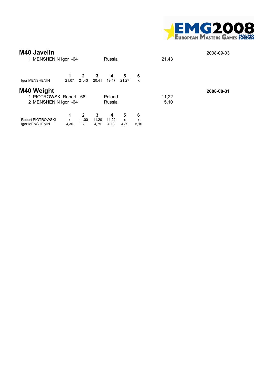

| <b>M40 Javelin</b><br>1 MENSHENIN Igor -64                    |                |                                       |                    | Russia             |                |                | 21,43         | 2008-09-03 |
|---------------------------------------------------------------|----------------|---------------------------------------|--------------------|--------------------|----------------|----------------|---------------|------------|
| Igor MENSHENIN                                                | 1<br>21,07     | $\mathbf{2}$<br>21,43                 | 3<br>20,41         | 4<br>19,47         | 5<br>21.27     | 6<br>x         |               |            |
| M40 Weight<br>1 PIOTROWSKI Robert -66<br>2 MENSHENIN Igor -64 |                |                                       |                    | Poland<br>Russia   |                |                | 11,22<br>5,10 | 2008-08-31 |
| Robert PIOTROWSKI<br>Igor MENSHENIN                           | 1<br>X<br>4,30 | $\mathbf{2}$<br>11,00<br>$\mathsf{x}$ | 3<br>11,20<br>4,79 | 4<br>11.22<br>4,13 | 5<br>x<br>4,89 | 6<br>x<br>5,10 |               |            |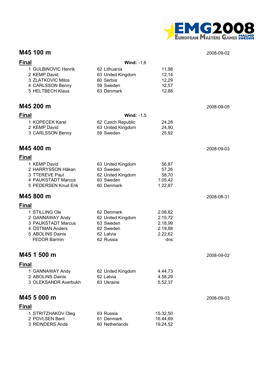

#### **M45 100 m** 2008-09-02

| <b>Final</b>                          | Wind: $-1,6$                   |                    |            |
|---------------------------------------|--------------------------------|--------------------|------------|
| 1 GULBINOVIC Henrik                   | 62 Lithuania                   | 11,98              |            |
| 2 KEMP David<br>3 ZLATKOVIC Milos     | 63 United Kingdom<br>60 Serbia | 12,14<br>12,29     |            |
| 4 CARLSSON Benny                      | 59 Sweden                      | 12,57              |            |
| 5 HELTBECH Klaus                      | 63 Denmark                     | 12,88              |            |
| M45 200 m                             |                                |                    | 2008-09-05 |
| <b>Final</b>                          | Wind: $-1,5$                   |                    |            |
| 1 KOPECEK Karel                       | 62 Czech Republic              | 24,28              |            |
| 2 KEMP David                          | 63 United Kingdom<br>59 Sweden | 24,90              |            |
| 3 CARLSSON Benny                      |                                | 25,92              |            |
| M45 400 m                             |                                |                    | 2008-09-03 |
| <b>Final</b>                          |                                |                    |            |
| 1 KEMP David                          | 63 United Kingdom              | 56,87              |            |
| 2 HARRYSSON Håkan<br>3 TTEREVE Paul   | 63 Sweden<br>62 United Kingdom | 57,26<br>58,70     |            |
| 4 PAUKSTADT Marcus                    | 63 Sweden                      | 1.05,42            |            |
| 5 PEDERSEN Knud Erik                  | 60 Denmark                     | 1.22,87            |            |
| M45 800 m                             |                                |                    | 2008-08-31 |
| <b>Final</b>                          |                                |                    |            |
| 1 STILLING Ole                        | 62 Denmark                     | 2.06,82            |            |
| 2 GANNAWAY Andy<br>3 PAUKSTADT Marcus | 62 United Kingdom<br>63 Sweden | 2.15,72<br>2.18,99 |            |
| 4 ÖSTMAN Anders                       | 62 Sweden                      | 2.19,88            |            |
| 5 ABOLINS Dainis                      | 62 Latvia                      | 2.22,62            |            |
| <b>FEDOR Barmin</b>                   | 62 Russia                      | dns                |            |
| M45 1 500 m                           |                                |                    | 2008-09-02 |
| <b>Final</b>                          |                                |                    |            |
| 1 GANNAWAY Andy                       | 62 United Kingdom              | 4.44,73            |            |
| 2 ABOLINS Dainis                      | 62 Latvia                      | 4.58,29            |            |
| 3 OLEKSANDR Averbukh                  | 63 Ukraine                     | 5.52,37            |            |
| M45 5 000 m                           |                                |                    | 2008-09-03 |
| <b>Final</b>                          |                                |                    |            |
| 1 STRITZHAKOV Oleg                    | 63 Russia                      | 15.32,50           |            |
| 2 POVLSEN Bent                        | 61 Denmark                     | 16.44,69           |            |
| 3 REINDERS Andé                       | 60 Netherlands                 | 19.24,52           |            |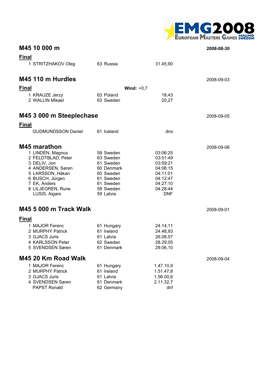

|              | M45 10 000 m                                                                                                                                                             |                                                                                                                    |                                                                                                            | 2008-08-30 |
|--------------|--------------------------------------------------------------------------------------------------------------------------------------------------------------------------|--------------------------------------------------------------------------------------------------------------------|------------------------------------------------------------------------------------------------------------|------------|
| <b>Final</b> | 1 STRITZHAKOV Oleg                                                                                                                                                       | 63 Russia                                                                                                          | 31.45,90                                                                                                   |            |
|              | M45 110 m Hurdles                                                                                                                                                        |                                                                                                                    |                                                                                                            | 2008-09-03 |
| <b>Final</b> |                                                                                                                                                                          |                                                                                                                    | Wind: $+0,7$                                                                                               |            |
|              | 1 KRAUZE Jerzy<br>2 WALLIN Mikael                                                                                                                                        | 63 Poland<br>63 Sweden                                                                                             | 18,43<br>20,27                                                                                             |            |
|              | M45 3 000 m Steeplechase                                                                                                                                                 |                                                                                                                    |                                                                                                            | 2008-09-05 |
| <b>Final</b> |                                                                                                                                                                          |                                                                                                                    |                                                                                                            |            |
|              | <b>GUDMUNDSSON Daniel</b>                                                                                                                                                | 61 Iceland                                                                                                         | dns                                                                                                        |            |
|              | <b>M45 marathon</b>                                                                                                                                                      |                                                                                                                    |                                                                                                            | 2008-09-06 |
|              | 1 LINDÈN, Magnus<br>2 FELDTBLAD, Peter<br>3 DELIV, Jon<br>4 ANDERSEN, Søren<br>5 LARSSON, Håkan<br>6 BUSCH, Jürgen<br>7 EK, Anders<br>8 LILJEGREN, Rune<br>LUSIS, Aigars | 59 Sweden<br>63 Sweden<br>61 Sweden<br>60 Denmark<br>60 Sweden<br>61 Sweden<br>61 Sweden<br>59 Sweden<br>59 Latvia | 03:06:25<br>03:51:49<br>03:59:21<br>04:06:15<br>04:11:01<br>04:12:47<br>04:27:10<br>04:28:44<br><b>DNF</b> |            |
|              | M45 5 000 m Track Walk                                                                                                                                                   |                                                                                                                    |                                                                                                            | 2008-09-01 |
| <b>Final</b> |                                                                                                                                                                          |                                                                                                                    |                                                                                                            |            |
|              | 1 MAJOR Ferenc<br>2 MURPHY Patrick<br>3 GJACS Juris<br>4 KARLSSON Peter<br>5 SVENDSEN Søren                                                                              | 61 Hungary<br>61 Ireland<br>61 Latvia<br>62 Sweden<br>61 Denmark                                                   | 24.14,11<br>24.48,93<br>26.08,57<br>28.29,05<br>29.06,10                                                   |            |
|              | M45 20 Km Road Walk                                                                                                                                                      |                                                                                                                    |                                                                                                            | 2008-09-04 |
|              | 1 MAJOR Ferenc<br>2 MURPHY Patrick<br>3 GJACS Juris<br>4 SVENDSEN Søren<br><b>PAPST Ronald</b>                                                                           | 61 Hungary<br>61 Ireland<br>61 Latvia<br>61 Denmark<br>62 Germany                                                  | 1.47.10,9<br>1.51.47,8<br>1.56.00,6<br>2.11.32,7<br>dnf                                                    |            |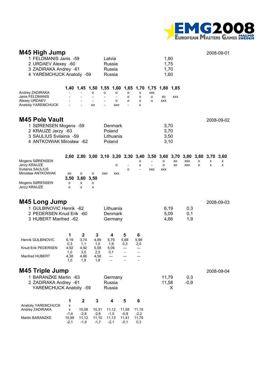

| M45 High Jump<br>1 FELDMANIS Janis -59<br>2 URDAEV Alexey -60<br>3 ZADIRAKA Andrey -61<br>4 YAREMCHUCK Anatoliy -59                          |                                                |                                                           |                                                | Latvia | Russia<br>Russia<br>Russia                                    |                                         |                          |                                                                                                     | 1,80<br>1,75<br>1,70<br>1,60 |                         |                          |        |        | 2008-09-01     |
|----------------------------------------------------------------------------------------------------------------------------------------------|------------------------------------------------|-----------------------------------------------------------|------------------------------------------------|--------|---------------------------------------------------------------|-----------------------------------------|--------------------------|-----------------------------------------------------------------------------------------------------|------------------------------|-------------------------|--------------------------|--------|--------|----------------|
| Andrey ZADIRAKA<br>Janis FELDMANIS<br>Alexey URDAEV<br>Anatoliy YAREMCHUCK                                                                   |                                                | 1,40 1,45 1,50                                            | o<br>XO                                        | o      | o<br>$\overline{\phantom{a}}$<br>o<br>XXO                     | о<br>o<br>o<br>$\overline{\phantom{a}}$ | o<br>o<br>о<br>x         | 1,55 1,60 1,65 1,70 1,75<br><b>XXX</b><br>o<br>o                                                    | XO<br><b>XXX</b>             | 1,80 1,85<br><b>XXX</b> |                          |        |        |                |
| <b>M45 Pole Vault</b><br>1 SØRENSEN Mogens -59<br>2 KRAUZE Jerzy -63<br>3 SAULIUS Svilainis -59<br>4 ANTKOWIAK Mirosław -62                  |                                                |                                                           |                                                |        | Denmark<br>Poland<br>Lithuania<br>Poland                      |                                         |                          |                                                                                                     | 3,70<br>3,70<br>3,50<br>3,10 |                         |                          |        |        | 2008-09-02     |
| Mogens SØRENSEN<br>Jerzy KRAUZE<br>Svilainis SAULIUS<br>Mirosław ANTKOWIAK<br>Mogens SØRENSEN<br>Jerzy KRAUZE                                | хo<br>3,50<br>о<br>o                           | о<br>3,60<br>х<br>x                                       | о<br>3,50<br>о<br>x                            | XXO    | о<br>XXX                                                      | o                                       | о<br>о                   | 2,60 2,80 3,00 3,10 3,20 3,30 3,40 3,50 3,60 3,70 3,80 3,80 3,70<br>$\overline{\phantom{a}}$<br>XXO | 0<br>о<br><b>XXX</b>         | XO<br>XO                | <b>XXX</b><br><b>XXX</b> | x<br>x | x<br>x | 3,60<br>х<br>x |
| <b>M45 Long Jump</b><br>1 GULBINOVIC Henrik -62<br>2 PEDERSEN Knud Erik -60<br>3 HUBERT Manfred -62                                          |                                                |                                                           |                                                |        | Lithuania<br>Denmark<br>Germany                               |                                         |                          |                                                                                                     | 6,19<br>5,09<br>4,66         |                         | 0,3<br>0,1<br>1,9        |        |        | 2008-09-03     |
| <b>Henrik GULBINOVIC</b><br>Knud Erik PEDERSEN<br>Manfred HUBERT<br><b>M45 Triple Jump</b><br>1 BARANZKE Martin -63<br>2 ZADIRAKA Andrey -61 | 1<br>6,19<br>0,3<br>4,92<br>1,0<br>4,38<br>1,0 | $\mathbf{2}$<br>3,74<br>1,1<br>4,92<br>3,5<br>4,66<br>1,9 | 3<br>4,89<br>1,5<br>5,08<br>2,5<br>4,58<br>1,8 |        | 4<br>5,79<br>1,8<br>5,09<br>0,1<br>$---$<br>Germany<br>Russia | 5<br>5,68<br>0,3                        | 6<br>5,98<br>2,0         |                                                                                                     | 11,79<br>11,58               |                         | 0,3<br>$-0,9$            |        |        | 2008-09-04     |
| YAREMCHUCK Anatoliy -59                                                                                                                      | 1                                              | $\boldsymbol{2}$                                          | 3                                              |        | Russia<br>4                                                   | 5                                       | 6                        |                                                                                                     |                              | X                       |                          |        |        |                |
| Anatoliy YAREMCHUCK<br>Andrey ZADIRAKA<br>Martin BARANZKE                                                                                    | x<br>x<br>$-1,4$<br>10,99                      | 10,09<br>$-2,8$<br>11,12                                  | 10,31<br>$-2,6$<br>11,10                       |        | 11,12<br>$-1,0$<br>11,13                                      | 11,58<br>$-0,9$<br>11,41                | 11,19<br>$-2,2$<br>11,79 |                                                                                                     |                              |                         |                          |        |        |                |

-2,1 -1,9 -1,7 -2,1 -0,1 0,3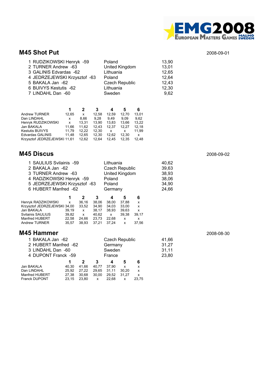

#### **M45 Shot Put** 2008-09-01

| 1 RUDZIKOWSKI Henryk -59     | Poland                | 13,90 |
|------------------------------|-----------------------|-------|
| 2 TURNER Andrew -63          | United Kingdom        | 13,01 |
| 3 GALINIS Edvardas -62       | Lithuania             | 12,65 |
| 4 JEDRZEJEWSKI Krzysztof -63 | Poland                | 12,64 |
| 5 BAKALA Jan -62             | <b>Czech Republic</b> | 12,43 |
| 6 BUIVYS Kestutis -62        | Lithuania             | 12,30 |
| 7 LINDAHL Dan -60            | Sweden                | 9,62  |

|                              |       | 2     | 3     |       |       | 6     |
|------------------------------|-------|-------|-------|-------|-------|-------|
| Andrew TURNER                | 12.65 | x     | 12.58 | 12.59 | 12.70 | 13.01 |
| Dan LINDAHL                  | x     | 8.66  | 9.28  | 9.49  | 9.09  | 9.62  |
| Henryk RUDZIKOWSKI           | x     | 13.31 | 13.90 | 13.83 | 13.66 | 13.22 |
| Jan BAKALA                   | 11.66 | 11.62 | 12.43 | 12.37 | 12.27 | 12.18 |
| Kestutis BUIVYS              | 11.79 | 12.22 | 12.30 | x     | x     | 11.99 |
| Edvardas GALINIS             | 11.48 | 12.65 | 12.30 | 12.62 | 12.30 | x     |
| Krzysztof JEDRZEJEWSKI 11,61 |       | 12.62 | 12.64 | 12.45 | 12.35 | 12.48 |

#### **M45 Discus** 2008-09-02

| 1 SAULIUS Svilainis -59      |                                    |              |                       | Lithuania      |       |                           | 40,62 |       |  |  |  |
|------------------------------|------------------------------------|--------------|-----------------------|----------------|-------|---------------------------|-------|-------|--|--|--|
| 2 BAKALA Jan -62             |                                    |              | <b>Czech Republic</b> |                |       |                           | 39,63 |       |  |  |  |
| 3 TURNER Andrew -63          |                                    |              |                       | United Kingdom |       |                           |       | 38,93 |  |  |  |
|                              | 4 RADZIKOWSKI Henryk -59<br>Poland |              |                       |                |       |                           |       |       |  |  |  |
| 5 JEDRZEJEWSKI Krzysztof -63 |                                    | 34,90        |                       |                |       |                           |       |       |  |  |  |
| 6 HUBERT Manfred -62         |                                    |              |                       | Germany        |       |                           | 24,66 |       |  |  |  |
|                              | 1                                  | 2            | 3                     | 4              | 5     | 6                         |       |       |  |  |  |
| Henryk RADZIKOWSKI           | $\mathsf{x}$                       | 36.16        | 38.06                 | 38.00          | 37.88 | X                         |       |       |  |  |  |
| Krzysztof JEDRZEJEWSKI 34,00 |                                    | 33,52        | 34.90                 | 34.03          | 33,00 | x                         |       |       |  |  |  |
| Jan BAKALA                   | 39.19                              | $\mathbf{x}$ | 38.17                 | 38.93          | 39.63 | $\boldsymbol{\mathsf{x}}$ |       |       |  |  |  |
| Svilainis SAULIUS            | 39,82                              | $\mathsf{x}$ | 40,62                 | $\mathsf{X}$   | 39,38 | 39,17                     |       |       |  |  |  |
| Manfred HUBERT               | 22.58                              | 24.66        | 23,73                 | 22,68          | X     | x                         |       |       |  |  |  |
| Andrew TURNER                | 35,57                              | 38,93        | 37.21                 | 37,24          | x     | 37,56                     |       |       |  |  |  |
|                              |                                    |              |                       |                |       |                           |       |       |  |  |  |

#### **M45 Hammer** 2008-08-30

| 1 BAKALA Jan -62     |       |       |              | <b>Czech Republic</b> |       | 41,66        |       |
|----------------------|-------|-------|--------------|-----------------------|-------|--------------|-------|
| 2 HUBERT Manfred -62 |       |       |              | Germany               |       |              | 31,27 |
| 3 LINDAHL Dan -60    |       |       |              | Sweden                | 31,11 |              |       |
| 4 DUPONT Franck -59  |       |       |              | France                | 23,80 |              |       |
|                      |       |       | 3            | 4                     | 5     | 6            |       |
| Jan BAKALA           | 40.30 | 41.66 | 40.77        | 37.90                 | X     | x            |       |
| Dan LINDAHL          | 25.92 | 27.22 | 29.65        | 31.11                 | 30.20 | X            |       |
| Manfred HUBERT       | 27,38 | 30,68 | 30,00        | 29.52                 | 31.27 | $\mathsf{x}$ |       |
| <b>Franck DUPONT</b> | 23.15 | 23.80 | $\mathsf{x}$ | 22.68                 | x     | 23.75        |       |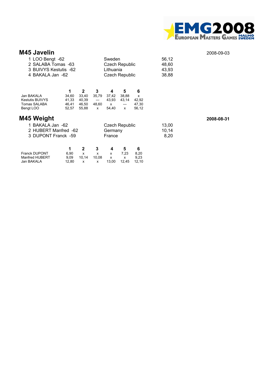

#### **M45 Javelin** 2008-09-03

|                                                                   | 1 LOO Bengt -62<br>2 SALABA Tomas -63<br>3 BUIVYS Kestutis -62<br>4 BAKALA Jan -62 |                                                  |                                              | Sweden<br>Lithuania               | <b>Czech Republic</b><br><b>Czech Republic</b> |                                   | 56,12<br>48,60<br>43,93<br>38,88 |            |
|-------------------------------------------------------------------|------------------------------------------------------------------------------------|--------------------------------------------------|----------------------------------------------|-----------------------------------|------------------------------------------------|-----------------------------------|----------------------------------|------------|
| Jan BAKALA<br><b>Kestutis BUIVYS</b><br>Tomas SALABA<br>Bengt LOO | 1<br>34,60<br>41,33<br>46,41<br>52,57                                              | $\mathbf{2}$<br>33,40<br>40,39<br>46,50<br>55,88 | 3<br>35,79<br>$---$<br>48,60<br>$\mathsf{x}$ | 4<br>37,42<br>43,93<br>X<br>54,40 | 5<br>38,88<br>43,14<br>---<br>$\mathsf{x}$     | 6<br>X<br>42,92<br>47,30<br>56,12 |                                  |            |
| M45 Weight                                                        |                                                                                    |                                                  |                                              |                                   |                                                |                                   |                                  | 2008-08-31 |
| 1 BAKALA Jan -62                                                  |                                                                                    |                                                  |                                              |                                   | <b>Czech Republic</b>                          |                                   | 13,00                            |            |
| 2 HUBERT Manfred -62                                              |                                                                                    |                                                  |                                              | Germany                           |                                                |                                   | 10,14                            |            |
| 3 DUPONT Franck -59                                               |                                                                                    |                                                  |                                              | France                            |                                                |                                   | 8,20                             |            |
|                                                                   | 1                                                                                  | $\mathbf{2}$                                     | 3                                            | 4                                 | 5                                              | 6                                 |                                  |            |
| <b>Franck DUPONT</b>                                              | 6,90                                                                               | X                                                | x                                            | x                                 | 7,23                                           | 8,20                              |                                  |            |
| Manfred HUBERT<br>Jan BAKALA                                      | 9,09<br>12,80                                                                      | 10,14<br>x                                       | 10,08<br>x                                   | x<br>13,00                        | x<br>12,45                                     | 9,23<br>12,10                     |                                  |            |
|                                                                   |                                                                                    |                                                  |                                              |                                   |                                                |                                   |                                  |            |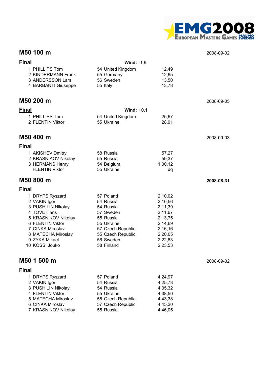

#### **M50 100 m** 2008-09-02

| <b>Final</b> |                                         | <b>Wind: -1,9</b>              |                    |            |
|--------------|-----------------------------------------|--------------------------------|--------------------|------------|
|              | 1 PHILLIPS Tom                          | 54 United Kingdom              | 12,49              |            |
|              | 2 KINDERMANN Frank                      | 55 Germany                     | 12,65              |            |
|              | 3 ANDERSSON Lars<br>4 BARBANTI Giuseppe | 56 Sweden<br>55 Italy          | 13,50<br>13,78     |            |
|              |                                         |                                |                    |            |
|              | M50 200 m                               |                                |                    | 2008-09-05 |
| <b>Final</b> |                                         | Wind: $+0,1$                   |                    |            |
|              | 1 PHILLIPS Tom                          | 54 United Kingdom              | 25,67              |            |
|              | 2 FLENTIN Viktor                        | 55 Ukraine                     | 28,91              |            |
|              | M50 400 m                               |                                |                    | 2008-09-03 |
| <b>Final</b> |                                         |                                |                    |            |
|              | 1 AKISHEV Dmitry                        | 58 Russia                      | 57,27              |            |
|              | 2 KRASNIKOV Nikolay                     | 55 Russia                      | 59,37              |            |
|              | 3 HERMANS Henry                         | 54 Belgium                     | 1.00,12            |            |
|              | <b>FLENTIN Viktor</b>                   | 55 Ukraine                     | dq                 |            |
|              | M50 800 m                               |                                |                    | 2008-08-31 |
| <b>Final</b> |                                         |                                |                    |            |
|              | 1 DRYPS Ryszard                         | 57 Poland                      | 2.10,02            |            |
|              | 2 VAKIN Igor                            | 54 Russia                      | 2.10,56            |            |
|              | 3 PUSHILIN Nikolay<br>4 TOVE Hans       | 54 Russia<br>57 Sweden         | 2.11,39<br>2.11,67 |            |
|              | 5 KRASNIKOV Nikolay                     | 55 Russia                      | 2.13,75            |            |
|              | 6 FLENTIN Viktor                        | 55 Ukraine                     | 2.14,69            |            |
|              | 7 CINKA Miroslav                        | 57 Czech Republic              | 2.16,16            |            |
|              | 8 MATECHA Miroslav                      | 55 Czech Republic              | 2.20,05            |            |
|              | 9 ZYKA Mikael                           | 56 Sweden                      | 2.22,83            |            |
|              | 10 KÖSSI Jouko                          | 58 Finland                     | 2.23,53            |            |
|              | M50 1 500 m                             |                                |                    | 2008-09-02 |
| <b>Final</b> |                                         |                                |                    |            |
|              | 1 DRYPS Ryszard                         | 57 Poland                      | 4.24,97            |            |
|              | 2 VAKIN Igor                            | 54 Russia                      | 4.25,73            |            |
|              | 3 PUSHILIN Nikolay                      | 54 Russia                      | 4.35,32            |            |
|              | 4 FLENTIN Viktor                        | 55 Ukraine                     | 4.38,50            |            |
|              | 5 MATECHA Miroslav<br>6 CINKA Miroslav  | 55 Czech Republic              | 4.43,38            |            |
|              | 7 KRASNIKOV Nikolay                     | 57 Czech Republic<br>55 Russia | 4.45,20<br>4.46,05 |            |
|              |                                         |                                |                    |            |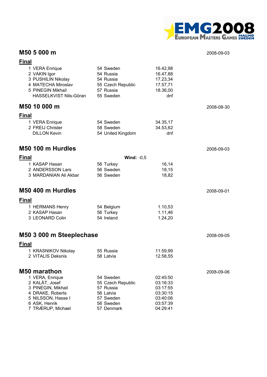

### **M50 5 000 m** 2008-09-03

| <b>Final</b>                                |                         |                      |            |
|---------------------------------------------|-------------------------|----------------------|------------|
| 1 VERA Enrique                              | 54 Sweden               | 16.42,98             |            |
| 2 VAKIN Igor                                | 54 Russia               | 16.47,88             |            |
| 3 PUSHILIN Nikolay                          | 54 Russia               | 17.23,34             |            |
| 4 MATECHA Miroslav                          | 55 Czech Republic       | 17.57,71             |            |
| 5 PINEGIN Mikhail<br>HASSELKVIST Nils-Göran | 57 Russia<br>55 Sweden  | 18.36,00<br>dnf      |            |
|                                             |                         |                      |            |
| M50 10 000 m                                |                         |                      | 2008-08-30 |
| <b>Final</b>                                |                         |                      |            |
| 1 VERA Enrique                              | 54 Sweden               | 34.35,17             |            |
| 2 FREIJ Christer                            | 58 Sweden               | 34.53,62             |            |
| <b>DILLON Kevin</b>                         | 54 United Kingdom       | dnf                  |            |
|                                             |                         |                      |            |
| M50 100 m Hurdles                           |                         |                      | 2008-09-03 |
| <b>Final</b>                                | Wind: $-0,5$            |                      |            |
| 1 KASAP Hasan                               | 56 Turkey               | 16,14                |            |
| 2 ANDERSSON Lars                            | 56 Sweden               | 18,15                |            |
| 3 MARDANIAN Ali Akbar                       | 56 Sweden               | 18,82                |            |
| M50 400 m Hurdles                           |                         |                      | 2008-09-01 |
|                                             |                         |                      |            |
| <b>Final</b>                                |                         |                      |            |
| 1 HERMANS Henry<br>2 KASAP Hasan            | 54 Belgium              | 1.10,53              |            |
| 3 LEONARD Colin                             | 56 Turkey<br>54 Ireland | 1.11,46<br>1.24,20   |            |
|                                             |                         |                      |            |
| M50 3 000 m Steeplechase                    |                         |                      | 2008-09-05 |
|                                             |                         |                      |            |
| <b>Final</b><br>1 KRASNIKOV Nikolay         | 55 Russia               |                      |            |
| 2 VITALIS Deksnis                           | 58 Latvia               | 11.59,99<br>12.58,55 |            |
|                                             |                         |                      |            |
| <b>M50 marathon</b>                         |                         |                      | 2008-09-06 |
| 1 VERA, Enrique                             | 54 Sweden               | 02:45:50             |            |
| 2 KALÁT, Josef                              | 55 Czech Republic       | 03:16:33             |            |
| 3 PINEGIN, Mikhail                          | 57 Russia               | 03:17:55             |            |
| 4 DRAKE, Roberts                            | 56 Latvia               | 03:30:15             |            |
| 5 NILSSON, Hasse I                          | 57 Sweden               | 03:40:06             |            |
| 6 ASK, Henrik<br>7 TRÆRUP, Michael          | 56 Sweden<br>57 Denmark | 03:57:39<br>04:29:41 |            |
|                                             |                         |                      |            |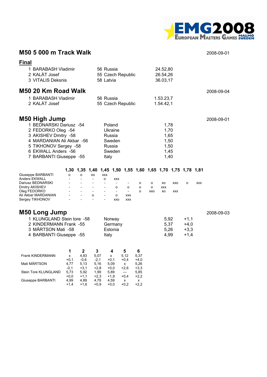

#### **M50 5 000 m Track Walk** 2008-09-01

Stein Tore KLUNGLAND 5,73 5,92 1,99 5,89 --- 5,85<br>+0,0 +1,1 +2,3 +1,9 +0,4 +2,2

Giuseppe BARBANTI 4,99 4,89 4,78 4,59 x x<br>+1,4 +1,6 +0,9 +0,0 +0,2 +2,2

+0,0 +1,1 +2,3 +1,9 +0,4 +2,2

+1,4 +1,6 +0,9 +0,0 +0,2 +2,2

| <b>Final</b><br>1 BARABASH Vladimir<br>2 KALÁT Josef<br>3 VITALIS Deksnis                                                                                                                      |                        |                                |                                                                                                 | 56 Russia<br>58 Latvia                            |                                                                                            | 55 Czech Republic                                                         |                          |                            | 24.52,80<br>26.54,26<br>36.03,17                     |                          |                                      |            |            |
|------------------------------------------------------------------------------------------------------------------------------------------------------------------------------------------------|------------------------|--------------------------------|-------------------------------------------------------------------------------------------------|---------------------------------------------------|--------------------------------------------------------------------------------------------|---------------------------------------------------------------------------|--------------------------|----------------------------|------------------------------------------------------|--------------------------|--------------------------------------|------------|------------|
| M50 20 Km Road Walk<br>1 BARABASH Vladimir<br>2 KALÁT Josef                                                                                                                                    |                        |                                |                                                                                                 | 56 Russia                                         |                                                                                            | 55 Czech Republic                                                         |                          |                            | 1.53.23,7<br>1.54.42,1                               |                          |                                      |            | 2008-09-04 |
| M50 High Jump<br>1 BEDNARSKI Dariusz -54<br>2 FEDORKO Oleg -54<br>3 AKISHEV Dmitry -58<br>4 MARDANIAN Ali Akbar -56<br>5 TIKHONOV Sergey -58<br>6 EKWALL Anders -56<br>7 BARBANTI Giuseppe -55 |                        |                                |                                                                                                 | Italy                                             | Poland<br>Ukraine<br>Russia<br>Sweden<br>Russia<br>Sweden                                  |                                                                           |                          |                            | 1,78<br>1,70<br>1,65<br>1,50<br>1,50<br>1,45<br>1,40 |                          |                                      |            | 2008-09-01 |
| Giuseppe BARBANTI<br><b>Anders EKWALL</b><br>Dariusz BEDNARSKI<br>Dmitry AKISHEV<br>Oleg FEDORKO<br>Ali Akbar MARDANIAN<br>Sergey TIKHONOV                                                     | o                      | o                              | 1,30 1,35 1,40 1,45 1,50 1,55 1,60 1,65 1,70 1,75 1,78 1,81<br>XO<br>$\overline{a}$<br>$\Omega$ | <b>XXX</b><br>$\circ$<br>$\overline{\phantom{0}}$ | <b>XXX</b><br>$\overline{\phantom{a}}$<br>o<br>$\overline{\phantom{a}}$<br>$\Omega$<br>XXO | $\overline{\phantom{a}}$<br>$\circ$<br>$\sim$<br><b>XXX</b><br><b>XXX</b> | o<br>$\circ$<br>$\Omega$ | $\circ$<br>o<br><b>XXO</b> | XO<br><b>XXX</b><br>XO                               | <b>XXO</b><br><b>XXX</b> | $\Omega$                             | <b>XXX</b> |            |
| <b>M50 Long Jump</b><br>1 KLUNGLAND Stein tore -58<br>2 KINDERMANN Frank -55<br>3 MÄRTSON Mati -58<br>4 BARBANTI Giuseppe -55                                                                  |                        |                                |                                                                                                 | Italy                                             | Norway<br>Germany<br>Estonia                                                               |                                                                           |                          |                            | 5,92<br>5,37<br>5,26<br>4,99                         |                          | $+1,1$<br>$+4,0$<br>$+3,3$<br>$+1,4$ |            | 2008-09-03 |
| Frank KINDERMANN<br>Mati MÄRTSON                                                                                                                                                               | 1<br>x<br>$+0,1$       | $\mathbf{2}$<br>4,83<br>$-0,6$ | 3<br>5,07<br>$-2,1$                                                                             |                                                   | 4<br>x<br>$+0,1$                                                                           | 5<br>5,12<br>$+0,4$                                                       | 6<br>5,37<br>$+4,0$      |                            |                                                      |                          |                                      |            |            |
| Stein Tore KLUNGLAND                                                                                                                                                                           | 4,77<br>$-0,1$<br>5,73 | 5,13<br>$+3,1$<br>5,92         | 5,16<br>$+2,8$<br>1,99                                                                          |                                                   | 5,09<br>$+0,0$<br>5,89                                                                     | x<br>$+2,6$<br>$---$                                                      | 5,26<br>$+3,3$<br>5,85   |                            |                                                      |                          |                                      |            |            |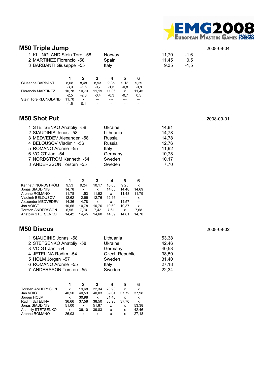

### **M50 Triple Jump** 2008-09-04

| 1 KLUNGLAND Stein Tore -58<br>2 MARTINEZ Florencio -58<br>3 BARBANTI Giuseppe -55 |                | Norway<br>Spain<br>Italy |                | 11,70<br>11.45<br>9,35 | $-1,6$<br>0,5<br>$-1,5$ |                |  |  |
|-----------------------------------------------------------------------------------|----------------|--------------------------|----------------|------------------------|-------------------------|----------------|--|--|
|                                                                                   |                |                          | 3              | 4                      | 5                       | 6              |  |  |
| Giuseppe BARBANTI                                                                 | 8,08<br>$-3.0$ | 8,48<br>$-1,6$           | 8,93<br>$-0.7$ | 9,35<br>$-1,5$         | 9,13<br>$-0.8$          | 9,29<br>$-0,8$ |  |  |
| Florencio MARTINEZ                                                                | 10.78          | 10.73                    | 11.19          | 11.36                  | x                       | 11.45          |  |  |
|                                                                                   | $-2.5$         | $-2.8$                   | $-0.4$         | $-0.3$                 | $-0,7$                  | 0,5            |  |  |
| Stein Tore KLUNGLAND                                                              | 11,70          | $\mathsf{x}$             |                |                        |                         |                |  |  |
|                                                                                   | $-1,6$         | 0,1                      |                |                        |                         |                |  |  |

#### **M50 Shot Put** 2008-09-01

| 1 STETSENKO Anatoliy -58 | Ukraine   | 14,81 |
|--------------------------|-----------|-------|
| 2 SIAUDINIS Jonas -58    | Lithuania | 14,78 |
| 3 MEDVEDEV Alexander -58 | Russia    | 14,78 |
| 4 BELOUSOV Vladimir -56  | Russia    | 12,76 |
| 5 ROMANO Aronne -55      | Italy     | 11,92 |
| 6 VOIGT Jan -54          | Germany   | 10,78 |
| 7 NORDSTRÖM Kenneth -54  | Sweden    | 10.17 |
| 8 ANDERSSON Torsten -55  | Sweden    | 7.70  |

|                          | 1     | 2     | 3     | 4     | 5     | 6              |
|--------------------------|-------|-------|-------|-------|-------|----------------|
| Kenneth NORDSTRÖM        | 9.53  | 9.24  | 10.17 | 10.05 | 9.25  | x              |
| Jonas SIAUDINIS          | 14.78 | x     | x     | 14.03 | 14.48 | 14.69          |
| Aronne ROMANO            | 11.78 | 11.53 | 11.92 | x     | 11.48 | 11,79          |
| Vladimir BELOUSOV        | 12.62 | 12.66 | 12.76 | 12.16 |       | x              |
| Alexander MEDVEDEV       | 14.36 | 14.78 | x     | x     | 14.57 | $\overline{a}$ |
| Jan VOIGT                | 10.65 | 10.78 | 10,76 | 10.60 | 10.37 | x              |
| <b>Torsten ANDERSSON</b> | 6.95  | 7.70  | 7.42  | 7.61  | x     | 7.68           |
| Anatoliy STETSENKO       | 14.42 | 14.45 | 14.60 | 14.59 | 14.81 | 14.70          |

### **M50 Discus** 2008-09-02

| 1 SIAUDINIS Jonas -58    | Lithuania             | 53,38 |
|--------------------------|-----------------------|-------|
| 2 STETSENKO Anatoliy -58 | Ukraine               | 42,46 |
| 3 VOIGT Jan -54          | Germany               | 40,53 |
| 4 JETELINA Radim -54     | <b>Czech Republic</b> | 38,50 |
| 5 HOLM Jörgen -57        | Sweden                | 31,40 |
| 6 ROMANO Aronne -55      | Italy                 | 27,18 |
| 7 ANDERSSON Torsten -55  | Sweden                | 22,34 |

|                          |       |       | 3     | 4     | 5     | 6     |
|--------------------------|-------|-------|-------|-------|-------|-------|
| <b>Torsten ANDERSSON</b> | x     | 19.68 | 22.34 | 20.90 | x     | x     |
| Jan VOIGT                | 40.50 | 40.53 | 40.03 | 39.04 | 37.72 | 37,98 |
| Jörgen HOLM              | x     | 30.98 | x     | 31.40 | x     | x     |
| Radim JETELINA           | 36.66 | 37.58 | 38.50 | 36.98 | 37.70 | x     |
| Jonas SIAUDINIS          | 51.00 | x     | 51.87 | x     | x     | 53,38 |
| Anatoliy STETSENKO       | x     | 36.10 | 39.83 | x     | x     | 42.46 |
| Aronne ROMANO            | 26.03 | x     | x     | x     | x     | 27,18 |
|                          |       |       |       |       |       |       |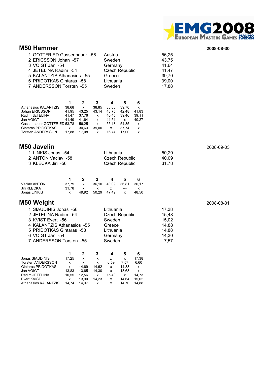

#### **M50 Hammer 2008-08-30**

| 1 GOTTFRIED Gassenbauer -58 | Austria               | 56,25 |
|-----------------------------|-----------------------|-------|
| 2 ERICSSON Johan -57        | Sweden                | 43,75 |
| 3 VOIGT Jan -54             | Germany               | 41,64 |
| 4 JETELINA Radim -54        | <b>Czech Republic</b> | 41,47 |
| 5 KALANTZIS Athanasios -55  | Greece                | 39,70 |
| 6 PRIDOTKAS Gintaras -58    | Lithuania             | 39,00 |
| 7 ANDERSSON Torsten -55     | Sweden                | 17,88 |
|                             |                       |       |

|                             |       | 2            | 3     | 4     | 5     | 6     |
|-----------------------------|-------|--------------|-------|-------|-------|-------|
| Athanasios KALANTZIS        | 38.68 | $\mathsf{x}$ | 38.85 | 38.88 | 39.70 | x     |
| Johan ERICSSON              | 41.95 | 43.25        | 43.14 | 43.75 | 42.48 | 41.83 |
| Radim JETELINA              | 41.47 | 37.76        | X     | 40.45 | 39.46 | 39.11 |
| Jan VOIGT                   | 41.49 | 41.64        | x     | 41.51 | x     | 40.27 |
| Gassenbauer GOTTFRIED 53.78 |       | 56.25        | x     | 55.18 | 54.35 | x     |
| Gintaras PRIDOTKAS          | x     | 30.63        | 39.00 | x     | 37.74 | x     |
| Torsten ANDERSSON           | 17.88 | 17.08        | x     | 16.74 | 17.00 | x     |
|                             |       |              |       |       |       |       |

#### **M50 Javelin** 2008-09-03

| 1 LINKIS Jonas -54 | Lithuania      | 50.29 |
|--------------------|----------------|-------|
| 2 ANTON Vaclav -58 | Czech Republic | 40.09 |
| 3 KLECKA Jiri -56  | Czech Republic | 31.78 |

|              |       |              | -3                      | 4 | -5           | 6     |
|--------------|-------|--------------|-------------------------|---|--------------|-------|
| Vaclay ANTON | 37.79 | $\mathbf{x}$ | 36.10 40.09 36.81 36.17 |   |              |       |
| Jiri KLECKA  | 31.78 | X            | x —                     |   | $---$        |       |
| Jonas LINKIS |       | 49.92        | 50.29 47.49             |   | $\mathsf{X}$ | 48.50 |

### **M50 Weight** 2008-08-31

| Lithuania             | 17,38 |
|-----------------------|-------|
| <b>Czech Republic</b> | 15,48 |
| Sweden                | 15,02 |
| Greece                | 14,88 |
| Lithuania             | 14,88 |
| Germany               | 14,30 |
| Sweden                | 7.57  |
|                       |       |

|                          |       |       | 3     |       |       | 6     |
|--------------------------|-------|-------|-------|-------|-------|-------|
| Jonas SIAUDINIS          | 17.25 | x     | x     | x     | x     | 17,38 |
| <b>Torsten ANDERSSON</b> | x     | x     | x     | 6.59  | 7.57  | 6.60  |
| Gintaras PRIDOTKAS       | x     | 14.69 | 14.62 | x     | 14.88 | X     |
| Jan VOIGT                | 13.83 | 13.65 | 14.30 | x     | 13.68 | x     |
| Radim JETELINA           | 10.55 | 12.56 | x     | 15.48 | x     | 14.73 |
| Evert KVIST              | x     | 13.90 | 14.23 | x     | 14.64 | 15.02 |
| Athanasios KALANTZIS     | 14.74 | 14.37 | x     | x     | 14.70 | 14.88 |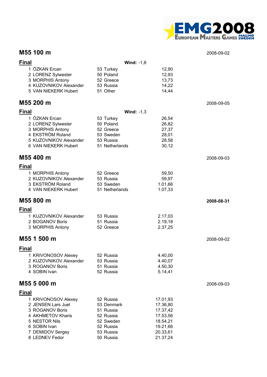

#### **M55 100 m** 2008-09-02

| <b>Final</b> |                                        |                        | Wind: $-1,8$         |            |
|--------------|----------------------------------------|------------------------|----------------------|------------|
|              | 1 ÖZKAN Ercan                          | 53 Turkey              | 12,90                |            |
|              | 2 LORENZ Sylwester<br>3 MORPHIS Antony | 50 Poland<br>52 Greece | 12,93<br>13,73       |            |
|              | 4 KUZOVNIKOV Alexander                 | 53 Russia              | 14,22                |            |
|              | 5 VAN NIEKERK Hubert                   | 51 Other               | 14,44                |            |
|              | M55 200 m                              |                        |                      | 2008-09-05 |
| <b>Final</b> |                                        |                        | Wind: $-1,3$         |            |
|              | 1 ÖZKAN Ercan                          | 53 Turkey              | 26,54                |            |
|              | 2 LORENZ Sylwester                     | 50 Poland              | 26,82                |            |
|              | 3 MORPHIS Antony<br>4 EKSTRÖM Roland   | 52 Greece<br>53 Sweden | 27,37<br>28,01       |            |
|              | 5 KUZOVNIKOV Alexander                 | 53 Russia              | 28,58                |            |
|              | 6 VAN NIEKERK Hubert                   | 51 Netherlands         | 30,12                |            |
|              | M55 400 m                              |                        |                      | 2008-09-03 |
| <b>Final</b> |                                        |                        |                      |            |
|              | 1 MORPHIS Antony                       | 52 Greece              | 59,50                |            |
|              | 2 KUZOVNIKOV Alexander                 | 53 Russia              | 59,97                |            |
|              | 3 EKSTRÖM Roland                       | 53 Sweden              | 1.01,66              |            |
|              | 4 VAN NIEKERK Hubert                   | 51 Netherlands         | 1.07,33              |            |
|              | M55 800 m                              |                        |                      | 2008-08-31 |
| <b>Final</b> |                                        |                        |                      |            |
|              | 1 KUZOVNIKOV Alexander                 | 53 Russia              | 2.17,03              |            |
|              | 2 BOGANOV Boris                        | 51 Russia              | 2.19,18              |            |
|              | 3 MORPHIS Antony                       | 52 Greece              | 2.37,25              |            |
|              | M55 1 500 m                            |                        |                      | 2008-09-02 |
| <b>Final</b> |                                        |                        |                      |            |
|              | 1 KRIVONOSOV Alexey                    | 52 Russia              | 4.40,00              |            |
|              | 2 KUZOVNIKOV Alexander                 | 53 Russia              | 4.40,07              |            |
|              | 3 ROGANOV Boris                        | 51 Russia              | 4.50,30              |            |
|              | 4 SOBIN Ivan                           | 52 Russia              | 5.14,41              |            |
|              | M55 5 000 m                            |                        |                      | 2008-09-03 |
| <b>Final</b> |                                        |                        |                      |            |
|              | 1 KRIVONOSOV Alexey                    | 52 Russia              | 17.01,93             |            |
|              | 2 JENSEN Lars Juel                     | 53 Denmark             | 17.36,80             |            |
|              | 3 ROGANOV Boris                        | 51 Russia              | 17.37,42             |            |
|              | 4 AKHMETOV Kharis<br>5 NESTOR Nils     | 52 Russia<br>52 Sweden | 17.53,56<br>18.54,21 |            |
|              | 6 SOBIN Ivan                           | 52 Russia              | 19.21,66             |            |
|              | 7 DEMIDOV Sergey                       | 53 Russia              | 20.33,61             |            |
|              | 8 LEDNEV Fedor                         | 50 Russia              | 21.37,24             |            |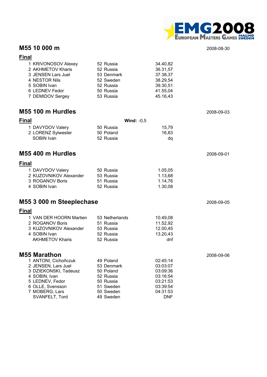

#### **M55 10 000 m** 2008-08-30

#### **Final**

| 1 KRIVONOSOV Alexey | 52 Russia  | 34.40,82 |
|---------------------|------------|----------|
| 2 AKHMETOV Kharis   | 52 Russia  | 36.31,57 |
| 3 JENSEN Lars Juel  | 53 Denmark | 37.38,37 |
| 4 NESTOR Nils       | 52 Sweden  | 38.29,54 |
| 5 SOBIN Ivan        | 52 Russia  | 39.30,51 |
| 6 LEDNEV Fedor      | 50 Russia  | 41.55,04 |
| 7 DEMIDOV Sergey    | 53 Russia  | 45.16,43 |

#### **M55 100 m Hurdles** 2008-09-03

| 50 Russia | 15.79        |
|-----------|--------------|
| 50 Poland | 16.83        |
| 52 Russia | dq           |
|           | Wind: $-0.5$ |

### **M55 400 m Hurdles** 2008-09-01

#### **Final**

| 1 DAVYDOV Valery       | 50 Russia | 1.05.05 |
|------------------------|-----------|---------|
| 2 KUZOVNIKOV Alexander | 53 Russia | 1.13.68 |
| 3 ROGANOV Boris        | 51 Russia | 1.14.76 |
| 4 SOBIN Ivan           | 52 Russia | 1.30.08 |

### **M55 3 000 m Steeplechase** 2008-09-05

#### **Final**

| 1 VAN DER HOORN Martien | 53 Netherlands | 10.49.08 |
|-------------------------|----------------|----------|
| 2 ROGANOV Boris         | 51 Russia      | 11.52,92 |
| 3 KUZOVNIKOV Alexander  | 53 Russia      | 12.00,45 |
| 4 SOBIN Ivan            | 52 Russia      | 13.20,43 |
| <b>AKHMETOV Kharis</b>  | 52 Russia      | dnf      |
|                         |                |          |

| <b>M55 Marathon</b>   |            |            | 2008-09-06 |
|-----------------------|------------|------------|------------|
| 1 ANTONI, Cichoñczuk  | 49 Poland  | 02:45:14   |            |
| 2 JENSEN, Lars Juel   | 53 Denmark | 03:03:07   |            |
| 3 DZIEKONSKI, Tadeusz | 50 Poland  | 03:09:36   |            |
| 4 SOBIN, Ivan         | 52 Russia  | 03:16:54   |            |
| 5 LEDNEV, Fedor       | 50 Russia  | 03:21:53   |            |
| 6 OLLE, Svensson      | 51 Sweden  | 03:39:54   |            |
| 7 MOBERG, Lars        | 50 Sweden  | 04:31:53   |            |
| SVANFELT, Tord        | 49 Sweden  | <b>DNF</b> |            |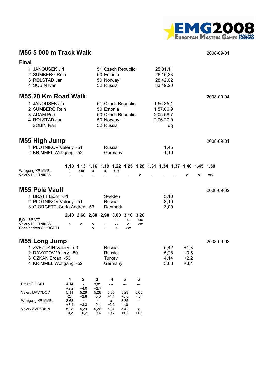

### **M55 5 000 m Track Walk** 2008-09-01

| <b>Final</b>                                                                                                         |                          |                          |                          |                                      |                                       |                                                            |                          |                                                  |    |                                                                  |   |            |
|----------------------------------------------------------------------------------------------------------------------|--------------------------|--------------------------|--------------------------|--------------------------------------|---------------------------------------|------------------------------------------------------------|--------------------------|--------------------------------------------------|----|------------------------------------------------------------------|---|------------|
| 1 JANOUSEK Jiri<br>2 SUMBERG Rein<br>3 ROLSTAD Jan<br>4 SOBIN Ivan                                                   |                          |                          |                          | 50 Estonia<br>50 Norway<br>52 Russia |                                       | 51 Czech Republic                                          |                          | 25.31,11<br>26.15,33<br>28.42,02<br>33.49,20     |    |                                                                  |   |            |
| M55 20 Km Road Walk                                                                                                  |                          |                          |                          |                                      |                                       |                                                            |                          |                                                  |    |                                                                  |   | 2008-09-04 |
| 1 JANOUSEK Jiri<br>2 SUMBERG Rein<br>3 ADAM Petr<br>4 ROLSTAD Jan<br>SOBIN Ivan                                      |                          |                          |                          | 50 Estonia<br>50 Norway<br>52 Russia |                                       | 51 Czech Republic<br>50 Czech Republic                     |                          | 1.56.25,1<br>1.57.00,9<br>2.05.58,7<br>2.06.27,9 | dq |                                                                  |   |            |
| M55 High Jump<br>1 PLOTNIKOV Valeriy -51<br>2 KRIMMEL Wolfgang -52                                                   |                          |                          |                          |                                      | Russia<br>Germany                     |                                                            |                          | 1,45<br>1,19                                     |    |                                                                  |   | 2008-09-01 |
|                                                                                                                      |                          |                          |                          |                                      |                                       |                                                            |                          |                                                  |    | 1,10 1,13 1,16 1,19 1,22 1,25 1,28 1,31 1,34 1,37 1,40 1,45 1,50 |   |            |
| Wolfgang KRIMMEL<br>Valeriy PLOTNIKOV                                                                                | o                        | XXO                      | о                        | o                                    | <b>XXX</b>                            |                                                            | $\Omega$                 |                                                  |    | o                                                                | o | <b>XXX</b> |
| <b>M55 Pole Vault</b><br>1 BRATT Björn -51<br>2 PLOTNIKOV Valeriy -51<br>3 GIORGETTI Carlo Andrea -53                |                          |                          |                          |                                      | Sweden<br>Russia<br>Denmark           |                                                            |                          | 3,10<br>3,10<br>3,00                             |    |                                                                  |   | 2008-09-02 |
| Björn BRATT<br>Valeriy PLOTNIKOV<br>Carlo andrea GIORGETTI                                                           | o                        | o                        | о<br>O                   |                                      | XO<br>XX<br>$\Omega$                  | 2,40 2,60 2,80 2,90 3,00 3,10 3,20<br>о<br>o<br><b>XXX</b> | <b>XXX</b><br><b>XXX</b> |                                                  |    |                                                                  |   |            |
| <b>M55 Long Jump</b><br>1 ZVEZDKIN Valery -53<br>2 DAVYDOV Valery -50<br>3 ÖZKAN Ercan -53<br>4 KRIMMEL Wolfgang -52 |                          |                          |                          |                                      | Russia<br>Russia<br>Turkey<br>Germany |                                                            |                          | 5,42<br>5,28<br>4,14<br>3,63                     |    | $+1,3$<br>$-0,5$<br>$+2,2$<br>$+3,4$                             |   | 2008-09-03 |
| Ercan ÖZKAN                                                                                                          | 1<br>4,14                | $\boldsymbol{2}$<br>x    | 3<br>3,85                |                                      | 4                                     | 5                                                          | 6                        |                                                  |    |                                                                  |   |            |
| Valery DAVYDOV                                                                                                       | $+2,2$<br>5,11           | $+4,0$<br>5,26           | $+2,7$<br>5,28           |                                      | 5,25                                  | 5,23                                                       | 5,05                     |                                                  |    |                                                                  |   |            |
| Wolfgang KRIMMEL                                                                                                     | $-2,1$<br>3,63           | $+2,8$<br>x              | $-0,5$<br>x              |                                      | $+1,1$<br>x                           | $+0,0$<br>3,35                                             | $-1,1$<br>---            |                                                  |    |                                                                  |   |            |
| Valery ZVEZDKIN                                                                                                      | $+3,4$<br>5,28<br>$-0,2$ | $+3,3$<br>5,29<br>$+0,2$ | $-0,1$<br>5,26<br>$-0,4$ |                                      | $+2,2$<br>5,34<br>$+0,7$              | $-1,0$<br>5,42<br>$+1,3$                                   | x<br>$+1,3$              |                                                  |    |                                                                  |   |            |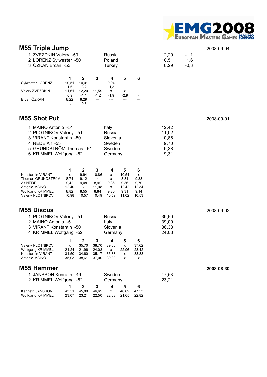

| <b>M55 Triple Jump</b><br>1 ZVEZDKIN Valery -53<br>2 LORENZ Sylwester -50<br>3 ÖZKAN Ercan -53                                                   |                                                                                                                             | Russia<br>Poland<br>Turkey                                                                                                                                                                            |                                                  | 12,20<br>10,51<br>8,29                          | $-1,1$<br>1,6<br>$-0,3$ | 2008-09-04 |
|--------------------------------------------------------------------------------------------------------------------------------------------------|-----------------------------------------------------------------------------------------------------------------------------|-------------------------------------------------------------------------------------------------------------------------------------------------------------------------------------------------------|--------------------------------------------------|-------------------------------------------------|-------------------------|------------|
| Sylwester LORENZ<br>Valery ZVEZDKIN<br>Ercan ÖZKAN                                                                                               | $\mathbf{2}$<br>1<br>10,01<br>10,51<br>$-3,2$<br>1,6<br>11,61<br>12,20<br>0,9<br>$-1,1$<br>8,29<br>8,22<br>$-0,3$<br>$-1,1$ | 4<br>3<br>5<br>9,94<br>---<br>---<br>$-1,3$<br>$\overline{\phantom{a}}$<br>$\overline{\phantom{a}}$<br>11,59<br>x<br>x<br>$-2,9$<br>$-1,2$<br>$-1,9$<br>---<br>---<br>---<br>$\overline{\phantom{a}}$ | 6<br>---                                         |                                                 |                         |            |
| <b>M55 Shot Put</b>                                                                                                                              |                                                                                                                             |                                                                                                                                                                                                       |                                                  |                                                 |                         | 2008-09-01 |
| 1 MAINO Antonio -51<br>2 PLOTNIKOV Valeriy -51<br>3 VIRANT Konstantin -50<br>4 NEDE Alf -53<br>5 GRUNDSTRÖM Thomas -51<br>6 KRIMMEL Wolfgang -52 |                                                                                                                             | Italy<br>Russia<br>Slovenia<br>Sweden<br>Sweden<br>Germany                                                                                                                                            |                                                  | 12,42<br>11,02<br>10,86<br>9,70<br>9,38<br>9,31 |                         |            |
| Konstantin VIRANT<br>Thomas GRUNDSTRöM<br>Alf NEDE<br>Antonio MAINO<br>Wolfgang KRIMMEL<br>Valeriy PLOTNIKOV                                     | $\mathbf{2}$<br>1<br>9,94<br>x<br>8,74<br>9,12<br>9,08<br>9,42<br>12,40<br><b>X</b><br>8,82<br>8,55<br>10,98<br>10,57       | $\mathbf{3}$<br>4<br>5<br>10,86<br>10,54<br>х<br>8,81<br>х<br>х<br>9,36<br>8,99<br>9,36<br>11,98<br>12,42<br>x<br>8,84<br>9,30<br>9,31<br>10,49<br>10,59<br>11,02                                     | 6<br>x<br>9,38<br>9,70<br>12,34<br>9,14<br>10,53 |                                                 |                         |            |
| M55 Discus<br>1 PLOTNIKOV Valeriy -51<br>2 MAINO Antonio -51<br>3 VIRANT Konstantin -50<br>4 KRIMMEL Wolfgang -52                                |                                                                                                                             | Russia<br>Italy<br>Slovenia<br>Germany                                                                                                                                                                |                                                  | 39,60<br>39,00<br>36,38<br>24,08                |                         | 2008-09-02 |
| Valeriy PLOTNIKOV<br><b>Wolfgang KRIMMEL</b><br>Konstantin VIRANT<br>Antonio MAINO                                                               | $\mathbf{2}$<br>1<br>x<br>35,70<br>21,24<br>21,96<br>31,50<br>34,60<br>35,03<br>38,61                                       | 3<br>4<br>5<br>38,70<br>39,60<br>x<br>24,08<br>22,96<br>x<br>35,17<br>36,38<br>x<br>37,00<br>39,00<br>x                                                                                               | 6<br>37,62<br>23,42<br>33,88<br>x                |                                                 |                         |            |
| M55 Hammer                                                                                                                                       |                                                                                                                             |                                                                                                                                                                                                       |                                                  |                                                 |                         | 2008-08-30 |
| 1 JANSSON Kenneth -49<br>2 KRIMMEL Wolfgang -52                                                                                                  |                                                                                                                             | Sweden<br>Germany                                                                                                                                                                                     |                                                  | 47,53<br>23,21                                  |                         |            |
| Kenneth JANSSON<br>Wolfgang KRIMMEL                                                                                                              | $\mathbf{2}$<br>1<br>43,51<br>45,80<br>23,07<br>23,21                                                                       | $\overline{\mathbf{4}}$<br>3<br>5<br>46,62<br>46,62<br>x<br>22,03<br>22,50<br>21,65                                                                                                                   | 6<br>47,53<br>22,82                              |                                                 |                         |            |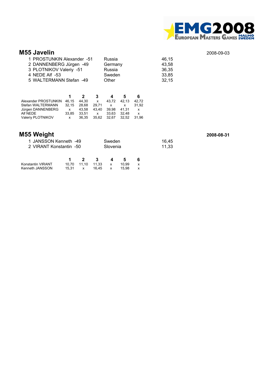

#### **M55 Javelin** 2008-09-03

| 1 PROSTUNKIN Alexander -51 | Russia  | 46.15 |
|----------------------------|---------|-------|
| 2 DANNENBERG Jürgen -49    | Germany | 43.58 |
| 3 PLOTNIKOV Valeriy -51    | Russia  | 36,35 |
| 4 NEDE Alf -53             | Sweden  | 33,85 |
| 5 WALTERMANN Stefan -49    | Other   | 32,15 |

|                      |          | 2     | -3.          |                   |       |       |
|----------------------|----------|-------|--------------|-------------------|-------|-------|
| Alexander PROSTUNKIN | 46.15    | 44.30 | x            | 43.72             | 42.13 | 42.72 |
| Stefan WALTERMANN    | 32.15    | 28.68 | 29.71        | $\mathbf{x}$      |       | 31.92 |
| Jürgen DANNENBERG    | x        | 43.58 | 43.40        | 39.98             | 41.31 | x     |
| Alf NEDE             | 33.85    | 33.51 | $\mathsf{x}$ | 33.63             | 32.48 | x     |
| Valeriy PLOTNIKOV    | <b>X</b> | 36.35 |              | 35.62 32.67 32.52 |       | 31.96 |

| M55 Weight              |          |       | 2008-08-31 |
|-------------------------|----------|-------|------------|
| 1 JANSSON Kenneth -49   | Sweden   | 16.45 |            |
| 2 VIRANT Konstantin -50 | Slovenia | 11.33 |            |
|                         |          |       |            |

| Konstantin VIRANT |       | 10.70 11.10 11.33 |       | $\mathsf{x}$ | 10.99 |  |
|-------------------|-------|-------------------|-------|--------------|-------|--|
| Kenneth JANSSON   | 15.31 | $\mathsf{X}$      | 16.45 |              | 15.98 |  |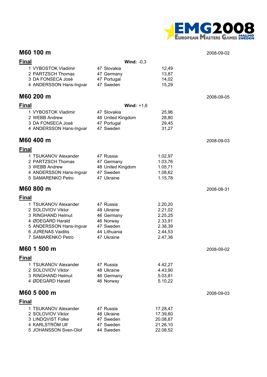

#### **M60 100 m** 2008-09-02

| <b>Final</b> |                         | Wind: $-0.3$      |          |            |
|--------------|-------------------------|-------------------|----------|------------|
|              | 1 VYBOSTOK Vladimir     | 47 Slovakia       | 12,49    |            |
|              | 2 PARTZSCH Thomas       | 47 Germany        | 13,87    |            |
|              | 3 DA FONSECA José       | 47 Portugal       | 14,02    |            |
|              | 4 ANDERSSON Hans-Ingvar | 47 Sweden         | 15,29    |            |
|              | M60 200 m               |                   |          | 2008-09-05 |
| <b>Final</b> |                         | Wind: $+1,6$      |          |            |
|              | 1 VYBOSTOK Vladimir     | 47 Slovakia       | 25,96    |            |
|              | 2 WEBB Andrew           | 48 United Kingdom | 28,80    |            |
|              | 3 DA FONSECA José       | 47 Portugal       | 29,45    |            |
|              | 4 ANDERSSON Hans-Ingvar | 47 Sweden         | 31,27    |            |
|              | M60 400 m               |                   |          | 2008-09-03 |
| <b>Final</b> |                         |                   |          |            |
|              | 1 TSUKANOV Alexander    | 47 Russia         | 1.02,97  |            |
|              | 2 PARTZSCH Thomas       | 47 Germany        | 1.03,76  |            |
|              | 3 WEBB Andrew           | 48 United Kingdom | 1.05,71  |            |
|              | 4 ANDERSSON Hans-Ingvar | 47 Sweden         | 1.08,62  |            |
|              | 5 SAMARENKO Petro       | 47 Ukraine        | 1.15,78  |            |
|              | M60 800 m               |                   |          | 2008-08-31 |
| <b>Final</b> |                         |                   |          |            |
|              | 1 TSUKANOV Alexander    | 47 Russia         | 2.20,20  |            |
|              | 2 SOLOVIOV Viktor       | 48 Ukraine        | 2.21,02  |            |
|              | 3 RINGHAND Helmut       | 46 Germany        | 2.25,25  |            |
|              | 4 ØDEGÅRD Harald        | 46 Norway         | 2.33,91  |            |
|              | 5 ANDERSSON Hans-Ingvar | 47 Sweden         | 2.38,39  |            |
|              | 6 JURENAS Vaidilis      | 44 Lithuania      | 2.44,53  |            |
|              | 7 SAMARENKO Petro       | 47 Ukraine        | 2.47,36  |            |
|              | M60 1 500 m             |                   |          | 2008-09-02 |
| <b>Final</b> |                         |                   |          |            |
|              | 1 TSUKANOV Alexander    | 47 Russia         | 4.42,27  |            |
|              | 2 SOLOVIOV Viktor       | 48 Ukraine        | 4.43,90  |            |
|              | 3 RINGHAND Helmut       | 46 Germany        | 5.03,81  |            |
|              | 4 ØDEGÅRD Harald        | 46 Norway         | 5.10,22  |            |
|              | M60 5 000 m             |                   |          | 2008-09-03 |
| <b>Final</b> |                         |                   |          |            |
|              | 1 TSUKANOV Alexander    | 47 Russia         | 17.28,47 |            |
|              | 2 SOLOVIOV Viktor       | 48 Ukraine        | 17.39,60 |            |
|              | 3 LINDQVIST Folke       | 47 Sweden         | 20.08,87 |            |
|              | 4 KARLSTRÖM Ulf         | 47 Sweden         | 21.26,10 |            |
|              | 5 JOHANSSON Sven-Olof   | 44 Sweden         | 22.08,52 |            |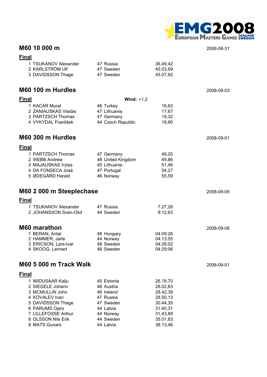

#### **M60 10 000 m** 2008-08-31

| v |  |  |
|---|--|--|

| 1 TSUKANOV Alexander | 47 Russia | 36.49.42 |
|----------------------|-----------|----------|
| 2 KARLSTRÖM Ulf      | 47 Sweden | 45.03.69 |
| 3 DAVIDSSON Thage    | 47 Sweden | 45.07.82 |

#### **M60 100 m Hurdles** 2008-09-03

| <b>Final</b>                  | Wind: $+1,2$      |          |            |
|-------------------------------|-------------------|----------|------------|
| 1 KACAR Murat                 | 46 Turkey         | 16,63    |            |
| 2 ZANIAUSKAS Vladas           | 47 Lithuania      | 17,67    |            |
| 3 PARTZSCH Thomas             | 47 Germany        | 19,32    |            |
| 4 VYKYDAL František           | 44 Czech Republic | 19,90    |            |
| M60 300 m Hurdles             |                   |          | 2008-09-01 |
| <b>Final</b>                  |                   |          |            |
| 1 PARTZSCH Thomas             | 47 Germany        | 49,20    |            |
| 2 WEBB Andrew                 | 48 United Kingdom | 49,86    |            |
| 3 MAJAUSKAS Vytas             | 45 Lithuania      | 51,46    |            |
| 4 DA FONSECA José             | 47 Portugal       | 54,27    |            |
| 5 ØDEGÅRD Harald              | 46 Norway         | 55,59    |            |
| M60 2 000 m Steeplechase      |                   |          | 2008-09-05 |
| <b>Final</b>                  |                   |          |            |
| 1 TSUKANOV Alexander          | 47 Russia         | 7.27,28  |            |
| 2 JOHANSSON Sven-Olof         | 44 Sweden         | 9.12,63  |            |
| <b>M60 marathon</b>           |                   |          | 2008-09-06 |
| 1 BERAN, Antal                | 46 Hungary        | 04:09:26 |            |
| 2 HAMMER, Jarle               | 44 Norway         | 04:13:55 |            |
| 3 ERICSON, Lars-Ivar          | 48 Sweden         | 04:26:02 |            |
| 4 SKOOG, Lennart              | 46 Sweden         | 04:29:06 |            |
| <b>M60 5 000 m Track Walk</b> |                   |          | 2008-09-01 |
| <b>Final</b>                  |                   |          |            |
| 1 NIIDUSAAR Kalju             | 45 Estonia        | 26.18,70 |            |
| 2 SIEGELE Johann              | 48 Austria        | 28.02,83 |            |
| 3 MCMULLIN John               | 46 Ireland        | 28.42,39 |            |
| 4 KOVALEV Ivan                | 47 Russia         | 28.50,13 |            |
| 5 DAVIDSSON Thage             | 47 Sweden         | 30.44,35 |            |

6 PARUMS Ojars 44 Latvia 31.40,31 7 LILLEFOSSE Arthur 44 Norway 31.43,89 8 OLSSON Nils Erik 44 Sweden 35.01,83 9 MATS Gunars **44 Latvia** 38.13,46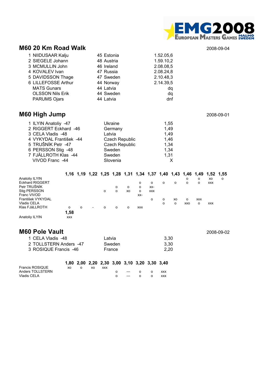

#### **M60 20 Km Road Walk** 2008-09-04

| 1 NIIDUSAAR Kalju       | 45 Estonia | 1.52.05,6 |
|-------------------------|------------|-----------|
| 2 SIEGELE Johann        | 48 Austria | 1.59.10,2 |
| 3 MCMULLIN John         | 46 Ireland | 2.08.08,5 |
| 4 KOVALEV Ivan          | 47 Russia  | 2.08.24,8 |
| 5 DAVIDSSON Thage       | 47 Sweden  | 2.10.48,3 |
| 6 LILLEFOSSE Arthur     | 44 Norway  | 2.14.39,5 |
| <b>MATS Gunars</b>      | 44 Latvia  | dq        |
| <b>OLSSON Nils Erik</b> | 44 Sweden  | dq        |
| <b>PARUMS Ojars</b>     | 44 Latvia  | dnf       |

### **M60 High Jump** 2008-09-01

| 1 ILYIN Anatoliy -47    | Ukraine               | 1,55 |
|-------------------------|-----------------------|------|
| 2 RIGGERT Eckhard -46   | Germany               | 1,49 |
| 3 CELA Vladis -48       | Latvia                | 1,49 |
| 4 VYKYDAL František -44 | <b>Czech Republic</b> | 1,46 |
| 5 TRUŠNÍK Petr -47      | <b>Czech Republic</b> | 1,34 |
| 6 PERSSON Stig -48      | Sweden                | 1,34 |
| 7 FJÄLLROTH Klas -44    | Sweden                | 1,31 |
| VIVOD Franc -44         | Slovenia              |      |

|                        |            | 1,16 1,19 1,22 1,25 1,28 1,31 1,34 1,37 1,40 1,43 1,46 1,49 1,52 1,55 |                          |          |   |         |            |            |          |    |         |            |            |   |
|------------------------|------------|-----------------------------------------------------------------------|--------------------------|----------|---|---------|------------|------------|----------|----|---------|------------|------------|---|
| Anatoliy ILYIN         |            |                                                                       |                          |          |   |         |            |            |          |    | o       | $\circ$    | XO         | O |
| <b>Eckhard RIGGERT</b> |            |                                                                       |                          |          |   |         | o          | $\Omega$   | $\circ$  | o  | o       | $\circ$    | <b>XXX</b> |   |
| Petr TRUŠNÍK           |            |                                                                       |                          |          | о | $\circ$ | o          | XX-        |          |    |         |            |            |   |
| Stig PERSSON           |            |                                                                       |                          | $\circ$  | о | xo      | o          | <b>XXX</b> |          |    |         |            |            |   |
| Franc VIVOD            |            |                                                                       |                          |          |   |         | $XX-$      |            |          |    |         |            |            |   |
| František VYKYDAL      |            |                                                                       |                          |          |   |         |            | $\Omega$   | $\Omega$ | XO | $\circ$ | <b>XXX</b> |            |   |
| Vladis CELA            |            |                                                                       |                          |          |   |         |            |            | o        | o  | XXO     | $\circ$    | <b>XXX</b> |   |
| Klas FJäLLROTH         | o          | o                                                                     | $\overline{\phantom{a}}$ | $\Omega$ | 0 | O       | <b>XXX</b> |            |          |    |         |            |            |   |
|                        | 1,58       |                                                                       |                          |          |   |         |            |            |          |    |         |            |            |   |
| Anatoliy ILYIN         | <b>XXX</b> |                                                                       |                          |          |   |         |            |            |          |    |         |            |            |   |

| <b>M60 Pole Vault</b>  |        |      | 2008-09-02 |
|------------------------|--------|------|------------|
| 1 CELA Vladis -48      | Latvia | 3.30 |            |
| 2 TOLLSTERN Anders -47 | Sweden | 3.30 |            |
| 3 ROSIQUE Francis -46  | France | 2.20 |            |
|                        |        |      |            |

|                        |     |     |            | 1,80 2,00 2,20 2,30 3,00 3,10 3,20 3,30 3,40 |  |            |
|------------------------|-----|-----|------------|----------------------------------------------|--|------------|
| <b>Francis ROSIQUE</b> | XO. | XO. | <b>XXX</b> |                                              |  |            |
| Anders TOLLSTERN       |     |     |            |                                              |  | <b>XXX</b> |
| Vladis CELA            |     |     |            |                                              |  | <b>XXX</b> |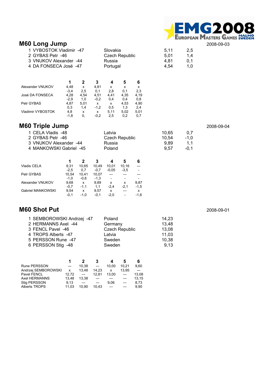# M60 Long Jump<br>M60 Long Jump<br>
2008-09-03

| 1 VYBOSTOK Vladimir -47<br>2 GYBAS Petr -46 | Slovakia<br>Czech Republic | 5.11<br>5.01 | $2.5^{\circ}$<br>$1.4^{\circ}$ |
|---------------------------------------------|----------------------------|--------------|--------------------------------|
| 3 VNUKOV Alexander -44                      | Russia                     | 4.81         | 0.1                            |
| 4 DA FONSECA José -47                       | Portugal                   | 4.54         | 1.0 <sub>1</sub>               |

|        |      | 3      |      | 5    | 6    |
|--------|------|--------|------|------|------|
| 4.48   | x    | 4,81   | x    | x    | x    |
| $-3.4$ | 2.5  | 0.1    | 2.8  | 0.1  | 2,3  |
| 4.28   | 4.54 | 4.51   | 4.41 | 4.35 | 4.19 |
| $-2.9$ | 1.0  | $-0.2$ | 0.4  | 0.4  | 0.8  |
| 4.87   | 5.01 | x      | x    | 4,53 | 4.90 |
| 0.3    | 1.4  | $-1.2$ | 0.5  | 1.3  | 2,4  |
| 4,8    | x    | x      | 5.11 | 5.02 | 5,01 |
| $-1.8$ | 0.   | $-0,2$ | 2,5  | 0.2  | 0.7  |
|        |      |        |      |      |      |

### **M60 Triple Jump** 2008-09-04

| 1 CELA Vladis -48       | Latvia         | 10.65 | 0.7    |
|-------------------------|----------------|-------|--------|
| 2 GYBAS Petr -46        | Czech Republic | 10.54 | $-1.0$ |
| 3 VNUKOV Alexander -44  | Russia         | 9.89  | 1.1    |
| 4 MANKOWSKI Gabriel -45 | Poland         | 9.57  | $-0.1$ |
|                         |                |       |        |

|                   |        |        |        |         | 5      | 6      |
|-------------------|--------|--------|--------|---------|--------|--------|
| Vladis CELA       | 9.31   | 10.65  | 10.49  | 10.01   | 10.16  |        |
|                   | $-2.5$ | 0.7    | $-0.7$ | $-0.05$ | $-3.5$ |        |
| Petr GYBAS        | 10,54  | 10.41  | 10,07  |         |        |        |
|                   | $-1.0$ | $-0.6$ | $-1,3$ |         |        |        |
| Alexander VNUKOV  | 9.68   | x      | 9.89   | x       | x      | 9,87   |
|                   | $-0.7$ | $-1.1$ | 1.1    | $-2.4$  | $-2.1$ | $-1,5$ |
| Gabriel MANKOWSKI | 9.54   | x      | 9.57   | x       |        | x      |
|                   | $-0.1$ | $-1.0$ | $-0.1$ | $-2.0$  |        | $-1,6$ |

### **M60 Shot Put** 2008-09-01

| 1 SEMBOROWSKI Andrzej -47 | Poland                | 14.23 |
|---------------------------|-----------------------|-------|
| 2 HERMANNS Axel -44       | Germany               | 13,48 |
| 3 FENCL Pavel -46         | <b>Czech Republic</b> | 13,08 |
| 4 TROPS Alberts -47       | Latvia                | 11,03 |
| 5 PERSSON Rune -47        | Sweden                | 10,38 |
| 6 PERSSON Stig -48        | Sweden                | 9.13  |

|                      |       |       | 3     |       |       | 6     |
|----------------------|-------|-------|-------|-------|-------|-------|
| <b>Rune PERSSON</b>  | $---$ | 10.38 | $---$ | 10.00 | 10.21 | 9.60  |
| Andrzej SEMBOROWSKI  | x     | 13.48 | 14.23 | x     | 13.95 |       |
| <b>Pavel FENCL</b>   | 12.72 | ---   | 12.81 | 13.00 |       | 13.08 |
| Axel HERMANNS        | 13.48 | 13.38 |       |       |       | 13.15 |
| Stig PERSSON         | 9.13  | ---   |       | 9.06  |       | 8.73  |
| <b>Alberts TROPS</b> | 11.03 | 10.90 | 10.43 |       |       | 9.90  |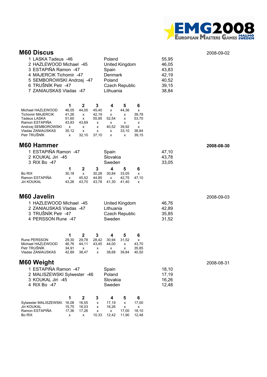

#### **M60 Discus** 2008-09-02

| 1 LASKA Tadeus -46<br>2 HAZLEWOOD Michael -45<br>3 ESTAPIÑA Ramon -47<br>4 MAJERCIK Tichomir -47<br>5 SEMBOROWSKI Andrzej -47<br>6 TRUŠNÍK Petr -47<br>7 ZANIAUSKAS Vladas -47 |                                                                                                                                                                                     | Poland<br>United Kingdom<br>Spain<br>Denmark<br>Poland<br><b>Czech Republic</b><br>Lithuania                                                             | 55,95<br>46,05<br>43,83<br>42,19<br>40,52<br>39,15<br>38,84 |            |
|--------------------------------------------------------------------------------------------------------------------------------------------------------------------------------|-------------------------------------------------------------------------------------------------------------------------------------------------------------------------------------|----------------------------------------------------------------------------------------------------------------------------------------------------------|-------------------------------------------------------------|------------|
| Michael HAZLEWOOD<br>Tichomir MAJERCIK<br>Tadeus LASKA<br>Ramon ESTAPINA<br>Andrzej SEMBOROWSKI<br>Vladas ZANIAUSKAS<br>Petr TRUŠNÍK                                           | $\boldsymbol{2}$<br>3<br>1<br>46,05<br>44,00<br>45,40<br>41,26<br>42,19<br>х<br>51,60<br>x<br>55,95<br>43,83<br>43,69<br>х<br>x<br>х<br>x<br>35,12<br>х<br>x<br>32,10<br>37,10<br>x | 5<br>6<br>4<br>44,36<br>x<br>х<br>39,78<br>х<br>х<br>52,54<br>53,70<br>х<br>х<br>х<br>х<br>40,52<br>39,92<br>х<br>33,10<br>38,84<br>х<br>39,15<br>x<br>x |                                                             |            |
| M60 Hammer                                                                                                                                                                     |                                                                                                                                                                                     |                                                                                                                                                          |                                                             | 2008-08-30 |
| 1 ESTAPIÑA Ramon -47<br>2 KOUKAL Jiri -45<br>3 RIX Bo -47                                                                                                                      |                                                                                                                                                                                     | Spain<br>Slovakia<br>Sweden                                                                                                                              | 47,10<br>43,78<br>33,05                                     |            |
| Bo RIX<br>Ramon ESTAPIÑA<br>Jiri KOUKAL                                                                                                                                        | $\boldsymbol{2}$<br>1<br>3<br>30,18<br>30,28<br>x<br>45,52<br>44,85<br>х<br>43,26<br>43,70<br>43,78                                                                                 | 4<br>5<br>6<br>30,84<br>33,05<br>x<br>47,10<br>42,75<br>x<br>41,30<br>41.40<br>х                                                                         |                                                             |            |
| M60 Javelin                                                                                                                                                                    |                                                                                                                                                                                     |                                                                                                                                                          |                                                             | 2008-09-03 |
| 1 HAZLEWOOD Michael -45<br>2 ZANIAUSKAS Vladas -47<br>3 TRUŠNÍK Petr -47<br>4 PERSSON Rune -47                                                                                 |                                                                                                                                                                                     | United Kingdom<br>Lithuania<br><b>Czech Republic</b><br>Sweden                                                                                           | 46,76<br>42,89<br>35,85<br>31,52                            |            |
| <b>Rune PERSSON</b><br>Michael HAZLEWOOD<br>Petr TRUŠNÍK<br>Vladas ZANIAUSKAS                                                                                                  | $\mathbf 2$<br>1<br>$\mathbf{3}$<br>29,30<br>29,78<br>28,42<br>44,11<br>46,76<br>43,45<br>34,91<br>x<br>х<br>42,89<br>38,47<br>x                                                    | 5<br>6<br>4<br>30,94<br>31,52<br>X<br>44,00<br>43,70<br>х<br>35,85<br>x<br>x<br>38,68<br>39,84<br>40,50                                                  |                                                             |            |
| M60 Weight                                                                                                                                                                     |                                                                                                                                                                                     |                                                                                                                                                          |                                                             | 2008-08-31 |
| 1 ESTAPIÑA Ramon -47<br>2 MALISZEWSKI Sylwester -46<br>3 KOUKAL Jiri -45<br>4 RIX Bo -47                                                                                       |                                                                                                                                                                                     | Spain<br>Poland<br>Slovakia<br>Sweden                                                                                                                    | 18,10<br>17,19<br>16,26<br>12,48                            |            |
| Sylwester MALISZEWSKI<br><b>Jiri KOUKAL</b><br>Ramon ESTAPIÑA                                                                                                                  | $\mathbf 2$<br>1<br>3<br>16,55<br>16,08<br>x<br>15,75<br>16,03<br>x<br>17,36<br>17,26<br>x                                                                                          | 4<br>6<br>5<br>17,19<br>17,00<br>x<br>16,26<br>x<br>x<br>18,10<br>17,00<br>x                                                                             |                                                             |            |

Bo RIX x x 10,33 12,42 11,90 12,48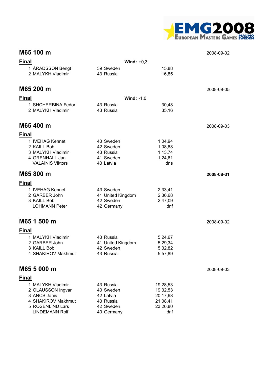

|              | M65 100 m                                                                                                                 |                                                                             |                                                                 | 2008-09-02 |
|--------------|---------------------------------------------------------------------------------------------------------------------------|-----------------------------------------------------------------------------|-----------------------------------------------------------------|------------|
| <b>Final</b> |                                                                                                                           | Wind: $+0,3$                                                                |                                                                 |            |
|              | 1 ÅRADSSON Bengt<br>2 MALYKH Vladimir                                                                                     | 39 Sweden<br>43 Russia                                                      | 15,88<br>16,85                                                  |            |
|              | M65 200 m                                                                                                                 |                                                                             |                                                                 | 2008-09-05 |
| Final        |                                                                                                                           | Wind: $-1,0$                                                                |                                                                 |            |
|              | 1 SHCHERBINA Fedor<br>2 MALYKH Vladimir                                                                                   | 43 Russia<br>43 Russia                                                      | 30,48<br>35,16                                                  |            |
|              | M65 400 m                                                                                                                 |                                                                             |                                                                 | 2008-09-03 |
| Final        |                                                                                                                           |                                                                             |                                                                 |            |
|              | 1 IVEHAG Kennet<br>2 KAILL Bob<br>3 MALYKH Vladimir<br>4 GRENHALL Jan<br><b>VALAINIS Viktors</b>                          | 43 Sweden<br>42 Sweden<br>43 Russia<br>41 Sweden<br>43 Latvia               | 1.04,94<br>1.08,88<br>1.13,74<br>1.24,61<br>dns                 |            |
|              | M65 800 m                                                                                                                 |                                                                             |                                                                 | 2008-08-31 |
| <b>Final</b> |                                                                                                                           |                                                                             |                                                                 |            |
|              | 1 IVEHAG Kennet<br>2 GARBER John<br>3 KAILL Bob<br><b>LOHMANN Peter</b>                                                   | 43 Sweden<br>41 United Kingdom<br>42 Sweden<br>42 Germany                   | 2.33,41<br>2.36,68<br>2.47,09<br>dnf                            |            |
|              | M65 1 500 m                                                                                                               |                                                                             |                                                                 | 2008-09-02 |
| <b>Final</b> |                                                                                                                           |                                                                             |                                                                 |            |
|              | 1 MALYKH Vladimir<br>2 GARBER John<br>3 KAILL Bob<br>4 SHAKIROV Makhmut                                                   | 43 Russia<br>41 United Kingdom<br>42 Sweden<br>43 Russia                    | 5.24,67<br>5.29,34<br>5.32,82<br>5.57,89                        |            |
|              | M65 5 000 m                                                                                                               |                                                                             |                                                                 | 2008-09-03 |
| Final        |                                                                                                                           |                                                                             |                                                                 |            |
|              | 1 MALYKH Vladimir<br>2 OLAUSSON Ingvar<br>3 ANCS Janis<br>4 SHAKIROV Makhmut<br>5 ROSENLIND Lars<br><b>LINDEMANN Rolf</b> | 43 Russia<br>40 Sweden<br>42 Latvia<br>43 Russia<br>42 Sweden<br>40 Germany | 19.28,53<br>19.32,53<br>20.17,68<br>21.08,41<br>23.26,80<br>dnf |            |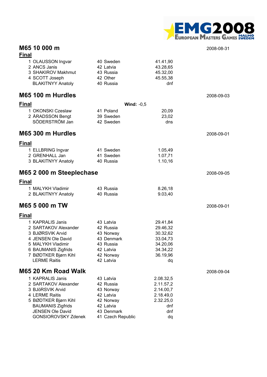

#### **M65 10 000 m** 2008-08-31 **Final**

|              | 1 OLAUSSON Ingvar<br>2 ANCS Janis<br>3 SHAKIROV Makhmut<br>4 SCOTT Joseph<br><b>BLAKITNYY Anatoly</b>                                                                                       | 40 Sweden<br>42 Latvia<br>43 Russia<br>42 Other<br>40 Russia                                                  | 41.41,90<br>43.28,65<br>45.32,00<br>45.55,38<br>dnf                                    |            |
|--------------|---------------------------------------------------------------------------------------------------------------------------------------------------------------------------------------------|---------------------------------------------------------------------------------------------------------------|----------------------------------------------------------------------------------------|------------|
|              | M65 100 m Hurdles                                                                                                                                                                           |                                                                                                               |                                                                                        | 2008-09-03 |
| Final        |                                                                                                                                                                                             |                                                                                                               | Wind: $-0,5$                                                                           |            |
|              | 1 OKONSKI Czeslaw<br>2 ÅRADSSON Bengt<br>SÖDERSTRÖM Jan                                                                                                                                     | 41 Poland<br>39 Sweden<br>42 Sweden                                                                           | 20,09<br>23,02<br>dns                                                                  |            |
|              | M65 300 m Hurdles                                                                                                                                                                           |                                                                                                               |                                                                                        | 2008-09-01 |
| <u>Final</u> |                                                                                                                                                                                             |                                                                                                               |                                                                                        |            |
|              | 1 ELLBRING Ingvar<br>2 GRENHALL Jan<br>3 BLAKITNYY Anatoly                                                                                                                                  | 41 Sweden<br>41 Sweden<br>40 Russia                                                                           | 1.05,49<br>1.07,71<br>1.10,16                                                          |            |
|              | M65 2 000 m Steeplechase                                                                                                                                                                    |                                                                                                               |                                                                                        | 2008-09-05 |
| <b>Final</b> |                                                                                                                                                                                             |                                                                                                               |                                                                                        |            |
|              | 1 MALYKH Vladimir<br>2 BLAKITNYY Anatoly                                                                                                                                                    | 43 Russia<br>40 Russia                                                                                        | 8.26,18<br>9.03,40                                                                     |            |
|              | M65 5 000 m TW                                                                                                                                                                              |                                                                                                               |                                                                                        | 2008-09-01 |
| <b>Final</b> |                                                                                                                                                                                             |                                                                                                               |                                                                                        |            |
|              | 1 KAPRALIS Janis<br>2 SARTAKOV Alexander<br>3 BJØRSVIK Arvid<br>4 JENSEN Ole David<br>5 MALYKH Vladimir<br>6 BAUMANIS Zigfrids<br>7 BØDTKER Bjørn Kihl<br><b>LERME Raitis</b>               | 43 Latvia<br>42 Russia<br>43 Norway<br>43 Denmark<br>43 Russia<br>42 Latvia<br>42 Norway<br>42 Latvia         | 29.41,84<br>29.46,32<br>30.32,62<br>33.04,73<br>34.20,06<br>34.34,22<br>36.19,96<br>dq |            |
|              | M65 20 Km Road Walk                                                                                                                                                                         |                                                                                                               |                                                                                        | 2008-09-04 |
|              | 1 KAPRALIS Janis<br>2 SARTAKOV Alexander<br>3 BJöRSVIK Arvid<br>4 LERME Raitis<br>5 BØDTKER Bjørn Kihl<br><b>BAUMANIS Zigfrids</b><br><b>JENSEN Ole David</b><br><b>GONSIOROVSKY Zdenek</b> | 43 Latvia<br>42 Russia<br>43 Norway<br>42 Latvia<br>42 Norway<br>42 Latvia<br>43 Denmark<br>41 Czech Republic | 2.08.32,5<br>2.11.57,2<br>2.14.00,7<br>2.18.49,0<br>2.32.25,0<br>dnf<br>dnf<br>dq      |            |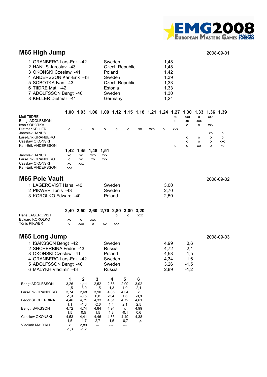

### **M65 High Jump** 2008-09-01

| 1 GRANBERG Lars-Erik -42  | Sweden                | 1,48 |
|---------------------------|-----------------------|------|
| 2 HANUS Jaroslav -43      | <b>Czech Republic</b> | 1,48 |
| 3 OKONSKI Czeslaw -41     | Poland                | 1,42 |
| 4 ANDERSSON Karl-Erik -43 | Sweden                | 1,39 |
| 5 SOBOTKA Ivan -43        | <b>Czech Republic</b> | 1,33 |
| 6 TIIDRE Mati -42         | Estonia               | 1,33 |
| 7 ADOLFSSON Bengt -40     | Sweden                | 1,30 |
| 8 KELLER Dietmar -41      | Germany               | 1,24 |
|                           |                       |      |

|                     |            |                          |           |            | 1,00 1,03 1,06 1,09 1,12 1,15 1,18 1,21 1,24 1,27 |   |    |     |         |            | 1,30 | 1,33       | 1,36 1,39  |          |
|---------------------|------------|--------------------------|-----------|------------|---------------------------------------------------|---|----|-----|---------|------------|------|------------|------------|----------|
| Mati TIIDRE         |            |                          |           |            |                                                   |   |    |     |         | XO         | XXO  | $\circ$    | <b>XXX</b> |          |
| Bengt ADOLFSSON     |            |                          |           |            |                                                   |   |    |     |         | $\circ$    | хo   | <b>XXX</b> |            |          |
| Ivan SOBOTKA        |            |                          |           |            |                                                   |   |    |     |         |            | o    | $\circ$    | <b>XXX</b> |          |
| Dietmar KELLER      | o          | $\overline{\phantom{a}}$ | $\circ$   | $\circ$    | $\Omega$                                          | o | XO | XXO | $\circ$ | <b>XXX</b> |      |            |            |          |
| Jaroslav HANUS      |            |                          |           |            |                                                   |   |    |     |         |            |      |            | XO         | $\circ$  |
| Lars-Erik GRANBERG  |            |                          |           |            |                                                   |   |    |     |         |            | o    | $\circ$    | $\circ$    | $\Omega$ |
| Czeslaw OKONSKI     |            |                          |           |            |                                                   |   |    |     |         |            | o    | $\circ$    | $\circ$    | XXO      |
| Karl-Erik ANDERSSON |            |                          |           |            |                                                   |   |    |     |         | o          | o    | XO         | o          | XO       |
|                     | 1,42       | 1,45                     | 1,48 1,51 |            |                                                   |   |    |     |         |            |      |            |            |          |
| Jaroslav HANUS      | XO         | XO                       | XXO       | <b>XXX</b> |                                                   |   |    |     |         |            |      |            |            |          |
| Lars-Erik GRANBERG  | $\circ$    | XO                       | XO        | <b>XXX</b> |                                                   |   |    |     |         |            |      |            |            |          |
| Czeslaw OKONSKI     | XO         | <b>XXX</b>               |           |            |                                                   |   |    |     |         |            |      |            |            |          |
| Karl-Erik ANDERSSON | <b>XXX</b> |                          |           |            |                                                   |   |    |     |         |            |      |            |            |          |

| <b>M65 Pole Vault</b> |        |      | 2008-09-02 |
|-----------------------|--------|------|------------|
| 1 LAGEROVIST Hans -40 | Sweden | 3.00 |            |
| 2 PIKWER Tönis -43    | Sweden | 2.70 |            |
| 3 KOROLKO Edward -40  | Poland | 2.50 |            |

|                 |     |     |          |    |            | 2,40 2,50 2,60 2,70 2,80 3,00 3,20 |            |
|-----------------|-----|-----|----------|----|------------|------------------------------------|------------|
| Hans LAGERQVIST |     |     |          |    |            |                                    | <b>XXX</b> |
| Edward KOROLKO  | xo. |     | xxx      |    |            |                                    |            |
| Tönis PIKWER    |     | xxo | $\Omega$ | xo | <b>XXX</b> |                                    |            |

| M65 Long Jump | 2008-09-03 |
|---------------|------------|
|---------------|------------|

| 1 ISAKSSON Bengt -42<br>2 SHCHERBINA Fedor -43<br>3 OKONSKI Czeslaw -41<br>4 GRANBERG Lars-Erik -42<br>5 ADOLFSSON Bengt -40<br>6 MALYKH Vladimir -43 |              |              |        | Sweden<br>Russia<br>Poland<br>Sweden<br>Sweden<br>Russia |              |              | 4,99<br>4,72<br>4,53<br>4,34<br>3,26<br>2,89 | 0,6<br>2,1<br>1,5<br>1,6<br>$-1,5$<br>$-1,2$ |
|-------------------------------------------------------------------------------------------------------------------------------------------------------|--------------|--------------|--------|----------------------------------------------------------|--------------|--------------|----------------------------------------------|----------------------------------------------|
|                                                                                                                                                       | 1            | $\mathbf{2}$ | 3      | 4                                                        | 5            | 6            |                                              |                                              |
| Bengt ADOLFSSON                                                                                                                                       | 3,26         | 1,11         | 2,52   | 2,56                                                     | 2,99         | 3,02         |                                              |                                              |
|                                                                                                                                                       | $-1.5$       | $-3,0$       | $-1,5$ | $-1,3$                                                   | 1,9          | 2,1          |                                              |                                              |
| Lars-Erik GRANBERG                                                                                                                                    | 3,74         | 2,68         | 3,90   | 4,06                                                     | 4,34         | $\mathsf{x}$ |                                              |                                              |
|                                                                                                                                                       | $-1,9$       | $-0.5$       | 0,8    | $-3,4$                                                   | 1,6          | $-0.8$       |                                              |                                              |
| <b>Fedor SHCHERBINA</b>                                                                                                                               | 4,46         | 4,71         | 4,33   | 4,51                                                     | 4,72         | 4,61         |                                              |                                              |
|                                                                                                                                                       | 1,1          | $-1,6$       | $-2,6$ | 1,4                                                      | 2,1          | 2,5          |                                              |                                              |
| Bengt ISAKSSON                                                                                                                                        | 4,72         | 4,74         | 4,84   | 4,94                                                     | $\mathsf{x}$ | 4,99         |                                              |                                              |
|                                                                                                                                                       | 1,5          | 0,5          | 1,5    | 1,8                                                      | $-0,1$       | 0,6          |                                              |                                              |
| Czeslaw OKONSKI                                                                                                                                       | 4,53         | 4,41         | 4,46   | 4,35                                                     | 4,49         | 4,38         |                                              |                                              |
|                                                                                                                                                       | 1,5          | $-1,7$       | 2,7    | $-1,5$                                                   | $-0,7$       | $-1,4$       |                                              |                                              |
| <b>Vladimir MALYKH</b>                                                                                                                                | $\mathsf{x}$ | 2,89         |        |                                                          |              |              |                                              |                                              |
|                                                                                                                                                       | $-1,3$       | $-1,2$       |        |                                                          |              |              |                                              |                                              |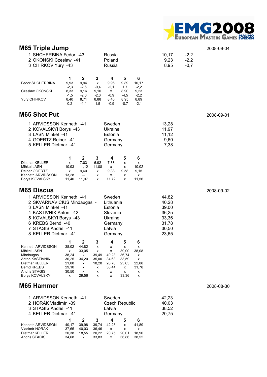

| <b>M65 Triple Jump</b>                                                                                                                                                                            |                                                                   |                                                                                                                              |                                                                                       |                                                               |                                                          |                                                                      |                            | 2008-09-04 |
|---------------------------------------------------------------------------------------------------------------------------------------------------------------------------------------------------|-------------------------------------------------------------------|------------------------------------------------------------------------------------------------------------------------------|---------------------------------------------------------------------------------------|---------------------------------------------------------------|----------------------------------------------------------|----------------------------------------------------------------------|----------------------------|------------|
| 1 SHCHERBINA Fedor -43<br>2 OKONSKI Czeslaw -41<br>3 CHIRKOV Yury -43                                                                                                                             |                                                                   |                                                                                                                              | Russia<br>Poland<br>Russia                                                            |                                                               |                                                          | 10, 17<br>9,23<br>8,95                                               | $-2,2$<br>$-2,2$<br>$-0,7$ |            |
| <b>Fedor SHCHERBINA</b><br>Czeslaw OKONSKI<br>Yury CHIRKOV                                                                                                                                        | 1<br>9,93<br>$-2,3$<br>8,33<br>$-1,5$<br>8,40<br>0,2              | $\mathbf 2$<br>3<br>9,94<br>x<br>$-2,6$<br>$-0,4$<br>9,16<br>9,10<br>$-2,0$<br>$-2,3$<br>8,88<br>8,71<br>$-1,1$<br>1,5       | 4<br>9,96<br>$-2,1$<br>x<br>$-0,9$<br>8,46<br>$-0,9$                                  | 5<br>9,89<br>1,7<br>8,90<br>$-4,5$<br>8,95<br>$-0,7$          | 6<br>10,17<br>$-2,2$<br>9,23<br>$-2,2$<br>8,89<br>$-2,1$ |                                                                      |                            |            |
| M65 Shot Put                                                                                                                                                                                      |                                                                   |                                                                                                                              |                                                                                       |                                                               |                                                          |                                                                      |                            | 2008-09-01 |
| 1 ARVIDSSON Kenneth -41<br>2 KOVALSKYI Borys -43<br>3 LASN Mihkel -41<br>4 GOERTZ Reiner -41<br>5 KELLER Dietmar -41                                                                              |                                                                   |                                                                                                                              | Sweden<br>Ukraine<br>Estonia<br>Germany<br>Germany                                    |                                                               |                                                          | 13,28<br>11,97<br>11,12<br>9,60<br>7,38                              |                            |            |
| Dietmar KELLER<br>Mihkel LASN<br><b>Reiner GOERTZ</b><br>Kenneth ARVIDSSON<br>Borys KOVALSKYI                                                                                                     | 1<br>x<br>10,93<br>x<br>13,28<br>11,40                            | $\mathbf{2}$<br>3<br>7,03<br>6,92<br>11,12<br>11,08<br>9,60<br>x<br>---<br>x<br>11,97<br>x                                   | 4<br>7,38<br>x<br>9,38<br>x<br>11,72                                                  | 5<br>х<br>x<br>9,58<br>х<br>x                                 | 6<br>x<br>10,02<br>9,15<br>x<br>11,56                    |                                                                      |                            |            |
| M65 Discus                                                                                                                                                                                        |                                                                   |                                                                                                                              |                                                                                       |                                                               |                                                          |                                                                      |                            | 2008-09-02 |
| 1 ARVIDSSON Kenneth -41<br>2 SKVARNAVICIUS Mindaugas -<br>3 LASN Mihkel -41<br>4 KASTIVNIK Anton -42<br>5 KOVALSKYI Borys -43<br>6 KREBS Bernd -40<br>7 STAGIS Andris -41<br>8 KELLER Dietmar -41 |                                                                   |                                                                                                                              | Sweden<br>Lithuania<br>Estonia<br>Slovenia<br>Ukraine<br>Germany<br>Latvia<br>Germany |                                                               |                                                          | 44,82<br>40,28<br>39,00<br>36,25<br>33,36<br>31,78<br>30,50<br>23,65 |                            |            |
| Kenneth ARVIDSSON<br>Mihkel LASN<br>Mindaugas<br>Anton KASTIVNIK<br>Dietmar KELLER<br><b>Bernd KREBS</b><br>Andris STAGIS<br>Borys KOVALSKYI                                                      | 1<br>38,02<br>x<br>38,24<br>36,25<br>21,08<br>29,10<br>30,50<br>x | $\mathbf 2$<br>3<br>44,82<br>х<br>33,05<br>x<br>39,49<br>x<br>34,20<br>35,00<br>18,28<br>x<br>х<br>x<br>x<br>x<br>29,56<br>x | 4<br>x<br>x<br>40,28<br>34,68<br>20,70<br>30,44<br>x<br>x                             | 5<br>х<br>39,00<br>36,74<br>33,59<br>23,65<br>x<br>x<br>33,36 | 6<br>х<br>38,08<br>х<br>х<br>22,88<br>31,78<br>х<br>x    |                                                                      |                            |            |
| M65 Hammer                                                                                                                                                                                        |                                                                   |                                                                                                                              |                                                                                       |                                                               |                                                          |                                                                      |                            | 2008-08-30 |
| 1 ARVIDSSON Kenneth -41<br>2 HORÁK Vladimír -39<br>3 STAGIS Andris -41<br>4 KELLER Dietmar -41                                                                                                    |                                                                   |                                                                                                                              | Sweden<br><b>Czech Republic</b><br>Latvia<br>Germany                                  |                                                               |                                                          | 42,23<br>40,03<br>38,52<br>20,75                                     |                            |            |
| Kenneth ARVIDSSON<br>Vladimír HORÁK                                                                                                                                                               | 1<br>40,17<br>37,65                                               | $\mathbf 2$<br>3<br>39,98<br>39,74<br>40,03<br>36,46                                                                         | 4<br>42,23<br>x                                                                       | 5<br>x<br>х                                                   | 6<br>41,89<br>х                                          |                                                                      |                            |            |

Dietmar KELLER 20,38 18,55 20,22 20,75 20,01 18,90 Andris STAGIS 34,68 x 33,83 x 36,86 38,52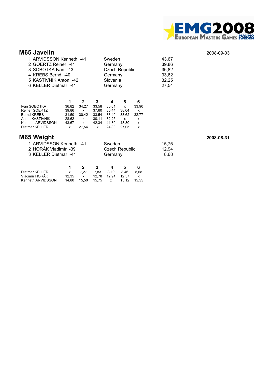

| <b>M65 Javelin</b>      |                       |       | 2008-09-03 |
|-------------------------|-----------------------|-------|------------|
| 1 ARVIDSSON Kenneth -41 | Sweden                | 43.67 |            |
| 2 GOERTZ Reiner -41     | Germany               | 39,86 |            |
| 3 SOBOTKA Ivan -43      | <b>Czech Republic</b> | 36,82 |            |
| 4 KREBS Bernd -40       | Germany               | 33,62 |            |
| 5 KASTIVNIK Anton -42   | Slovenia              | 32,25 |            |
| 6 KELLER Dietmar -41    | Germany               | 27,54 |            |

|                   |       |       | 3     |       | 5     | 6     |
|-------------------|-------|-------|-------|-------|-------|-------|
| Ivan SOBOTKA      | 36.82 | 34.27 | 33.58 | 35.61 | x     | 33.90 |
| Reiner GOERTZ     | 39.86 | x     | 37.60 | 35.44 | 38.04 | x     |
| Bernd KREBS       | 31.50 | 30.42 | 33.54 | 33.40 | 33.62 | 32.77 |
| Anton KASTIVNIK   | 28.62 | x     | 30.11 | 32.25 | x     | x     |
| Kenneth ARVIDSSON | 43.67 | X     | 42.34 | 41.30 | 43.30 | х     |
| Dietmar KELLER    | x     | 27.54 | x     | 24.88 | 27.05 | x     |
|                   |       |       |       |       |       |       |

### **M65 Weight 2008-08-31**

| 1 ARVIDSSON Kenneth -41 | Sweden                | 15.75 |
|-------------------------|-----------------------|-------|
| 2 HORÁK Vladimír -39    | <b>Czech Republic</b> | 12.94 |
| 3 KELLER Dietmar -41    | Germany               | 8.68  |
|                         |                       |       |

|                   |              | $\overline{\mathbf{z}}$ | $\mathbf{3}$              | $\mathbf{A}$ | - 5 |      |
|-------------------|--------------|-------------------------|---------------------------|--------------|-----|------|
| Dietmar KELLER    | $\mathsf{X}$ | 7.27                    | 7.83 8.10 8.46            |              |     | 8.68 |
| Vladimír HORÁK    | 12.35        | $\mathbf{x}$            |                           |              |     |      |
| Kenneth ARVIDSSON | 14.80        |                         | 15.50 15.75 x 15.12 15.55 |              |     |      |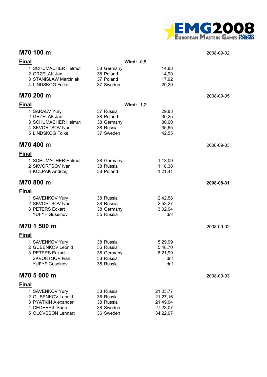

### **M70 100 m** 2008-09-02

| Fin <u>al</u> |                                                |                         | Wind: $-0,8$         |            |
|---------------|------------------------------------------------|-------------------------|----------------------|------------|
|               | 1 SCHUMACHER Helmut<br>2 GRZELAK Jan           | 38 Germany<br>38 Poland | 14,88<br>14,90       |            |
|               | 3 STANISLAW Marciniak                          | 37 Poland               | 17,92                |            |
|               | 4 LINDSKOG Folke                               | 37 Sweden               | 20,29                |            |
|               | M70 200 m                                      |                         |                      | 2008-09-05 |
| Final         |                                                |                         | Wind: $-1,2$         |            |
|               | 1 SARAEV Yury                                  | 37 Russia               | 29,83                |            |
|               | 2 GRZELAK Jan                                  | 38 Poland               | 30,25                |            |
|               | 3 SCHUMACHER Helmut<br>4 SKVORTSOV Ivan        | 38 Germany<br>38 Russia | 30,60<br>35,65       |            |
|               | 5 LINDSKOG Folke                               | 37 Sweden               | 42,55                |            |
|               | M70 400 m                                      |                         |                      | 2008-09-03 |
| <u>Final</u>  |                                                |                         |                      |            |
|               | 1 SCHUMACHER Helmut                            | 38 Germany              | 1.13,09              |            |
|               | 2 SKVORTSOV Ivan                               | 38 Russia               | 1.18,38              |            |
|               | 3 KOLPAK Andrzej                               | 38 Poland               | 1.21,41              |            |
|               | M70 800 m                                      |                         |                      | 2008-08-31 |
| <u>Final</u>  |                                                |                         |                      |            |
|               | 1 SAVENKOV Yury                                | 38 Russia               | 2.42,58              |            |
|               | 2 SKVORTSOV Ivan                               | 38 Russia               | 2.53,27              |            |
|               | 3 PETERS Eckart                                | 38 Germany              | 3.02,94              |            |
|               | <b>YUFYF Guseinov</b>                          | 35 Russia               | dnf                  |            |
|               | M70 1 500 m                                    |                         |                      | 2008-09-02 |
| Final         |                                                |                         |                      |            |
|               | 1 SAVENKOV Yury                                | 38 Russia               | 5.29,99              |            |
|               | 2 GUBENKOV Leonid                              | 36 Russia               | 5.48,70              |            |
|               | 3 PETERS Eckart                                | 38 Germany              | 6.21,99              |            |
|               | <b>SKVORTSOV Ivan</b><br><b>YUFYF Guseinov</b> | 38 Russia<br>35 Russia  | dnf<br>dnf           |            |
|               |                                                |                         |                      |            |
|               | M70 5 000 m                                    |                         |                      | 2008-09-03 |
| Final         |                                                |                         |                      |            |
|               | 1 SAVENKOV Yury                                | 38 Russia               | 21.03,77             |            |
|               | 2 GUBENKOV Leonid<br>3 PYATKIN Alexander       | 36 Russia               | 21.27,16             |            |
|               | 4 CEDERPIL Sune                                | 38 Russia<br>38 Sweden  | 21.49,04<br>27.23,07 |            |
|               | 5 OLOVSSON Lennart                             | 36 Sweden               | 34.22,67             |            |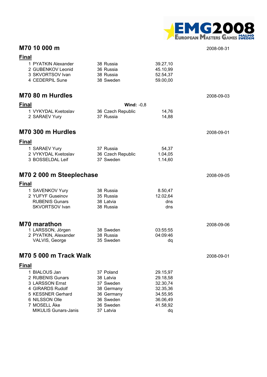

## **M70 10 000 m** 2008-08-31

**Final**

| 1 PYATKIN Alexander<br>2 GUBENKOV Leonid<br>3 SKVORTSOV Ivan<br>4 CEDERPIL Sune                                                                                | 38 Russia<br>36 Russia<br>38 Russia<br>38 Sweden                                                       | 39.27,10<br>45.10,99<br>52.54,37<br>59.00,00                                           |            |
|----------------------------------------------------------------------------------------------------------------------------------------------------------------|--------------------------------------------------------------------------------------------------------|----------------------------------------------------------------------------------------|------------|
| M70 80 m Hurdles                                                                                                                                               |                                                                                                        |                                                                                        | 2008-09-03 |
| <b>Final</b>                                                                                                                                                   | Wind: $-0,8$                                                                                           |                                                                                        |            |
| 1 VYKYDAL Kvetoslav<br>2 SARAEV Yury                                                                                                                           | 36 Czech Republic<br>37 Russia                                                                         | 14,76<br>14,88                                                                         |            |
| M70 300 m Hurdles                                                                                                                                              |                                                                                                        |                                                                                        | 2008-09-01 |
| <b>Final</b>                                                                                                                                                   |                                                                                                        |                                                                                        |            |
| 1 SARAEV Yury<br>2 VYKYDAL Kvetoslav<br>3 BOSSELDAL Leif                                                                                                       | 37 Russia<br>36 Czech Republic<br>37 Sweden                                                            | 54,37<br>1.04,05<br>1.14,60                                                            |            |
| M70 2 000 m Steeplechase                                                                                                                                       |                                                                                                        |                                                                                        | 2008-09-05 |
| <b>Final</b>                                                                                                                                                   |                                                                                                        |                                                                                        |            |
| 1 SAVENKOV Yury<br>2 YUFYF Guseinov<br><b>RUBENIS Gunars</b><br><b>SKVORTSOV Ivan</b>                                                                          | 38 Russia<br>35 Russia<br>38 Latvia<br>38 Russia                                                       | 8.50,47<br>12.02,64<br>dns<br>dns                                                      |            |
| <b>M70 marathon</b>                                                                                                                                            |                                                                                                        |                                                                                        | 2008-09-06 |
| 1 LARSSON, Jörgen<br>2 PYATKIN, Alexander<br>VALVIS, George                                                                                                    | 38 Sweden<br>38 Russia<br>35 Sweden                                                                    | 03:55:55<br>04:09:46<br>dq                                                             |            |
| M70 5 000 m Track Walk                                                                                                                                         |                                                                                                        |                                                                                        | 2008-09-01 |
| <b>Final</b>                                                                                                                                                   |                                                                                                        |                                                                                        |            |
| 1 BIALOUS Jan<br>2 RUBENIS Gunars<br>3 LARSSON Ernst<br>4 GIRARDS Rudolf<br>5 KESSNER Gerhard<br>6 NILSSON Olle<br>7 MOSELL Åke<br><b>MIKULIS Gunars-Janis</b> | 37 Poland<br>38 Latvia<br>37 Sweden<br>38 Germany<br>36 Germany<br>36 Sweden<br>36 Sweden<br>37 Latvia | 29.15,97<br>29.18,58<br>32.30,74<br>32.35,36<br>34.55,95<br>36.06,49<br>41.58,92<br>dq |            |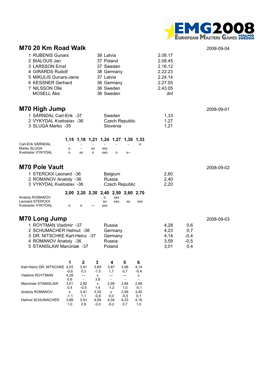

#### **M70 20 Km Road Walk** 2008-09-04

| 1 RUBENIS Gunars<br>2 BIALOUS Jan<br>3 LARSSON Ernst<br>4 GIRARDS Rudolf<br>5 MIKULIS Gunars-Janis<br>6 KESSNER Gerhard<br>7 NILSSON Olle | 38 Latvia<br>37 Poland<br>37 Sweden<br>38 Germany<br>37 Latvia<br>36 Germany<br>36 Sweden | 2.08.17<br>2.08.45<br>2.16.12<br>2.22.23<br>2.24.14<br>2.27.55<br>2.43.05 |
|-------------------------------------------------------------------------------------------------------------------------------------------|-------------------------------------------------------------------------------------------|---------------------------------------------------------------------------|
| MOSELL Åke                                                                                                                                | 36 Sweden                                                                                 | dnf                                                                       |
|                                                                                                                                           |                                                                                           |                                                                           |

## **M70 High Jump** 2008-09-01

| 1 SÄRNDAL Carl-Erik -37 | Sweden         | 1.33 |
|-------------------------|----------------|------|
| 2 VYKYDAL Kvetoslav -36 | Czech Republic | 1.27 |
| 3 SLUGA Marko -35       | Slovenia       | 1.21 |

#### **1,15 1,18 1,21 1,24 1,27 1,30 1,33**

| Carl-Erik SÄRNDAL | $\overline{\phantom{0}}$ | $\overline{\phantom{0}}$ | -  | $\overline{\phantom{a}}$ | $\overline{\phantom{a}}$ | $\overline{\phantom{0}}$ |  |
|-------------------|--------------------------|--------------------------|----|--------------------------|--------------------------|--------------------------|--|
| Marko SLUGA       |                          | $\sim$                   | xo | <b>XXX</b>               |                          |                          |  |
| Kvetoslav VYKYDAL |                          | xΩ.                      | റ  | xxo                      |                          |                          |  |

### **M70 Pole Vault** 2008-09-02

| 1 STERCKX Leonard -36<br>2 ROMANOV Anatoly -36 | <b>Belgium</b><br>Russia           | 2.60<br>2.40 |
|------------------------------------------------|------------------------------------|--------------|
| 3 VYKYDAL Kvetoslav -36                        | Czech Republic                     | 2.20         |
|                                                | 2,00 2,20 2,30 2,40 2,50 2,60 2,70 |              |

| Anatoly ROMANOV   |   |   |       |     | xxx |     |            |
|-------------------|---|---|-------|-----|-----|-----|------------|
| Leonard STERCKX   |   |   |       | xо  | xxo | XO. | <b>XXX</b> |
| Kvetoslav VYKYDAL | n | n | $---$ | xxx |     |     |            |

#### **M70 Long Jump**

| 1 ROYTMAN Vladimir -37        | Russia  | 4.28  | 0.6    |
|-------------------------------|---------|-------|--------|
| 2 SCHUMACHER Helmut -38       | Germany | 4.23  | 0.7    |
| 3 DR. NITSCHKE Karl-Heinz -37 | Germany | 4.14  | $-0.4$ |
| 4 ROMANOV Anatoly -36         | Russia  | 3.59  | $-0.5$ |
| 5 STANISLAW Marciniak -37     | Poland  | -3.01 | 0.4    |

|                              |        | 2      | 3      | 4      | 5      | 6      |
|------------------------------|--------|--------|--------|--------|--------|--------|
| Karl-Heinz DR. NITSCHKE 4,03 |        | 3.91   | 3,89   | 3,87   | 3,98   | 4,14   |
|                              | $-0,6$ | 0,3    | $-1,5$ | 1.7    | 0,7    | $-0.4$ |
| <b>Vladimir ROYTMAN</b>      | 4,28   |        | x      |        |        | x      |
|                              | 0,6    |        | 3,8    |        |        |        |
| <b>Marciniak STANISLAW</b>   | 3,01   | 2,82   | x      | 2,99   | 2,84   | 2,88   |
|                              | 0,4    | $-0.5$ | 1.4    | $-1.2$ | 1.0    | $-0,1$ |
| Anatoly ROMANOV              | x      | 3.41   | 3,35   | x      | 3.59   | 3,40   |
|                              | $-1.1$ | 1.1    | $-0.8$ | 0.0    | $-0.5$ | 0.1    |
| <b>Helmut SCHUMACHER</b>     | 3,88   | 3.91   | 4,09   | 4.04   | 4,23   | 4,16   |
|                              | 1.0    | 0.9    | $-2.0$ | $-0.2$ | 0.7    | 1,0    |

| 2008-09-03 |
|------------|
|------------|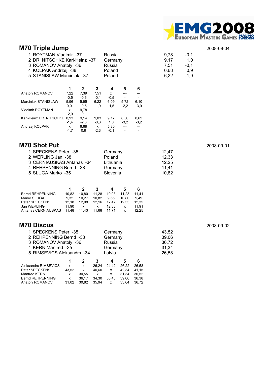

# **M70 Triple Jump** 2008-09-04

| 1 ROYTMAN Vladimir -37<br>2 DR. NITSCHKE Karl-Heinz -37<br>3 ROMANOV Anatoly -36<br>4 KOLPAK Andrzej -38<br>5 STANISLAW Marciniak -37 |        |              | Russia<br>Germany<br>Russia<br>Poland<br>Poland |        |                          | 9,78<br>9,17<br>7.51<br>6,68<br>6,22 | $-0,1$<br>1,0<br>$-0,1$<br>0,9<br>$-1,9$ |  |
|---------------------------------------------------------------------------------------------------------------------------------------|--------|--------------|-------------------------------------------------|--------|--------------------------|--------------------------------------|------------------------------------------|--|
|                                                                                                                                       | 1      | $\mathbf{2}$ | 3                                               | 4      | 5                        | 6                                    |                                          |  |
| Anatoly ROMANOV                                                                                                                       | 7,22   | 7.39         | 7.51                                            | x      |                          |                                      |                                          |  |
|                                                                                                                                       | $-0.5$ | $-0.6$       | $-0,1$                                          | $-0.5$ |                          |                                      |                                          |  |
| <b>Marciniak STANISLAW</b>                                                                                                            | 5,96   | 5,95         | 6,22                                            | 6,09   | 5,72                     | 6,10                                 |                                          |  |
|                                                                                                                                       | 0, 0,  | $-0.5$       | $-1,9$                                          | $-1,5$ | $-2,2$                   | $-3.9$                               |                                          |  |
| <b>Vladimir ROYTMAN</b>                                                                                                               | x      | 9,78         | $---$                                           | ---    | ---                      | $---$                                |                                          |  |
|                                                                                                                                       | $-2.9$ | $-0,1$       |                                                 | -      | $\overline{\phantom{a}}$ |                                      |                                          |  |
| Karl-Heinz DR. NITSCHKE 8.93                                                                                                          |        | 9,14         | 9,03                                            | 9.17   | 8,50                     | 8,62                                 |                                          |  |
|                                                                                                                                       | $-1,4$ | $-2,3$       | $-0.3$                                          | 1,0    | $-3,2$                   | $-3,2$                               |                                          |  |
| Andrzej KOLPAK                                                                                                                        | x      | 6,68         | х                                               | 5,30   | $---$                    |                                      |                                          |  |
|                                                                                                                                       | $-1,7$ | 0,9          | $-2,3$                                          | $-0,1$ | $\overline{\phantom{0}}$ |                                      |                                          |  |

#### **M70 Shot Put** 2008-09-01

| 1 SPECKENS Peter -35      | Germany   | 12.47 |
|---------------------------|-----------|-------|
| 2 WERLING Jan -38         | Poland    | 12.33 |
| 3 CERNIAUSKAS Antanas -34 | Lithuania | 12.25 |
| 4 REHPENNING Bernd -38    | Germany   | 11.41 |
| 5 SLUGA Marko -35         | Slovenia  | 10.82 |

|       | 2            | з     | 4     |                                                            | 6     |
|-------|--------------|-------|-------|------------------------------------------------------------|-------|
| 10.82 | 10.80        | 11.28 | 10.93 | 11.23                                                      | 11.41 |
| 9.32  | 10.27        | 10.82 | 9.65  | 10.80                                                      | 9.49  |
| 12.18 | 12.08        |       |       | 12.33                                                      | 12.35 |
| 11.90 | $\mathsf{X}$ | x     | 12.33 | x                                                          | 11.91 |
|       |              |       |       | x                                                          | 12.25 |
|       |              |       |       | 12.16 12.47<br>Antanas CERNIAUSKAS 11.48 11.43 11.68 11.71 |       |

## **M70 Discus** 2008-09-02

| 1 SPECKENS Peter -35       |       |       |                           | Germany      |       |       | 43,52 |
|----------------------------|-------|-------|---------------------------|--------------|-------|-------|-------|
| 2 REHPENNING Bernd -38     |       |       |                           | Germany      |       |       | 39,06 |
| 3 ROMANOV Anatoly -36      |       |       |                           | Russia       |       |       | 36,72 |
| 4 KERN Manfred -35         |       |       |                           | Germany      |       |       | 31,34 |
| 5 RIMSEVICS Aleksandrs -34 |       |       |                           | Latvia       |       |       | 26,58 |
|                            |       | 2     | 3                         | 4            | 5     | 6     |       |
| Aleksandrs RIMSEVICS       | x     | x     | 26.24                     | 24.42        | 26.22 | 26.58 |       |
| Peter SPECKENS             | 43.52 | x     | 40,60                     | $\mathsf{x}$ | 42.34 | 41.15 |       |
| Manfred KERN               | x     | 30,55 | $\boldsymbol{\mathsf{x}}$ | x            | 31.34 | 30.52 |       |
| Bernd REHPENNING           | x     | 36,17 | 34,30                     | 36.48        | 39,06 | 36,38 |       |
| Anatoly ROMANOV            | 31,02 | 30,82 | 35.94                     | x            | 33.64 | 36,72 |       |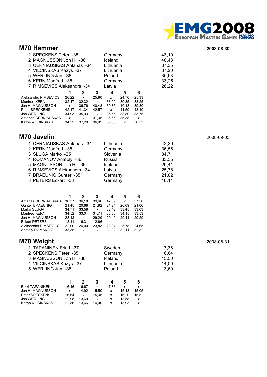

#### **M70 Hammer** 2008-08-30

| 1 SPECKENS Peter -35<br>2 MAGNUSSON Jon H. - 36<br>3 CERNIAUSKAS Antanas -34<br>4 VILCINSKAS Kazys -37 |       | Germany<br>Iceland<br>Lithuania<br>Lithuania | 43,10<br>40,48<br>37,35<br>37,20 |              |       |       |       |
|--------------------------------------------------------------------------------------------------------|-------|----------------------------------------------|----------------------------------|--------------|-------|-------|-------|
| 5 WERLING Jan -38                                                                                      |       |                                              |                                  | Poland       |       |       | 35,93 |
| 6 KERN Manfred -35                                                                                     |       |                                              |                                  | Germany      |       |       | 33,25 |
| 7 RIMSEVICS Aleksandrs -34                                                                             |       | Latvia                                       |                                  |              | 26,22 |       |       |
|                                                                                                        | 1     | 2                                            | 3                                | 4            | 5     | 6     |       |
| Aleksandrs RIMSEVICS                                                                                   | 26.22 | $\mathsf{x}$                                 | 25.80                            | $\mathsf{x}$ | 24.76 | 25.33 |       |
| Manfred KERN                                                                                           | 32.47 | 32.32                                        | $\mathsf{x}$                     | 33.00        | 30.35 | 33.25 |       |
| Jon H. MAGNUSSON                                                                                       | x     | 36,76                                        | 40,48                            | 39,85        | 40,18 | 39,30 |       |
| Peter SPECKENS                                                                                         | 42,17 | 41.34                                        | 42.57                            | $\mathsf{X}$ | 41.59 | 43,10 |       |
| Jan WERLING                                                                                            | 34.93 | 35.93                                        | $\mathsf{x}$                     | 35,55        | 33,80 | 33.75 |       |
| Antanas CERNIAUSKAS                                                                                    | x     | $\mathsf{x}$                                 | 37.35                            | 36.66        | 35.38 | x     |       |
| <b>Kazys VILCINSKAS</b>                                                                                | 34.32 | 37.20                                        | 36.02                            | 35.00        | x     | 36.53 |       |

#### **M70 Javelin** 2008-09-03

| 1 CERNIAUSKAS Antanas -34  | Lithuania | 42,39 |
|----------------------------|-----------|-------|
| 2 KERN Manfred -35         | Germany   | 36,56 |
| 3 SLUGA Marko -35          | Slovenia  | 34,71 |
| 4 ROMANOV Anatoly -36      | Russia    | 33,35 |
| 5 MAGNUSSON Jon H. - 36    | Iceland   | 29,41 |
| 6 RIMSEVICS Aleksandrs -34 | Latvia    | 25.78 |
| 7 BRAEUNIG Gunter -35      | Germany   | 21,82 |
| 8 PETERS Eckart -38        | Germany   | 18,11 |

|                      | 1     | 2     | 3     | 4     | 5     | 6     |
|----------------------|-------|-------|-------|-------|-------|-------|
| Antanas CERNIAUSKAS  | 36.37 | 36.18 | 39.60 | 42.39 | x     | 37.50 |
| Gunter BRAEUNIG      | 21.45 | 20.68 | 21.82 | 21.24 | 20.09 | 21.06 |
| Marko SLUGA          | 34.71 | 33.58 | x     | 32.42 | 33.45 | 33,03 |
| Manfred KERN         | 34.52 | 33.01 | 31.71 | 36.56 | 34.15 | 33,53 |
| Jon H. MAGNUSSON     | 28.13 | x     | 29.29 | 29.40 | 29.41 | 29.29 |
| Eckart PETERS        | 18.11 | 16.31 | 12.66 |       |       |       |
| Aleksandrs RIMSEVICS | 22.00 | 24.00 | 23.83 | 23.97 | 25.78 | 24,65 |
| Anatoly ROMANOV      | 33.35 | x     | x     | 31.32 | 32.11 | 32.32 |

# **M70 Weight** 2008-08-31

| 1 TAPANINEN Erkki -37   | Sweden    | 17.36 |
|-------------------------|-----------|-------|
| 2 SPECKENS Peter -35    | Germany   | 16.64 |
| 3 MAGNUSSON Jon H. - 36 | Iceland   | 15.50 |
| 4 VILCINSKAS Kazys -37  | Lithuania | 14.00 |
| 5 WERLING Jan -38       | Poland    | 13.69 |
|                         |           |       |

|                  |       |       | з     |       | h     | 6     |
|------------------|-------|-------|-------|-------|-------|-------|
| Erkki TAPANINEN  | 16.16 | 16.67 | x     | 17.36 | x     | x     |
| Jon H. MAGNUSSON | x     | 14.92 | 15.50 | x     | 15.43 | 15.05 |
| Peter SPECKENS   | 16.64 | x     | 15.35 | x     | 16.20 | 15.52 |
| Jan WERLING      | 12.98 | 13.69 | x     | x     | 13.58 | x     |
| Kazys VILCINSKAS | 12.86 | 13.66 | 14.00 | x     | 13.93 | x     |
|                  |       |       |       |       |       |       |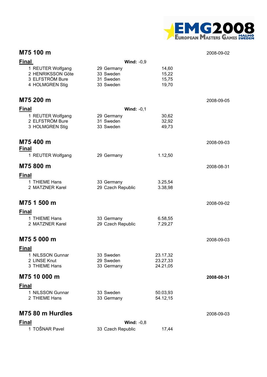

### **M75 100 m** 2008-09-02

| <b>Final</b>                                              | Wind: $-0,9$                         |                         |            |
|-----------------------------------------------------------|--------------------------------------|-------------------------|------------|
| 1 REUTER Wolfgang<br>2 HENRIKSSON Göte<br>3 ELFSTRÖM Bure | 29 Germany<br>33 Sweden<br>31 Sweden | 14,60<br>15,22<br>15,75 |            |
| 4 HOLMGREN Stig                                           | 33 Sweden                            | 19,70                   |            |
| M75 200 m                                                 |                                      |                         | 2008-09-05 |
| <b>Final</b>                                              | Wind: $-0,1$                         |                         |            |
| 1 REUTER Wolfgang<br>2 ELFSTRÖM Bure<br>3 HOLMGREN Stig   | 29 Germany<br>31 Sweden<br>33 Sweden | 30,62<br>32,92<br>49,73 |            |
| M75 400 m<br><b>Final</b>                                 |                                      |                         | 2008-09-03 |
| 1 REUTER Wolfgang                                         | 29 Germany                           | 1.12,50                 |            |
| M75 800 m                                                 |                                      |                         | 2008-08-31 |
| <b>Final</b>                                              |                                      |                         |            |
| 1 THIEME Hans<br>2 MATZNER Karel                          | 33 Germany<br>29 Czech Republic      | 3.25,54<br>3.38,98      |            |
| M75 1 500 m                                               |                                      |                         | 2008-09-02 |
| <b>Final</b>                                              |                                      |                         |            |
| 1 THIEME Hans<br>2 MATZNER Karel                          | 33 Germany<br>29 Czech Republic      | 6.58,55<br>7.29,27      |            |
| M75 5 000 m                                               |                                      |                         | 2008-09-03 |
| <b>Final</b>                                              |                                      |                         |            |
| 1 NILSSON Gunnar                                          | 33 Sweden                            | 23.17,32                |            |
| 2 LINSE Knut<br>3 THIEME Hans                             | 29 Sweden<br>33 Germany              | 23.27,33<br>24.21,05    |            |
| M75 10 000 m                                              |                                      |                         | 2008-08-31 |
| <b>Final</b>                                              |                                      |                         |            |
| 1 NILSSON Gunnar<br>2 THIEME Hans                         | 33 Sweden<br>33 Germany              | 50.03,93<br>54.12,15    |            |
| M75 80 m Hurdles                                          |                                      |                         | 2008-09-03 |
| <b>Final</b>                                              | Wind: $-0,8$                         |                         |            |
| 1 TOŠNAR Pavel                                            | 33 Czech Republic                    | 17,44                   |            |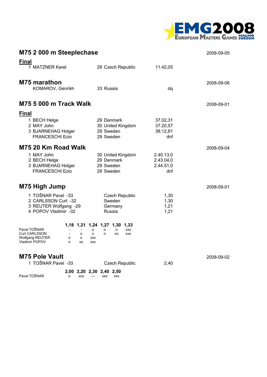

| M75 2 000 m Steeplechase                                                                                                                                  |                                                                                                                                                |                                            | 2008-09-05 |
|-----------------------------------------------------------------------------------------------------------------------------------------------------------|------------------------------------------------------------------------------------------------------------------------------------------------|--------------------------------------------|------------|
| <b>Final</b><br>1 MATZNER Karel                                                                                                                           | 29 Czech Republic                                                                                                                              | 11.42,05                                   |            |
| <b>M75 marathon</b><br>KOMAROV, Genrikh                                                                                                                   | 33 Russia                                                                                                                                      | dq                                         | 2008-09-06 |
| <b>M75 5 000 m Track Walk</b>                                                                                                                             |                                                                                                                                                |                                            | 2008-09-01 |
| <b>Final</b><br>1 BECH Helge<br>2 MAY John<br>3 BJARNEHAG Holger<br><b>FRANCESCHI Ezio</b>                                                                | 29 Denmark<br>30 United Kingdom<br>29 Sweden<br>29 Sweden                                                                                      | 37.02,31<br>37.20,57<br>38.12,81<br>dnf    |            |
| M75 20 Km Road Walk<br>1 MAY John<br>2 BECH Helge<br>3 BJARNEHAG Holger<br><b>FRANCESCHI Ezio</b>                                                         | 30 United Kingdom<br>29 Denmark<br>29 Sweden<br>29 Sweden                                                                                      | 2.40.13,0<br>2.43.04,0<br>2.44.51,0<br>dnf | 2008-09-04 |
| M75 High Jump                                                                                                                                             |                                                                                                                                                |                                            | 2008-09-01 |
| 1 TOŠNAR Pavel -33<br>2 CARLSSON Curt -32<br>3 REUTER Wolfgang -29<br>4 POPOV Vladimir -32                                                                | <b>Czech Republic</b><br>Sweden<br>Germany<br>Russia                                                                                           | 1,30<br>1,30<br>1,21<br>1,21               |            |
| Pavel TOŠNAR<br><b>Curt CARLSSON</b><br>o<br>$\overline{\phantom{a}}$<br><b>Wolfgang REUTER</b><br>o<br>$\circ$<br><b>Vladimir POPOV</b><br>$\circ$<br>XO | 1,18 1,21 1,24 1,27 1,30 1,33<br><b>XXX</b><br>$\Omega$<br>$\Omega$<br>о<br>$\circ$<br>$\circ$<br>XO<br><b>XXX</b><br><b>XXX</b><br><b>XXX</b> |                                            |            |
| <b>M75 Pole Vault</b><br>1 TOŠNAR Pavel -33                                                                                                               | <b>Czech Republic</b>                                                                                                                          | 2,40                                       | 2008-09-02 |
| Pavel TOŠNAR<br>XXO<br>о                                                                                                                                  | 2,00 2,20 2,30 2,40 2,50<br>XXO XXX<br>$\overline{\phantom{a}}$                                                                                |                                            |            |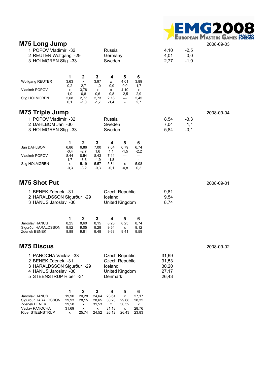

|                                                                                                                                                | <b>MITO LONG AND</b><br>1 POPOV Vladimir -32<br>Russia<br>2 REUTER Wolfgang -29<br>Germany<br>3 HOLMGREN Stig -33<br>Sweden |                                                                   |                                                                 |                                                                                               |                                                                                  |                                                                                                 | 4,10<br>4,01<br>2,77                      | $-2,5$<br>0,0<br>$-1,0$ | 2008-09-03 |
|------------------------------------------------------------------------------------------------------------------------------------------------|-----------------------------------------------------------------------------------------------------------------------------|-------------------------------------------------------------------|-----------------------------------------------------------------|-----------------------------------------------------------------------------------------------|----------------------------------------------------------------------------------|-------------------------------------------------------------------------------------------------|-------------------------------------------|-------------------------|------------|
| Wolfgang REUTER<br>Vladimir POPOV<br>Stig HOLMGREN                                                                                             | 1<br>3,63<br>0,2<br>x<br>1,0<br>2,68<br>0,1                                                                                 | $\mathbf 2$<br>x<br>2,7<br>3,78<br>0,8<br>2,77<br>$-1,0$          | 3<br>3,97<br>$-1,0$<br>X<br>0,6<br>2,73<br>$-1,7$               | 4<br>x<br>$-0,9$<br>x<br>$-0,8$<br>2,18<br>$-1,4$                                             | 5<br>4,01<br>0,0<br>4,10<br>$-2,5$<br>$\hspace{0.05cm} \ldots$<br>$\blacksquare$ | 6<br>3,89<br>1,7<br>х<br>2,9<br>2,45<br>2,7                                                     |                                           |                         |            |
| <b>M75 Triple Jump</b><br>1 POPOV Vladimir -32<br>2 DAHLBOM Jan -30<br>3 HOLMGREN Stig -33                                                     |                                                                                                                             |                                                                   |                                                                 | Russia<br>Sweden<br>Sweden                                                                    |                                                                                  |                                                                                                 | 8,54<br>7,04<br>5,84                      | $-3,3$<br>1,1<br>$-0,1$ | 2008-09-04 |
| Jan DAHLBOM<br>Vladimir POPOV<br>Stig HOLMGREN                                                                                                 | 1<br>6,86<br>$-0.4$<br>8,44<br>1,7<br>x<br>$-0,3$                                                                           | $\mathbf 2$<br>6,86<br>$-2,7$<br>8,54<br>$-3,3$<br>5,19<br>$-3,2$ | $\mathbf{3}$<br>7,00<br>1,6<br>8,43<br>$-1,9$<br>5,57<br>$-0,3$ | 4<br>7,04<br>1,1<br>7,11<br>$-1,8$<br>5,84<br>$-0,1$                                          | 5<br>6,79<br>$-1,5$<br>---<br>$\overline{\phantom{a}}$<br>x<br>$-0,8$            | 6<br>6,74<br>$-2,2$<br>$\hspace{1.5cm} \textbf{---}$<br>$\overline{\phantom{a}}$<br>5,08<br>0,2 |                                           |                         |            |
| <b>M75 Shot Put</b><br>1 BENEK Zdenek -31<br>2 HARALDSSON Sigurður -29<br>3 HANUS Jaroslav -30                                                 |                                                                                                                             |                                                                   |                                                                 | <b>Czech Republic</b><br>Iceland<br>United Kingdom                                            |                                                                                  |                                                                                                 | 9,81<br>9,54<br>8,74                      |                         | 2008-09-01 |
| Jaroslav HANUS<br>Sigurður HARALDSSON<br>Zdenek BENEK                                                                                          | 1<br>8,25<br>9,52<br>8,88                                                                                                   | $\mathbf{2}$<br>8,60<br>9,05<br>9,81                              | 3<br>8,15<br>9,28<br>9,48                                       | 4<br>8,23<br>9,54<br>9,63                                                                     | 5<br>8,25<br>X<br>9,41                                                           | 6<br>8,74<br>9,12<br>9,59                                                                       |                                           |                         |            |
| <b>M75 Discus</b><br>1 PANOCHA Vaclav -33<br>2 BENEK Zdenek -31<br>3 HARALDSSON Sigurður -29<br>4 HANUS Jaroslav -30<br>5 STEENSTRUP Riber -31 |                                                                                                                             |                                                                   |                                                                 | <b>Czech Republic</b><br><b>Czech Republic</b><br>Iceland<br>United Kingdom<br><b>Denmark</b> |                                                                                  |                                                                                                 | 31,69<br>31,53<br>30,20<br>27,17<br>26,43 |                         | 2008-09-02 |
| Jaroslav HANUS<br>Sigurður HARALDSSON<br>Zdenek BENEK<br>Vaclav PANOCHA<br>Riber STEENSTRUP                                                    | 1<br>19,90<br>29,93<br>29,58<br>31,69<br>x                                                                                  | $\mathbf 2$<br>20,28<br>28,15<br>x<br>x<br>25,74                  | 3<br>24,64<br>28,65<br>31,53<br>X<br>24,52                      | 4<br>23,64<br>30,20<br>x<br>31,18<br>26,12                                                    | 5<br>x<br>29,68<br>30,32<br>X<br>26,43                                           | 6<br>27,17<br>28,32<br>x<br>28,76<br>23,83                                                      |                                           |                         |            |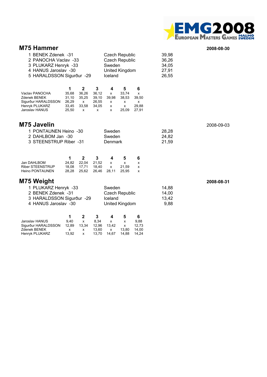

#### **M75 Hammer** 2008-08-30

|                                                                                                                    | 1 BENEK Zdenek -31<br><b>Czech Republic</b><br>2 PANOCHA Vaclav -33<br><b>Czech Republic</b><br>3 PLUKARZ Henryk -33<br>Sweden<br>4 HANUS Jaroslav -30<br>United Kingdom<br>5 HARALDSSON Sigurður -29<br>Iceland |                                                  |                                            |                                |                                         | 39,98<br>36,26<br>34,05<br>27,91<br>26,55 |                                 |            |
|--------------------------------------------------------------------------------------------------------------------|------------------------------------------------------------------------------------------------------------------------------------------------------------------------------------------------------------------|--------------------------------------------------|--------------------------------------------|--------------------------------|-----------------------------------------|-------------------------------------------|---------------------------------|------------|
| Vaclav PANOCHA<br>Zdenek BENEK<br>Sigurður HARALDSSON<br>Henryk PLUKARZ<br>Jaroslav HANUS                          | 1<br>35,68<br>31,10<br>26,29<br>33,45<br>25,50                                                                                                                                                                   | $\mathbf 2$<br>36,26<br>35,25<br>x<br>33,58<br>x | 3<br>36,12<br>39,10<br>26,55<br>34,05<br>x | 4<br>x<br>39,98<br>x<br>x<br>x | 5<br>33,74<br>38,53<br>x<br>x<br>25,09  | 6<br>x<br>39,50<br>x<br>29,88<br>27,91    |                                 |            |
| M75 Javelin<br>Sweden<br>1 PONTAUNEN Heino -30<br>Sweden<br>2 DAHLBOM Jan -30<br>3 STEENSTRUP Riber -31<br>Denmark |                                                                                                                                                                                                                  |                                                  |                                            |                                |                                         | 28,28<br>24,82<br>21,59                   | 2008-09-03                      |            |
| Jan DAHLBOM<br>Riber STEENSTRUP<br>Heino PONTAUNEN                                                                 | 1<br>24,82<br>18,08<br>28,28                                                                                                                                                                                     | $\mathbf 2$<br>22,04<br>17,71<br>25,62           | 3<br>21,52<br>18,40<br>26,46               | 4<br>x<br>x<br>28,11           | 5<br>x<br>21,59<br>25,95                | 6<br>x<br>X<br>x                          |                                 |            |
| M75 Weight<br>1 PLUKARZ Henryk -33<br>2 BENEK Zdenek -31<br>3 HARALDSSON Sigurður -29<br>4 HANUS Jaroslav -30      |                                                                                                                                                                                                                  |                                                  |                                            | Sweden<br>Iceland              | <b>Czech Republic</b><br>United Kingdom |                                           | 14,88<br>14,00<br>13,42<br>9,88 | 2008-08-31 |
| Jaroslav HANUS<br>Sigurður HARALDSSON<br>Zdenek BENEK                                                              | 1<br>9,40<br>12,89                                                                                                                                                                                               | $\mathbf 2$<br>x<br>13,34                        | 3<br>8,34<br>12,96                         | 4<br>x<br>13,42                | 5<br>x<br>x                             | 6<br>9,88<br>12,73                        |                                 |            |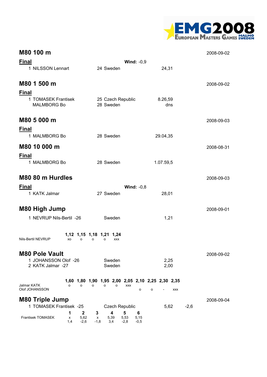

| M80 100 m                                                           |                                                                                     |                 | 2008-09-02 |
|---------------------------------------------------------------------|-------------------------------------------------------------------------------------|-----------------|------------|
| <b>Final</b>                                                        | <b>Wind: -0,9</b>                                                                   |                 |            |
| 1 NILSSON Lennart                                                   | 24 Sweden                                                                           | 24,31           |            |
| M80 1 500 m                                                         |                                                                                     |                 | 2008-09-02 |
|                                                                     |                                                                                     |                 |            |
| <u>Final</u><br>1 TOMASEK Frantisek<br><b>MALMBORG Bo</b>           | 25 Czech Republic<br>28 Sweden                                                      | 8.26,59<br>dns  |            |
| M80 5 000 m                                                         |                                                                                     |                 | 2008-09-03 |
| <b>Final</b>                                                        |                                                                                     |                 |            |
| 1 MALMBORG Bo                                                       | 28 Sweden                                                                           | 29.04,35        |            |
| M80 10 000 m                                                        |                                                                                     |                 | 2008-08-31 |
| <b>Final</b>                                                        |                                                                                     |                 |            |
| 1 MALMBORG Bo                                                       | 28 Sweden                                                                           | 1.07.59,5       |            |
| M80 80 m Hurdles                                                    |                                                                                     |                 | 2008-09-03 |
| <b>Final</b>                                                        | <b>Wind: -0,8</b>                                                                   |                 |            |
| 1 KATK Jalmar                                                       | 27 Sweden                                                                           | 28,01           |            |
| <b>M80 High Jump</b>                                                |                                                                                     |                 |            |
|                                                                     |                                                                                     |                 | 2008-09-01 |
| 1 NEVRUP Nils-Bertil -26                                            | Sweden                                                                              | 1,21            |            |
| <b>Nils-Bertil NEVRUP</b><br>XO<br>o                                | 1,12 1,15 1,18 1,21 1,24<br>o<br>o<br><b>XXX</b>                                    |                 |            |
| <b>M80 Pole Vault</b>                                               |                                                                                     |                 | 2008-09-02 |
| 1 JOHANSSON Olof -26<br>2 KATK Jalmar -27                           | Sweden<br>Sweden                                                                    | 2,25<br>2,00    |            |
| Jalmar KATK<br>o<br>o<br>Olof JOHANSSON                             | 1,60 1,80 1,90 1,95 2,00 2,05 2,10 2,25 2,30 2,35<br>o<br>o<br>о<br><b>XXX</b><br>o | o<br><b>XXX</b> |            |
| <b>M80 Triple Jump</b>                                              |                                                                                     |                 | 2008-09-04 |
| 1 TOMASEK Frantisek -25                                             | <b>Czech Republic</b>                                                               | 5,62<br>$-2,6$  |            |
| $\mathbf 2$<br>1<br>Frantisek TOMASEK<br>5,62<br>x<br>1,4<br>$-2,6$ | 4<br>5<br>6<br>3<br>5,53<br>5,39<br>5,15<br>x<br>$-1,8$<br>3,4<br>$-2,8$<br>$-0,5$  |                 |            |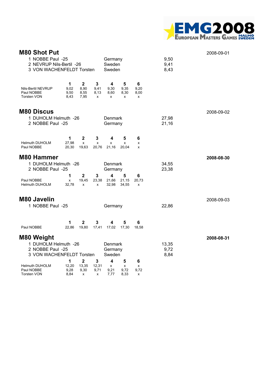

| <b>M80 Shot Put</b><br>1 NOBBE Paul -25<br>Germany<br>2 NEVRUP Nils-Bertil -26<br>Sweden<br>3 VON WACHENFELDT Torsten<br>Sweden |                           |                                       |                        |                                                         |                        |                        | 9,50<br>9,41<br>8,43  | 2008-09-01 |
|---------------------------------------------------------------------------------------------------------------------------------|---------------------------|---------------------------------------|------------------------|---------------------------------------------------------|------------------------|------------------------|-----------------------|------------|
| Nils-Bertil NEVRUP<br>Paul NOBBE<br><b>Torsten VON</b>                                                                          | 1<br>9,02<br>9,50<br>8,43 | $\mathbf 2$<br>8,90<br>8,55<br>7,95   | 3<br>9,41<br>8,13<br>x | 4<br>9,30<br>8,60<br>x                                  | 5<br>9,35<br>8,30<br>x | 6<br>9,20<br>8,00<br>х |                       |            |
| <b>M80 Discus</b><br>1 DUHOLM Helmuth -26<br>2 NOBBE Paul -25                                                                   |                           |                                       |                        | Denmark<br>Germany                                      |                        |                        | 27,98<br>21,16        | 2008-09-02 |
| <b>Helmuth DUHOLM</b><br>Paul NOBBE                                                                                             | 1<br>27,98<br>20,30       | $\mathbf{2}$<br>x<br>19,63            | 3<br>x<br>20,76        | 4<br>x<br>21,16                                         | 5<br>x<br>20,04        | 6<br>x<br>x            |                       |            |
| <b>M80 Hammer</b><br>1 DUHOLM Helmuth -26<br>2 NOBBE Paul -25<br>Paul NOBBE<br><b>Helmuth DUHOLM</b>                            | 1<br>x<br>32,78           | $\overline{\mathbf{2}}$<br>19,45<br>X | 3<br>23,38<br>X        | Denmark<br>Germany<br>4<br>21,66<br>32,98               | 5<br>21,15<br>34,55    | 6<br>20,73<br>X        | 34,55<br>23,38        | 2008-08-30 |
| <b>M80 Javelin</b><br>1 NOBBE Paul -25                                                                                          |                           |                                       |                        | Germany                                                 |                        |                        | 22,86                 | 2008-09-03 |
| Paul NOBBE                                                                                                                      | 1<br>22,86                | $\mathbf{2}$<br>19,80                 | 3<br>17,41             | 4<br>17,02                                              | 5<br>17,30             | 6<br>18,58             |                       |            |
| <b>M80 Weight</b><br>1 DUHOLM Helmuth -26<br>2 NOBBE Paul -25<br>3 VON WACHENFELDT Torsten                                      | 1                         | $\mathbf 2$                           | $\mathbf{3}$           | Denmark<br>Germany<br>Sweden<br>$\overline{\mathbf{4}}$ | 5                      | 6                      | 13,35<br>9,72<br>8,84 | 2008-08-31 |
| <b>Helmuth DUHOLM</b><br>Paul NOBBE<br><b>Torsten VON</b>                                                                       | 12,20<br>9,28<br>8,84     | 13,35<br>9,30<br>x                    | 12,31<br>9,71<br>x     | X<br>9,21<br>7,77                                       | X<br>9,72<br>8,33      | x<br>9,72<br>x         |                       |            |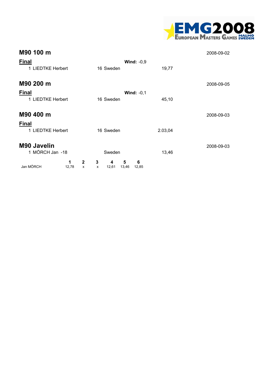

| M90 100 m                         |                                 |                      |                          |         | 2008-09-02 |
|-----------------------------------|---------------------------------|----------------------|--------------------------|---------|------------|
| <b>Final</b><br>1 LIEDTKE Herbert |                                 | 16 Sweden            | Wind: $-0,9$             | 19,77   |            |
| M90 200 m                         |                                 |                      |                          |         | 2008-09-05 |
| <b>Final</b>                      |                                 |                      | Wind: $-0,1$             |         |            |
| 1 LIEDTKE Herbert                 |                                 | 16 Sweden            |                          | 45,10   |            |
| M90 400 m                         |                                 |                      |                          |         | 2008-09-03 |
| <b>Final</b>                      |                                 |                      |                          |         |            |
| 1 LIEDTKE Herbert                 |                                 | 16 Sweden            |                          | 2.03,04 |            |
| M90 Javelin                       |                                 |                      |                          |         | 2008-09-03 |
| 1 MÖRCH Jan -18                   |                                 | Sweden               |                          | 13,46   |            |
| Jan MÖRCH                         | 1<br>$\mathbf{2}$<br>12,78<br>x | 3<br>4<br>12,61<br>x | 6<br>5<br>13,46<br>12,85 |         |            |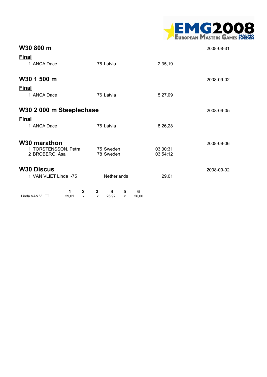|  |                                      | <b>MG2008</b> |  |  |
|--|--------------------------------------|---------------|--|--|
|  | <b>EUROPEAN MASTERS GAMES SWEDEN</b> |               |  |  |

| W30 800 m                                                     |                                                         |                      | 2008-08-31 |
|---------------------------------------------------------------|---------------------------------------------------------|----------------------|------------|
| <b>Final</b><br>1 ANCA Dace                                   | 76 Latvia                                               | 2.35,19              |            |
| W30 1 500 m                                                   |                                                         |                      | 2008-09-02 |
| <b>Final</b><br>1 ANCA Dace                                   | 76 Latvia                                               | 5.27,09              |            |
| W30 2 000 m Steeplechase                                      |                                                         |                      | 2008-09-05 |
| <b>Final</b><br>1 ANCA Dace                                   | 76 Latvia                                               | 8.26,28              |            |
| W30 marathon<br>1 TORSTENSSON, Petra<br>2 BROBERG, Åsa        | 75 Sweden<br>78 Sweden                                  | 03:30:31<br>03:54:12 | 2008-09-06 |
| <b>W30 Discus</b><br>1 VAN VLIET Linda -75                    | Netherlands                                             | 29,01                | 2008-09-02 |
| $\mathbf{2}$<br>1<br>29,01<br>Linda VAN VLIET<br>$\mathsf{x}$ | 3<br>5<br>6<br>4<br>26,92<br>26,00<br>$\mathbf{x}$<br>X |                      |            |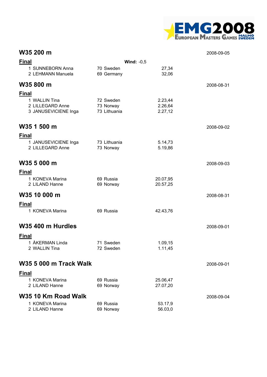

### **W35 200 m** 2008-09-05

| <b>Final</b>                             |                           | Wind: $-0,5$         |            |
|------------------------------------------|---------------------------|----------------------|------------|
| 1 SUNNEBORN Anna<br>2 LEHMANN Manuela    | 70 Sweden<br>69 Germany   | 27,34<br>32,06       |            |
| W35800 m                                 |                           |                      | 2008-08-31 |
| <b>Final</b>                             |                           |                      |            |
| 1 WALLIN Tina<br>2 LILLEGARD Anne        | 72 Sweden                 | 2.23,44<br>2.26,64   |            |
| 3 JANUSEVICIENE Inga                     | 73 Norway<br>73 Lithuania | 2.27,12              |            |
| W35 1 500 m                              |                           |                      | 2008-09-02 |
| <b>Final</b>                             |                           |                      |            |
| 1 JANUSEVICIENE Inga<br>2 LILLEGARD Anne | 73 Lithuania<br>73 Norway | 5.14,73<br>5.19,86   |            |
| W35 5 000 m                              |                           |                      | 2008-09-03 |
| <b>Final</b>                             |                           |                      |            |
| 1 KONEVA Marina<br>2 LILAND Hanne        | 69 Russia<br>69 Norway    | 20.07,95<br>20.57,25 |            |
| W35 10 000 m                             |                           |                      | 2008-08-31 |
| <b>Final</b>                             |                           |                      |            |
| 1 KONEVA Marina                          | 69 Russia                 | 42.43,76             |            |
| W35 400 m Hurdles                        |                           |                      | 2008-09-01 |
| <b>Final</b>                             |                           |                      |            |
| 1 ÅKERMAN Linda<br>2 WALLIN Tina         | 71 Sweden<br>72 Sweden    | 1.09,15<br>1.11,45   |            |
| <b>W35 5 000 m Track Walk</b>            |                           |                      | 2008-09-01 |
| <u>Final</u>                             |                           |                      |            |
| 1 KONEVA Marina<br>2 LILAND Hanne        | 69 Russia<br>69 Norway    | 25.06,47<br>27.07,20 |            |
| W35 10 Km Road Walk                      |                           |                      | 2008-09-04 |
| 1 KONEVA Marina<br>2 LILAND Hanne        | 69 Russia<br>69 Norway    | 53.17,9<br>56.03,0   |            |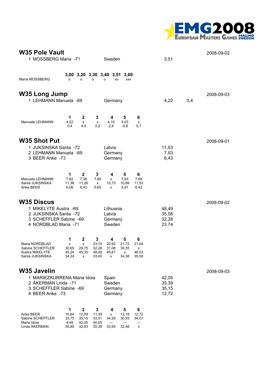

| <b>W35 Pole Vault</b><br>1 MOSSBERG Maria -71<br>Sweden                                                                                                                                                                                                                                                                      | 3,51                             | 2008-09-02 |
|------------------------------------------------------------------------------------------------------------------------------------------------------------------------------------------------------------------------------------------------------------------------------------------------------------------------------|----------------------------------|------------|
| 3,00 3,20 3,30 3,40 3,51 3,60<br>Maria MOSSBERG<br>$\circ$<br>o<br>$\circ$<br>XO<br><b>XXX</b><br>o                                                                                                                                                                                                                          |                                  |            |
| <b>W35 Long Jump</b><br>1 LEHMANN Manuela -69<br>Germany                                                                                                                                                                                                                                                                     | 4,22<br>0,4                      | 2008-09-03 |
| $\mathbf{2}$<br>1<br>3<br>5<br>4<br>6<br>4,22<br>4,03<br>Manuela LEHMANN<br>4,10<br>x<br>X<br>х<br>0,2<br>2,8<br>0,4<br>4,4<br>$-0,8$<br>0,7                                                                                                                                                                                 |                                  |            |
| <b>W35 Shot Put</b><br>1 JUKSINSKA Santa -72<br>Latvia<br>2 LEHMANN Manuela -69<br>Germany<br>3 BEER Anke -73<br>Germany                                                                                                                                                                                                     | 11,53<br>7,93<br>6,43            | 2008-09-01 |
| 1<br>$\mathbf 2$<br>3<br>6<br>4<br>5<br>Manuela LEHMANN<br>7,82<br>7,38<br>7,93<br>7,89<br>7,69<br>x<br>Santa JUKSINSKA<br>11,38<br>11,26<br>10,73<br>10,88<br>11,53<br>x<br>Anke BEER<br>6,06<br>6,43<br>5,65<br>5,91<br>6,42<br>x                                                                                          |                                  |            |
| <b>W35 Discus</b><br>1 MIKELYTE Austra -69<br>Lithuania<br>2 JUKSINSKA Santa -72<br>Latvia<br>3 SCHEFFLER Sabine -69<br>Germany<br>4 NORDBLAD Maria -71<br>Sweden                                                                                                                                                            | 48,49<br>35,58<br>32,28<br>23,74 | 2008-09-02 |
| 3<br>1<br>$\mathbf{2}$<br>6<br>4<br>5<br>Maria NORDBLAD<br>23,74<br>20,93<br>21,72<br>21,04<br>x<br>x<br>Sabine SCHEFFLER<br>30,65<br>29,75<br>32,28<br>31,08<br>30,35<br>$\mathsf{X}$<br>Austra MIKELYTE<br>45,24<br>45,35<br>48,49<br>45,81<br>46,53<br>x<br>Santa JUKSINSKA<br>34,24<br>33,40<br>34,38<br>35,58<br>x<br>x |                                  |            |
| <b>W35 Javelin</b><br>1 MARIEZKURRENA Maria Idoia<br>Spain<br>Sweden<br>2 ÅKERMAN Linda -71<br>3 SCHEFFLER Sabine -69<br>Germany<br>4 BEER Anke -73<br>Germany                                                                                                                                                               | 42,05<br>35,39<br>35,15<br>12,72 | 2008-09-03 |
| $\mathbf 2$<br>3<br>1<br>5<br>6<br>4<br>12,59<br>Anke BEER<br>10,64<br>11,39<br>12,18<br>12,72<br>X<br>Sabine SCHEFFLER<br>33,75<br>35, 15<br>30,93<br>33,51<br>34,20<br>34,07<br>42,05<br>Maria Idoia<br>4,49<br>40,05<br>---<br>---<br>---                                                                                 |                                  |            |

Linda ÅKERMAN 34,85 32,93 35,39 33,55 32,48 x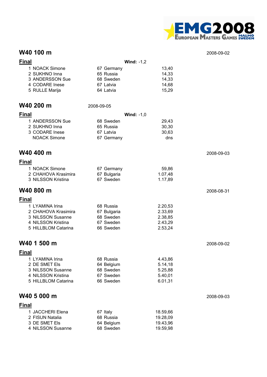

#### **W40 100 m** 2008-09-02

| <b>Final</b>                     | Wind: $-1,2$            |                      |            |
|----------------------------------|-------------------------|----------------------|------------|
| 1 NOACK Simone                   | 67 Germany              | 13,40                |            |
| 2 SUKHNO Inna                    | 65 Russia               | 14,33                |            |
| 3 ANDERSSON Sue                  | 68 Sweden               | 14,33                |            |
| 4 CODARE Inese                   | 67 Latvia               | 14,68                |            |
| 5 RULLE Marija                   | 64 Latvia               | 15,29                |            |
|                                  |                         |                      |            |
| W40 200 m                        | 2008-09-05              |                      |            |
| <b>Final</b>                     | Wind: $-1,0$            |                      |            |
| 1 ANDERSSON Sue                  | 68 Sweden               | 29,43                |            |
| 2 SUKHNO Inna                    | 65 Russia               | 30,30                |            |
| 3 CODARE Inese                   | 67 Latvia               | 30,63                |            |
| <b>NOACK Simone</b>              | 67 Germany              | dns                  |            |
|                                  |                         |                      |            |
| W40 400 m                        |                         |                      | 2008-09-03 |
| <b>Final</b>                     |                         |                      |            |
| 1 NOACK Simone                   | 67 Germany              | 59,86                |            |
| 2 CHAHOVA Krasimira              | 67 Bulgaria             | 1.07,48              |            |
| 3 NILSSON Kristina               | 67 Sweden               | 1.17,89              |            |
| W40 800 m                        |                         |                      |            |
|                                  |                         |                      | 2008-08-31 |
| <b>Final</b>                     |                         |                      |            |
| 1 LYAMINA Irina                  | 68 Russia               | 2.20,53              |            |
| 2 CHAHOVA Krasimira              | 67 Bulgaria             | 2.33,69              |            |
| 3 NILSSON Susanne                | 68 Sweden               | 2.38,85              |            |
| 4 NILSSON Kristina               | 67 Sweden               | 2.43,29              |            |
| 5 HILLBLOM Catarina              | 66 Sweden               | 2.53,24              |            |
| W40 1 500 m                      |                         |                      |            |
|                                  |                         |                      | 2008-09-02 |
| <b>Final</b>                     |                         |                      |            |
| 1 LYAMINA Irina                  | 68 Russia               | 4.43,86              |            |
| 2 DE SMET Els                    | 64 Belgium              | 5.14,18              |            |
| 3 NILSSON Susanne                | 68 Sweden               | 5.25,88              |            |
| 4 NILSSON Kristina               | 67 Sweden               | 5.40,01              |            |
| 5 HILLBLOM Catarina              | 66 Sweden               | 6.01,31              |            |
| W40 5 000 m                      |                         |                      | 2008-09-03 |
|                                  |                         |                      |            |
| <b>Final</b>                     |                         |                      |            |
| 1 JACCHERI Elena                 | 67 Italy                | 18.59,66             |            |
| 2 FISUN Natalia<br>3 DE SMET Els | 68 Russia               | 19.28,09             |            |
| 4 NILSSON Susanne                | 64 Belgium<br>68 Sweden | 19.43,96<br>19.59,98 |            |
|                                  |                         |                      |            |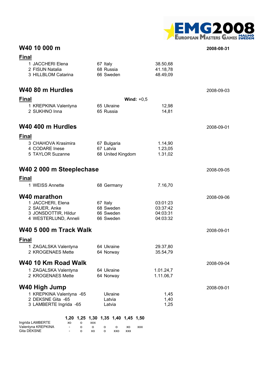

# **W40 10 000 m 2008-08-31**

**Final**

| 1 JACCHERI Elena<br>2 FISUN Natalia                                                                    | 67 Italy<br>68 Russia                                                         | 38.50,68<br>41.18,78 |            |
|--------------------------------------------------------------------------------------------------------|-------------------------------------------------------------------------------|----------------------|------------|
| 3 HILLBLOM Catarina                                                                                    | 66 Sweden                                                                     | 48.49,09             |            |
| W40 80 m Hurdles                                                                                       |                                                                               |                      | 2008-09-03 |
| <b>Final</b>                                                                                           | Wind: $+0,5$                                                                  |                      |            |
| 1 KREPKINA Valentyna<br>2 SUKHNO Inna                                                                  | 65 Ukraine<br>65 Russia                                                       | 12,98<br>14,81       |            |
| W40 400 m Hurdles                                                                                      |                                                                               |                      | 2008-09-01 |
| <b>Final</b>                                                                                           |                                                                               |                      |            |
| 3 CHAHOVA Krasimira<br>4 CODARE Inese                                                                  | 67 Bulgaria<br>67 Latvia                                                      | 1.14,90<br>1.23,05   |            |
| 5 TAYLOR Suzanne                                                                                       | 68 United Kingdom                                                             | 1.31,02              |            |
| W40 2 000 m Steeplechase                                                                               |                                                                               |                      | 2008-09-05 |
| <b>Final</b>                                                                                           |                                                                               |                      |            |
| 1 WEISS Annette                                                                                        | 68 Germany                                                                    | 7.16,70              |            |
| <b>W40 marathon</b>                                                                                    |                                                                               |                      | 2008-09-06 |
| 1 JACCHERI, Elena                                                                                      | 67 Italy                                                                      | 03:01:23             |            |
| 2 SAUER, Anke<br>3 JONSDOTTIR, Hildur                                                                  | 68 Sweden<br>66 Sweden                                                        | 03:37:42<br>04:03:31 |            |
| 4 WESTERLUND, Anneli                                                                                   | 66 Sweden                                                                     | 04:03:32             |            |
| <b>W40 5 000 m Track Walk</b>                                                                          |                                                                               |                      | 2008-09-01 |
| <b>Final</b>                                                                                           |                                                                               |                      |            |
| 1 ZAGALSKA Valentyna                                                                                   | 64 Ukraine                                                                    | 29.37,80             |            |
| 2 KROGENAES Mette                                                                                      | 64 Norway                                                                     | 35.54,79             |            |
| W40 10 Km Road Walk                                                                                    |                                                                               |                      | 2008-09-04 |
| 1 ZAGALSKA Valentyna                                                                                   | 64 Ukraine                                                                    | 1.01.24,7            |            |
| 2 KROGENAES Mette                                                                                      | 64 Norway                                                                     | 1.11.06,7            |            |
| <b>W40 High Jump</b>                                                                                   |                                                                               |                      | 2008-09-01 |
| 1 KREPKINA Valentyna -65                                                                               | Ukraine                                                                       | 1,45                 |            |
| 2 DEKSNE Gita -65<br>3 LAMBERTE Ingrida -65                                                            | Latvia<br>Latvia                                                              | 1,40<br>1,25         |            |
|                                                                                                        | 1,20 1,25 1,30 1,35 1,40 1,45 1,50                                            |                      |            |
| Ingrida LAMBERTE<br>xo<br>о<br>Valentyna KREPKINA<br>о<br>$\overline{\phantom{a}}$<br>Gita DEKSNE<br>o | <b>XXX</b><br>o<br>о<br>o<br>XO<br><b>XXX</b><br>o<br>XO<br>XXO<br><b>XXX</b> |                      |            |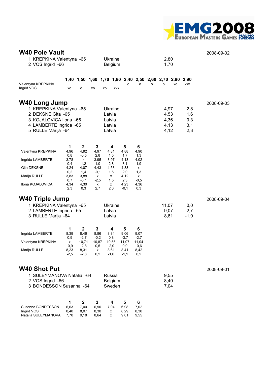

| <b>W40 Pole Vault</b><br>1 KREPKINA Valentyna -65<br>2 VOS Ingrid -66 |                      |                      |                      |        | Ukraine<br><b>Belgium</b> |                                                   |                       |   | 2,80<br>1,70 |    |            | 2008-09-02 |
|-----------------------------------------------------------------------|----------------------|----------------------|----------------------|--------|---------------------------|---------------------------------------------------|-----------------------|---|--------------|----|------------|------------|
| Valentyna KREPKINA                                                    |                      | 1,40 1,50            |                      |        |                           | 1,60 1,70 1,80 2,40 2,50 2,60 2,70 2,80 2,90<br>o | о                     | o | о            | XO | <b>XXX</b> |            |
| Ingrid VOS                                                            | XO                   | O                    | XO                   | XO     | <b>XXX</b>                |                                                   |                       |   |              |    |            |            |
| <b>W40 Long Jump</b>                                                  |                      |                      |                      |        |                           |                                                   |                       |   |              |    |            | 2008-09-03 |
| 1 KREPKINA Valentyna -65<br>2 DEKSNE Gita - 65                        |                      |                      |                      | Latvia | Ukraine                   |                                                   |                       |   | 4,97<br>4,53 |    | 2,8<br>1,6 |            |
| 3 KOJALOVICA Ilona -66                                                |                      |                      |                      | Latvia |                           |                                                   |                       |   | 4,36         |    | 0,3        |            |
| 4 LAMBERTE Ingrida -65                                                |                      |                      |                      | Latvia |                           |                                                   |                       |   | 4,13         |    | 3,1        |            |
| 5 RULLE Marija -64                                                    |                      |                      |                      | Latvia |                           |                                                   |                       |   | 4,12         |    | 2,3        |            |
|                                                                       | 1                    | $\mathbf 2$          | 3                    |        | 4                         | 5                                                 | 6                     |   |              |    |            |            |
| Valentyna KREPKINA                                                    | 4,96<br>0,8          | 4,92<br>$-0,5$       | 4,97<br>2,8          |        | 4,81<br>1,5               | 4,88<br>1,7                                       | 4,90<br>1,3           |   |              |    |            |            |
| Ingrida LAMBERTE                                                      | 3,78<br>0,4          | x<br>1,2             | 3,95<br>1,0          |        | 3,97<br>2,8               | 4,13<br>3,1                                       | 4,02<br>1,9           |   |              |    |            |            |
| Gita DEKSNE                                                           | 4,24<br>0,2          | 4,07<br>1,4          | 4,43<br>$-0,1$       |        | 4,53<br>1,6               | 4,33<br>2,0                                       | х<br>1,3              |   |              |    |            |            |
| Marija RULLE                                                          | 3,83<br>0,7          | 3,88<br>$-0,1$       | x<br>$-2,5$          |        | x                         | 4,12                                              | х                     |   |              |    |            |            |
| Ilona KOJALOVICA                                                      | 4,34<br>2,3          | 4,30<br>0,3          | x<br>2,7             |        | 1,5<br>х<br>2,0           | 2,3<br>4,23<br>$-0,1$                             | $-0,5$<br>4,36<br>0,3 |   |              |    |            |            |
| <b>W40 Triple Jump</b>                                                |                      |                      |                      |        |                           |                                                   |                       |   |              |    |            | 2008-09-04 |
| 1 KREPKINA Valentyna -65                                              |                      |                      |                      |        | Ukraine                   |                                                   |                       |   | 11,07        |    | 0,0        |            |
| 2 LAMBERTE Ingrida -65                                                |                      |                      |                      | Latvia |                           |                                                   |                       |   | 9,07         |    | $-2,7$     |            |
| 3 RULLE Marija -64                                                    |                      |                      |                      | Latvia |                           |                                                   |                       |   | 8,61         |    | $-1,0$     |            |
| Ingrida LAMBERTE                                                      | 1<br>8,39            | $\mathbf 2$<br>8,46  | 3<br>8,86            |        | 4<br>8,84                 | 5<br>9,06                                         | 6<br>9,07             |   |              |    |            |            |
| Valentyna KREPKINA                                                    | 0,9<br>x             | $-2,7$<br>10,71      | $-0,2$<br>10,87      |        | 0,8<br>10,55              | $-3,7$<br>11,07                                   | $-2,7$<br>11,04       |   |              |    |            |            |
|                                                                       | $-0.9$               | $-2,8$               | 0,5                  |        | $-2,0$                    | 0,0                                               | $-0,6$                |   |              |    |            |            |
| Marija RULLE                                                          | 8,23<br>$-2,5$       | 8,31<br>$-2,8$       | x<br>0,2             |        | 8,61<br>$-1,0$            | 8,41<br>$-1,1$                                    | 8,42<br>0,2           |   |              |    |            |            |
| <b>W40 Shot Put</b>                                                   |                      |                      |                      |        |                           |                                                   |                       |   |              |    |            | 2008-09-01 |
| 1 SULEYMANOVA Natalia -64                                             |                      |                      |                      |        | Russia                    |                                                   |                       |   | 9,55         |    |            |            |
| 2 VOS Ingrid -66                                                      |                      |                      |                      |        | Belgium                   |                                                   |                       |   | 8,40         |    |            |            |
| 3 BONDESSON Susanna - 64                                              |                      |                      |                      |        | Sweden                    |                                                   |                       |   | 7,04         |    |            |            |
|                                                                       | 1                    | $\mathbf 2$          | 3                    |        | 4                         | 5                                                 | 6                     |   |              |    |            |            |
| Susanna BONDESSON<br>Ingrid VOS<br>Natalia SULEYMANOVA                | 6,63<br>8,40<br>7,70 | 7,00<br>8,07<br>9,18 | 6,90<br>8,30<br>8,64 |        | 7,04<br>x<br>x            | 6,98<br>8,29<br>9,01                              | 7,02<br>8,30<br>9,55  |   |              |    |            |            |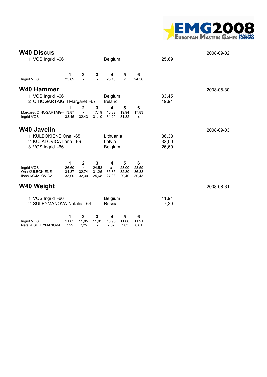

| <b>W40 Discus</b><br>1 VOS Ingrid -66                                             |                              |                                                     |                                | Belgium                                   |                              |                              | 25,69                   | 2008-09-02 |
|-----------------------------------------------------------------------------------|------------------------------|-----------------------------------------------------|--------------------------------|-------------------------------------------|------------------------------|------------------------------|-------------------------|------------|
| Ingrid VOS                                                                        | 1<br>25,69                   | $\mathbf 2$<br>X                                    | 3<br>$\mathsf{x}$              | 4<br>25,18                                | 5<br>X                       | 6<br>24,56                   |                         |            |
| <b>W40 Hammer</b><br>1 VOS Ingrid -66<br>2 O HOGARTAIGH Margaret -67              |                              |                                                     |                                | Belgium<br>Ireland                        |                              |                              | 33,45<br>19,94          | 2008-08-30 |
| Margaret O HOGARTAIGH 13,87<br>Ingrid VOS                                         | 1<br>33,45                   | $\mathbf{2}$<br>$\mathsf{x}$<br>32,43               | $\mathbf{3}$<br>17,19<br>31,10 | $\overline{\mathbf{4}}$<br>16,32<br>31,20 | 5<br>19,94<br>31,82          | 6<br>17,83<br>x              |                         |            |
| W40 Javelin<br>1 KULBOKIENE Ona -65<br>2 KOJALOVICA Ilona -66<br>3 VOS Ingrid -66 |                              |                                                     |                                | Lithuania<br>Latvia<br>Belgium            |                              |                              | 36,38<br>33,00<br>26,60 | 2008-09-03 |
| Ingrid VOS<br>Ona KULBOKIENE<br>Ilona KOJALOVICA                                  | 1<br>26,60<br>34,37<br>33,00 | $\mathbf 2$<br>$\pmb{\mathsf{x}}$<br>32,74<br>32,30 | 3<br>24,58<br>31,25<br>25,68   | 4<br>$\pmb{\chi}$<br>35,85<br>27,08       | 5<br>23,00<br>32,80<br>29,40 | 6<br>23,59<br>36,38<br>30,43 |                         |            |
| <b>W40 Weight</b>                                                                 |                              |                                                     |                                |                                           |                              |                              |                         | 2008-08-31 |
| 1 VOS Ingrid -66<br>2 SULEYMANOVA Natalia -64                                     |                              |                                                     |                                | <b>Belgium</b><br>Russia                  |                              |                              | 11,91<br>7,29           |            |
| Ingrid VOS<br>Natalia SULEYMANOVA                                                 | 1<br>11,05<br>7,29           | 2<br>11,85<br>7,25                                  | 3<br>11,05<br>x                | 4<br>10,95<br>7,07                        | 5<br>11,06<br>7,03           | 6<br>11,91<br>6,81           |                         |            |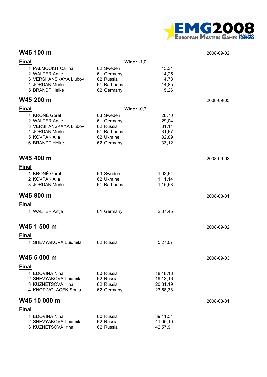

### **W45 100 m** 2008-09-02

| <b>Final</b>                     |                         | Wind: $-1,0$        |            |
|----------------------------------|-------------------------|---------------------|------------|
| 1 PALMQUIST Carina               | 62 Sweden               | 13,34               |            |
| 2 WALTER Antje                   | 61 Germany              | 14,25               |            |
| 3 VERSHANSKAYA Liubov            | 62 Russia               | 14,78               |            |
| 4 JORDAN Merle<br>5 BRANDT Heike | 61 Barbados             | 14,85<br>15,26      |            |
|                                  | 62 Germany              |                     |            |
| W45 200 m                        |                         |                     | 2008-09-05 |
| <b>Final</b>                     |                         | <b>Wind: -0,7</b>   |            |
| 1 KRONÉ Görel                    | 63 Sweden               | 28,70               |            |
| 2 WALTER Antje                   | 61 Germany              | 29,04               |            |
| 3 VERSHANSKAYA Liubov            | 62 Russia               | 31,11               |            |
| 4 JORDAN Merle                   | 61 Barbados             | 31,67               |            |
| 5 KOVPAK Alla<br>6 BRANDT Heike  | 62 Ukraine              | 32,89               |            |
|                                  | 62 Germany              | 33,12               |            |
| W45 400 m                        |                         |                     | 2008-09-03 |
|                                  |                         |                     |            |
| <b>Final</b>                     |                         |                     |            |
| 1 KRONÉ Görel<br>2 KOVPAK Alla   | 63 Sweden<br>62 Ukraine | 1.02,64<br>1.11, 14 |            |
| 3 JORDAN Merle                   | 61 Barbados             | 1.15,53             |            |
|                                  |                         |                     |            |
| W45 800 m                        |                         |                     | 2008-08-31 |
| <b>Final</b>                     |                         |                     |            |
| 1 WALTER Antje                   | 61 Germany              | 2.37,45             |            |
|                                  |                         |                     |            |
| W45 1 500 m                      |                         |                     | 2008-09-02 |
| <b>Final</b>                     |                         |                     |            |
| 1 SHEVYAKOVA Luidmila            | 62 Russia               | 5.27,07             |            |
|                                  |                         |                     |            |
| W45 5 000 m                      |                         |                     | 2008-09-03 |
| <b>Final</b>                     |                         |                     |            |
| 1 EDOVINA Nina                   | 60 Russia               | 18.48,18            |            |
| 2 SHEVYAKOVA Luidmila            | 62 Russia               | 19.13,16            |            |
| 3 KUZNETSOVA Irina               | 62 Russia               | 20.31,19            |            |
| 4 KNOP-VOLACEK Sonja             | 62 Germany              | 23.58,38            |            |
| W45 10 000 m                     |                         |                     | 2008-08-31 |
| <b>Final</b>                     |                         |                     |            |
| 1 EDOVINA Nina                   | 60 Russia               | 39.11,31            |            |
| 2 SHEVYAKOVA Luidmila            | 62 Russia               | 41.05,10            |            |
| 3 KUZNETSOVA Irina               | 62 Russia               | 42.57,91            |            |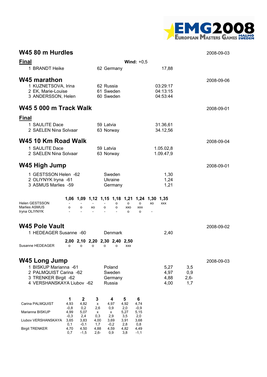

### **W45 80 m Hurdles** 2008-09-03

| <b>Final</b>                                                                                                                                                                                                                                |                                                                                                                             | Wind: $+0,5$                                                                                                                         |                             |            |
|---------------------------------------------------------------------------------------------------------------------------------------------------------------------------------------------------------------------------------------------|-----------------------------------------------------------------------------------------------------------------------------|--------------------------------------------------------------------------------------------------------------------------------------|-----------------------------|------------|
| 1 BRANDT Heike                                                                                                                                                                                                                              | 62 Germany                                                                                                                  | 17,88                                                                                                                                |                             |            |
| <b>W45 marathon</b><br>1 KUZNETSOVA, Irina<br>2 EK, Marie-Louise<br>3 ANDERSSON, Helen                                                                                                                                                      | 62 Russia<br>61 Sweden<br>60 Sweden                                                                                         | 03:29:17<br>04:13:15<br>04:53:44                                                                                                     |                             | 2008-09-06 |
| <b>W45 5 000 m Track Walk</b>                                                                                                                                                                                                               |                                                                                                                             |                                                                                                                                      |                             | 2008-09-01 |
| <b>Final</b><br>1 SAULITE Dace<br>2 SAELEN Nina Solvaar                                                                                                                                                                                     | 59 Latvia<br>63 Norway                                                                                                      | 31.36,61<br>34.12,56                                                                                                                 |                             |            |
| W45 10 Km Road Walk                                                                                                                                                                                                                         |                                                                                                                             |                                                                                                                                      |                             | 2008-09-04 |
| 1 SAULITE Dace<br>2 SAELEN Nina Solvaar                                                                                                                                                                                                     | 59 Latvia<br>63 Norway                                                                                                      | 1.05.02,8<br>1.09.47,9                                                                                                               |                             |            |
| <b>W45 High Jump</b>                                                                                                                                                                                                                        |                                                                                                                             |                                                                                                                                      |                             | 2008-09-01 |
| 1 GESTSSON Helen -62<br>2 OLIYNYK Iryna - 61<br>3 ASMUS Marlies -59                                                                                                                                                                         | Sweden<br>Ukraine<br>Germany                                                                                                | 1,30<br>1,24<br>1,21                                                                                                                 |                             |            |
| <b>Helen GESTSSON</b><br>Marlies ASMUS<br>o<br>o<br>XO<br>Iryna OLIYNYK                                                                                                                                                                     | о<br>o<br>o                                                                                                                 | 1,06 1,09 1,12 1,15 1,18 1,21 1,24 1,30<br>1,35<br>$\circ$<br>XO<br><b>XXX</b><br>$\circ$<br>XXO<br><b>XXX</b><br>o<br>o             |                             |            |
| <b>W45 Pole Vault</b><br>1 HEDEAGER Susanne -60                                                                                                                                                                                             | Denmark                                                                                                                     | 2,40                                                                                                                                 |                             | 2008-09-02 |
| 2,00 2,10 2,20 2,30 2,40 2,50<br>Susanne HEDEAGER<br>o<br>$\circ$<br>o                                                                                                                                                                      | o<br>o                                                                                                                      | <b>XXX</b>                                                                                                                           |                             |            |
| W45 Long Jump<br>1 BISKUP Marianna - 61<br>2 PALMQUIST Carina -62<br>3 TRENKER Birgit -62<br>4 VERSHANSKAYA Liubov -62                                                                                                                      | Poland<br>Sweden<br>Germany<br>Russia                                                                                       | 5,27<br>4,97<br>4,88<br>4,00                                                                                                         | 3,5<br>0,9<br>$2,6-$<br>1,7 | 2008-09-03 |
| $\mathbf 2$<br>1<br>Carina PALMQUIST<br>4,93<br>4,82<br>$-0,8$<br>0,2<br>Marianna BISKUP<br>4,99<br>5,07<br>$-0,3$<br>2,4<br>Liubov VERSHANSKAYA<br>3,65<br>3,83<br>0,1<br>$-0,1$<br><b>Birgit TRENKER</b><br>4,70<br>4,50<br>0,7<br>$-1,5$ | 3<br>4<br>4,97<br>х<br>2,6<br>0,9<br>х<br>x<br>0,3<br>2,9<br>4,00<br>3,69<br>1,7<br>$-0,2$<br>4,88<br>4,59<br>$2,6-$<br>0,9 | 5<br>6<br>4,92<br>4,74<br>2,0<br>$-0,9$<br>5,27<br>5,15<br>3,5<br>2,0<br>3,91<br>3,68<br>2,8<br>0,8<br>4,82<br>4,49<br>3,8<br>$-1,1$ |                             |            |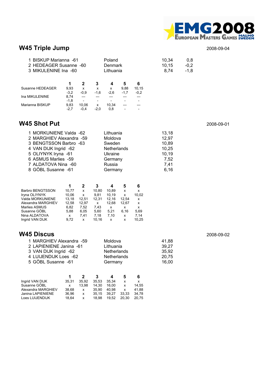

# **W45 Triple Jump** 2008-09-04

| 1 BISKUP Marianna -61<br>2 HEDEAGER Susanne -60<br>3 MIKULENINE Ina -60 |        |        |        | Poland<br>Denmark<br>Lithuania |                 |                          | 10,34<br>10.15<br>8.74 | 0,8<br>$-0,2$<br>$-1,8$ |
|-------------------------------------------------------------------------|--------|--------|--------|--------------------------------|-----------------|--------------------------|------------------------|-------------------------|
|                                                                         |        | 2      | 3      | 4                              | 5               | 6                        |                        |                         |
| Susanne HEDEAGER                                                        | 9,93   | x      | x      | x                              | 9,88            | 10.15                    |                        |                         |
|                                                                         | $-3,2$ | $-0.9$ | $-1,6$ | $-2,6$                         | $-1,7$          | $-0,2$                   |                        |                         |
| Ina MIKULENINE                                                          | 8,74   |        |        |                                |                 |                          |                        |                         |
|                                                                         | $-1,8$ |        |        |                                |                 | $\overline{\phantom{a}}$ |                        |                         |
| Marianna BISKUP                                                         | 9,83   | 10.06  | x      | 10.34                          |                 |                          |                        |                         |
|                                                                         | $-2,7$ | $-0.4$ | $-2,0$ | 0,8                            | $\qquad \qquad$ |                          |                        |                         |

## **W45 Shot Put** 2008-09-01

| 1 MORKUNIENE Valda -62   | Lithuania   | 13,18 |
|--------------------------|-------------|-------|
| 2 MARGHIEV Alexandra -59 | Moldova     | 12,97 |
| 3 BENGTSSON Barbro -63   | Sweden      | 10,89 |
| 4 VAN DIJK Ingrid -62    | Netherlands | 10,25 |
| 5 OLIYNYK Iryna - 61     | Ukraine     | 10,19 |
| 6 ASMUS Marlies -59      | Germany     | 7,52  |
| 7 ALDATOVA Nina -60      | Russia      | 7,41  |
| 8 GÖBL Susanne - 61      | Germany     | 6,16  |

|                         |       |       | 3     |       | 5     | 6     |
|-------------------------|-------|-------|-------|-------|-------|-------|
| <b>Barbro BENGTSSON</b> | 10.77 | x     | 10.80 | 10.89 | x     | x     |
| Iryna OLIYNYK           | 10.06 | x     | 9.81  | 10.19 | x     | 10,02 |
| Valda MORKUNIENE        | 13.18 | 12.51 | 12.31 | 12.16 | 12.54 | x     |
| Alexandra MARGHIEV      | 12.58 | 12.97 | x     | 12.68 | 12.67 | x     |
| <b>Marlies ASMUS</b>    | 6.82  | 7.52  | 7.43  | x     | x     | x     |
| Susanne GÖBL            | 5.88  | 6.05  | 5.60  | 5.21  | 6.16  | 5.69  |
| Nina ALDATOVA           | x     | 7.41  | 7.18  | 7.10  | x     | 7,14  |
| Ingrid VAN DIJK         | 9.72  | x     | 10.16 | x     | x     | 10.25 |

| <b>W45 Discus</b>        |                    |       | 2008-09-02 |
|--------------------------|--------------------|-------|------------|
| 1 MARGHIEV Alexandra -59 | Moldova            | 41.88 |            |
| 2 LAPIENIENE Janina -61  | Lithuania          | 39.27 |            |
| 3 VAN DIJK Ingrid -62    | <b>Netherlands</b> | 35,92 |            |
| 4 LUIJENDIJK Loes -62    | <b>Netherlands</b> | 20,75 |            |
| 5 GÖBL Susanne -61       | Germany            | 16,00 |            |
|                          |                    |       |            |
|                          |                    |       |            |

|       |       | 3     |       | b     | 6     |
|-------|-------|-------|-------|-------|-------|
| 35.31 | 35.92 | 35.53 | 35.34 | x     | x     |
| x     | 13.98 | 14.30 | 16.00 | x     | 14.55 |
| 38.68 | x     | 35.90 | 40.98 | x     | 41.88 |
| 36.96 | x     | 35.15 | 39.27 | 33.33 | 34.78 |
| 18.64 | x     | 18.98 | 19.52 | 20.30 | 20.75 |
|       |       |       |       |       |       |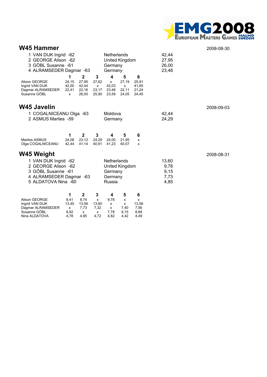

| W45 Hammer<br>1 VAN DIJK Ingrid -62<br>Netherlands<br>2 GEORGE Alison -62<br>United Kingdom<br>3 GÖBL Susanne - 61<br>Germany<br>4 ALRAMSEDER Dagmar -63<br>Germany |                                   |                                                  |                                         |                                             |                                   | 42,44<br>27,95<br>26,00<br>23,48      | 2008-08-30                            |            |
|---------------------------------------------------------------------------------------------------------------------------------------------------------------------|-----------------------------------|--------------------------------------------------|-----------------------------------------|---------------------------------------------|-----------------------------------|---------------------------------------|---------------------------------------|------------|
| <b>Alison GEORGE</b><br>Ingrid VAN DIJK<br>Dagmar ALRAMSEDER<br>Susanne GÖBL                                                                                        | 1<br>24,15<br>42,00<br>22,41<br>x | $\mathbf{2}$<br>27,95<br>42,44<br>22,16<br>26,00 | 3<br>27,62<br>x<br>23,17<br>25,90       | 4<br>x<br>42,03<br>23,48<br>23,59           | 5<br>27,19<br>x<br>22,11<br>24,05 | 6<br>25,91<br>41,65<br>21,24<br>24,45 |                                       |            |
| W45 Javelin<br>1 COGALNICEANU Olga -63<br>2 ASMUS Marlies -59                                                                                                       |                                   |                                                  |                                         | Moldova<br>Germany                          |                                   |                                       | 42,44<br>24,29                        | 2008-09-03 |
| <b>Marlies ASMUS</b><br>Olga COGALNICEANU                                                                                                                           | 1<br>24.08<br>42,44               | $\mathbf{2}$<br>23.12<br>41,14                   | 3<br>24.29<br>40,91                     | 4<br>24.00<br>41.23                         | 5<br>21.95<br>40,07               | 6<br>x<br>x                           |                                       |            |
| W45 Weight<br>1 VAN DIJK Ingrid -62<br>2 GEORGE Alison -62<br>3 GÖBL Susanne - 61<br>4 ALRAMSEDER Dagmar -63<br>5 ALDATOVA Nina -60                                 |                                   |                                                  |                                         | Netherlands<br>Germany<br>Germany<br>Russia | United Kingdom                    |                                       | 13,60<br>9,78<br>9,15<br>7,73<br>4,85 | 2008-08-31 |
| <b>Alison GEORGE</b><br>Ingrid VAN DIJK<br>Dagmar ALRAMSEDER<br>Susanne GÖBL                                                                                        | 1<br>8,41<br>13,45<br>x<br>8,92   | $\mathbf{2}$<br>8,74<br>13,56<br>7,73<br>x       | 3<br>$\mathsf{x}$<br>13,60<br>7,32<br>x | 4<br>9.78<br>x<br>x<br>7,78                 | 5<br>x<br>x<br>7,40<br>9,15       | 6<br>x<br>13,56<br>7,56<br>8,88       |                                       |            |

Nina ALDATOVA 4,78 4,85 4,72 4,82 4,42 4,49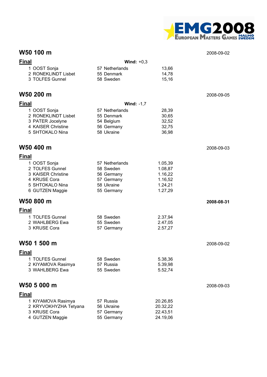

### **W50 100 m** 2008-09-02

| <b>Final</b>          | Wind: $+0,3$      |          |            |
|-----------------------|-------------------|----------|------------|
| 1 OOST Sonja          | 57 Netherlands    | 13,66    |            |
| 2 RONEKLINDT Lisbet   | 55 Denmark        | 14,78    |            |
| 3 TOLFES Gunnel       | 58 Sweden         | 15,16    |            |
|                       |                   |          |            |
| W50 200 m             |                   |          | 2008-09-05 |
| <b>Final</b>          | <b>Wind: -1,7</b> |          |            |
| 1 OOST Sonja          | 57 Netherlands    | 28,39    |            |
| 2 RONEKLINDT Lisbet   | 55 Denmark        | 30,65    |            |
| 3 PATER Jocelyne      | 54 Belgium        | 32,52    |            |
| 4 KAISER Christine    | 56 Germany        | 32,75    |            |
| 5 SHTOKALO Nina       | 58 Ukraine        | 36,98    |            |
|                       |                   |          |            |
| W50 400 m             |                   |          | 2008-09-03 |
| <b>Final</b>          |                   |          |            |
| 1 OOST Sonja          | 57 Netherlands    | 1.05,39  |            |
| 2 TOLFES Gunnel       | 58 Sweden         | 1.08,87  |            |
| 3 KAISER Christine    | 56 Germany        | 1.16,22  |            |
| 4 KRUSE Cora          | 57 Germany        | 1.16,52  |            |
| 5 SHTOKALO Nina       | 58 Ukraine        | 1.24,21  |            |
| 6 GUTZEN Maggie       | 55 Germany        | 1.27,29  |            |
| W50 800 m             |                   |          | 2008-08-31 |
| <b>Final</b>          |                   |          |            |
| 1 TOLFES Gunnel       | 58 Sweden         | 2.37,94  |            |
| 2 WAHLBERG Ewa        | 55 Sweden         | 2.47,05  |            |
| 3 KRUSE Cora          | 57 Germany        | 2.57,27  |            |
|                       |                   |          |            |
| W50 1 500 m           |                   |          | 2008-09-02 |
| Final                 |                   |          |            |
| 1 TOLFES Gunnel       | 58 Sweden         | 5.38,36  |            |
| 2 KIYAMOVA Rasimya    | 57 Russia         | 5.39,98  |            |
| 3 WAHLBERG Ewa        | 55 Sweden         | 5.52,74  |            |
|                       |                   |          |            |
| W50 5 000 m           |                   |          | 2008-09-03 |
| <b>Final</b>          |                   |          |            |
| 1 KIYAMOVA Rasimya    | 57 Russia         | 20.26,85 |            |
| 2 KRYVOKHYZHA Tetyana | 56 Ukraine        | 20.32,22 |            |
| 3 KRUSE Cora          | 57 Germany        | 22.43,51 |            |
| 4 GUTZEN Maggie       | 55 Germany        | 24.19,06 |            |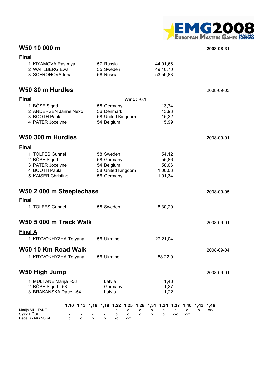

## **W50 10 000 m 2008-08-31**

| <b>Final</b>                  |                            |                                                                                      |                         |
|-------------------------------|----------------------------|--------------------------------------------------------------------------------------|-------------------------|
| 1 KIYAMOVA Rasimya            | 57 Russia                  | 44.01,66                                                                             |                         |
| 2 WAHLBERG Ewa                | 55 Sweden                  | 49.10,70                                                                             |                         |
| 3 SOFRONOVA Irina             | 58 Russia                  | 53.59,83                                                                             |                         |
|                               |                            |                                                                                      |                         |
| W50 80 m Hurdles              |                            |                                                                                      | 2008-09-03              |
| <b>Final</b>                  | Wind: $-0,1$               |                                                                                      |                         |
| 1 BÖSE Sigrid                 | 58 Germany                 | 13,74                                                                                |                         |
| 2 ANDERSEN Janne Nexø         | 56 Denmark                 | 13,93                                                                                |                         |
| 3 BOOTH Paula                 | 58 United Kingdom          | 15,32                                                                                |                         |
| 4 PATER Jocelyne              | 54 Belgium                 | 15,99                                                                                |                         |
|                               |                            |                                                                                      |                         |
| W50 300 m Hurdles             |                            |                                                                                      | 2008-09-01              |
| <b>Final</b>                  |                            |                                                                                      |                         |
| 1 TOLFES Gunnel               | 58 Sweden                  | 54,12                                                                                |                         |
| 2 BÖSE Sigrid                 | 58 Germany                 | 55,86                                                                                |                         |
| 3 PATER Jocelyne              | 54 Belgium                 | 58,06                                                                                |                         |
| 4 BOOTH Paula                 | 58 United Kingdom          | 1.00,03                                                                              |                         |
| 5 KAISER Christine            | 56 Germany                 | 1.01,34                                                                              |                         |
|                               |                            |                                                                                      |                         |
| W50 2 000 m Steeplechase      |                            |                                                                                      | 2008-09-05              |
| <b>Final</b>                  |                            |                                                                                      |                         |
| 1 TOLFES Gunnel               | 58 Sweden                  | 8.30,20                                                                              |                         |
|                               |                            |                                                                                      |                         |
| <b>W50 5 000 m Track Walk</b> |                            |                                                                                      | 2008-09-01              |
| <b>Final A</b>                |                            |                                                                                      |                         |
| 1 KRYVOKHYZHA Tetyana         | 56 Ukraine                 | 27.21,04                                                                             |                         |
|                               |                            |                                                                                      |                         |
| W50 10 Km Road Walk           |                            |                                                                                      | 2008-09-04              |
| 1 KRYVOKHYZHA Tetyana         | 56 Ukraine                 | 58.22,0                                                                              |                         |
|                               |                            |                                                                                      |                         |
| <b>W50 High Jump</b>          |                            |                                                                                      | 2008-09-01              |
| 1 MULTANE Marija -58          | Latvia                     | 1,43                                                                                 |                         |
| 2 BÖSE Sigrid -58             | Germany                    | 1,37                                                                                 |                         |
| 3 BRAKANSKA Dace -54          | Latvia                     | 1,22                                                                                 |                         |
|                               |                            |                                                                                      |                         |
| Marija MULTANE                | o<br>о                     | 1,10 1,13 1,16 1,19 1,22 1,25 1,28 1,31 1,34 1,37 1,40 1,43<br>о<br>о<br>о<br>о<br>о | 1,46<br><b>XXX</b><br>о |
| Sigrid BOSE                   | o<br>о                     | о<br>o<br>о<br>XXO<br><b>XXX</b>                                                     |                         |
| Dace BRAKANSKA<br>о<br>о      | о<br>o<br>XO<br><b>XXX</b> |                                                                                      |                         |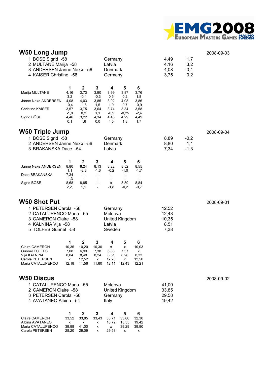

#### **W50 Long Jump** 2008-09-03 1 BÖSE Sigrid -58 Germany 4,49 1,7 2 MULTANE Marija -58 Latvia 1980 Latvia 14,16 3,2 3 ANDERSEN Janne Nexø -56 Denmark 4,08 -0,4 4 KAISER Christine -56 Germany 3,75 0,2 **1 2 3 4 5 6** Marija MULTANE 4,16 3,73 3,90 3,99 3,87 3,76<br>3.2 -0.4 -0.3 0.5 0.2 1.8 3,2 -0,4 -0,3 0,5 0,2 1,8 Janne Nexø ANDERSEN 4,08 4,03 3,85 3,92 4,08 3,86 -0,4 -1,6 1,5 1,0 0,7 -0,9 Christine KAISER 3,57 3,75 3,64 3,74 3,34 3,58<br>4,3 - 1,8 0,2 1,1 -0,2 -0,25 -2,4  $-1,8$  0,2 1,1  $-0,2$   $-0,25$   $-2,4$ <br>4.46 3.22 4.34 4.48 4.29 4.49 Sigrid BÖSE 4,46 3,22 4,34 4,48 4,29 4,49<br>0.1 1.6 0.0 4.5 1.8 1.7 0,1 1,6 0,0 4,5 1,8 1,7 **W50 Triple Jump** 2008-09-04 1 BÖSE Sigrid -58 Germany 8,89 -0,2 2 ANDERSEN Janne Nexø -56 Denmark 8,80 1,1 3 BRAKANSKA Dace -54 Latvia 7,34 -1,3 **1 2 3 4 5 6** Janne Nexø ANDERSEN 8,80 8,24 8,13 8,22 8,52 8,55 1,1 -2,8 -1,6 -0,2 -1,0 -1,7 Dace BRAKANSKA 7,34 --- --- --- --- --- ---<br>-1.3 - - - - - - - --1,3 - - - - - Sigrid BÖSE 8,68 8,85 --- x 8,89 8,84 2,2, 1,1 - -1,8 -0,2 -0,7 **W50 Shot Put** 2008-09-01 1 PETERSEN Carola -58 Germany 12,52 2 CATALUPENCO Maria -55 Moldova 12,43 3 CAMERON Claire -58 United Kingdom 10,35 4 KALNINA Vija -58 Latvia 8,51 5 TOLFES Gunnel -58 Sweden 7,38 **1 2 3 4 5 6** Claire CAMERON 10,35 10,20 10,30 x x 10,03 Gunnel TOLFES 7,08 6,99 7,38 6,83 7,37 x Vija KALNINA 8,04 8,48 8,24 8,51 8,28 8,33 Carola PETERSEN x 12,52 x 12,28 x 12,50 Maria CATALUPENCO **W50 Discus** 2008-09-02 1 CATALUPENCO Maria -55 Moldova 41,00 2 CAMERON Claire -58 United Kingdom 33,85 3 PETERSEN Carola -58 Germany 29,58 4 AVATANEO Albina -54 Italy Islam and the 19,42 **1 2 3 4 5 6** Claire CAMERON 33,52 33,85 33,43 33,71 33,80 32,30 Albina AVATANEO x x x 18,72 15,55 19,42<br>Maria CATALUPENCO 39,98 41,00 x x 39,29 39,90 Maria CATALUPENCO 39,98 41,00 x x 39,29 39,90

Carola PETERSEN 28,20 29,09 x 29,58 x x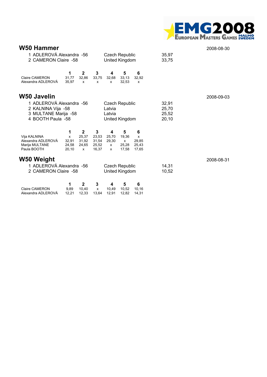

| W50 Hammer                                                                                  |                                                  |                                                         |                                                  |                                          |                                         |                                   |                                  | 2008-08-30 |
|---------------------------------------------------------------------------------------------|--------------------------------------------------|---------------------------------------------------------|--------------------------------------------------|------------------------------------------|-----------------------------------------|-----------------------------------|----------------------------------|------------|
|                                                                                             | 1 ADLEROVÁ Alexandra -56<br>2 CAMERON Claire -58 |                                                         |                                                  | <b>Czech Republic</b><br>United Kingdom  |                                         |                                   | 35,97<br>33,75                   |            |
| <b>Claire CAMERON</b><br>Alexandra ADLEROVÁ                                                 | 1<br>31.77<br>35,97                              | $\mathbf{2}$<br>32,86<br>x                              | 3<br>33,75<br>x                                  | 4<br>32,68<br>x                          | 5<br>33,13<br>32,53                     | 6<br>32,92<br>x                   |                                  |            |
| <b>W50 Javelin</b>                                                                          |                                                  |                                                         |                                                  |                                          |                                         |                                   |                                  | 2008-09-03 |
| 1 ADLEROVÁ Alexandra -56<br>2 KALNINA Vija -58<br>3 MULTANE Marija -58<br>4 BOOTH Paula -58 |                                                  |                                                         |                                                  | Latvia<br>Latvia                         | <b>Czech Republic</b><br>United Kingdom |                                   | 32,91<br>25,70<br>25,52<br>20,10 |            |
| Vija KALNINA<br>Alexandra ADLEROVA<br>Marija MULTANE<br>Paula BOOTH                         | 1<br>x<br>32,91<br>24,58<br>20,10                | $\mathbf{2}$<br>25,37<br>31,92<br>24,65<br>$\mathsf{x}$ | $\mathbf{3}$<br>23,53<br>31,54<br>25,52<br>16,37 | 4<br>25,70<br>29,30<br>X<br>$\mathsf{x}$ | 5<br>19,36<br>X<br>25,28<br>17,58       | 6<br>x<br>29,85<br>25,43<br>17,65 |                                  |            |
| W50 Weight                                                                                  |                                                  |                                                         |                                                  |                                          |                                         |                                   |                                  | 2008-08-31 |
| 1 ADLEROVÁ Alexandra -56<br>2 CAMERON Claire -58                                            |                                                  |                                                         |                                                  |                                          | <b>Czech Republic</b><br>United Kingdom |                                   | 14,31<br>10,52                   |            |
| <b>Claire CAMERON</b>                                                                       | 1<br>9,89                                        | 2<br>10,40                                              | 3<br>x                                           | 4<br>10,49                               | 5<br>10,52                              | 6<br>10,16                        |                                  |            |

Alexandra ADLEROVÁ 12,21 12,33 13,64 12,91 12,82 14,31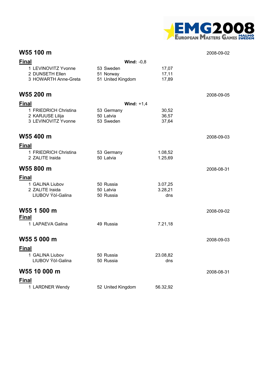

### **W55 100 m** 2008-09-02

| <b>Final</b>                            |                                | Wind: $-0,8$       |            |
|-----------------------------------------|--------------------------------|--------------------|------------|
| 1 LEVINOVITZ Yvonne                     | 53 Sweden                      | 17,07              |            |
| 2 DUNSETH Ellen<br>3 HOWARTH Anne-Greta | 51 Norway<br>51 United Kingdom | 17,11<br>17,89     |            |
|                                         |                                |                    |            |
| W55 200 m                               |                                |                    | 2008-09-05 |
| <b>Final</b>                            |                                | Wind: $+1,4$       |            |
| 1 FRIEDRICH Christina                   | 53 Germany                     | 30,52              |            |
| 2 KARJUSE Lilija<br>3 LEVINOVITZ Yvonne | 50 Latvia<br>53 Sweden         | 36,57<br>37,64     |            |
|                                         |                                |                    |            |
| W55 400 m                               |                                |                    | 2008-09-03 |
| <b>Final</b>                            |                                |                    |            |
| 1 FRIEDRICH Christina                   | 53 Germany                     | 1.08,52            |            |
| 2 ZALITE Iraida                         | 50 Latvia                      | 1.25,69            |            |
| W55 800 m                               |                                |                    | 2008-08-31 |
| <b>Final</b>                            |                                |                    |            |
| 1 GALINA Liubov<br>2 ZALITE Iraida      | 50 Russia<br>50 Latvia         | 3.07,25<br>3.28,21 |            |
| LIUBOV Ýòî-Galina                       | 50 Russia                      | dns                |            |
|                                         |                                |                    |            |
| W55 1 500 m                             |                                |                    | 2008-09-02 |
| <b>Final</b>                            |                                |                    |            |
| 1 LAPAEVA Galina                        | 49 Russia                      | 7.21,18            |            |
| W55 5 000 m                             |                                |                    | 2008-09-03 |
| <b>Final</b>                            |                                |                    |            |
| 1 GALINA Liubov                         | 50 Russia                      | 23.08,82           |            |
| LIUBOV Ýòî-Galina                       | 50 Russia                      | dns                |            |
| W55 10 000 m                            |                                |                    | 2008-08-31 |
| <b>Final</b>                            |                                |                    |            |
| 1 LARDNER Wendy                         | 52 United Kingdom              | 56.32,92           |            |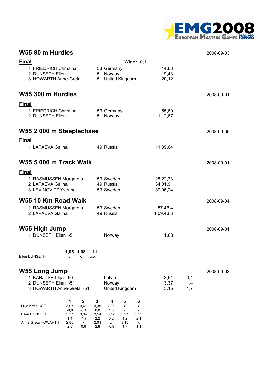

### **W55 80 m Hurdles** 2008-09-03

| <b>Final</b>                                                   | Wind: $-0,1$                                                                      |                      |            |            |
|----------------------------------------------------------------|-----------------------------------------------------------------------------------|----------------------|------------|------------|
| 1 FRIEDRICH Christina<br>2 DUNSETH Ellen                       | 53 Germany<br>51 Norway                                                           | 14,63<br>19,43       |            |            |
| 3 HOWARTH Anne-Greta                                           | 51 United Kingdom                                                                 | 20,12                |            |            |
|                                                                |                                                                                   |                      |            |            |
| W55 300 m Hurdles                                              |                                                                                   |                      |            | 2008-09-01 |
| <b>Final</b>                                                   |                                                                                   |                      |            |            |
| 1 FRIEDRICH Christina<br>2 DUNSETH Ellen                       | 53 Germany<br>51 Norway                                                           | 55,69<br>1.12,67     |            |            |
|                                                                |                                                                                   |                      |            |            |
| W55 2 000 m Steeplechase                                       |                                                                                   |                      |            | 2008-09-05 |
| <b>Final</b>                                                   |                                                                                   |                      |            |            |
| 1 LAPAEVA Galina                                               | 49 Russia                                                                         | 11.39,64             |            |            |
| <b>W55 5 000 m Track Walk</b>                                  |                                                                                   |                      |            | 2008-09-01 |
| <b>Final</b>                                                   |                                                                                   |                      |            |            |
| 1 RASMUSSEN Margareta                                          | 53 Sweden                                                                         | 28.22,73             |            |            |
| 2 LAPAEVA Galina<br>3 LEVINOVITZ Yvonne                        | 49 Russia<br>53 Sweden                                                            | 34.01,91<br>39.06,24 |            |            |
|                                                                |                                                                                   |                      |            |            |
| W55 10 Km Road Walk<br>1 RASMUSSEN Margareta                   | 53 Sweden                                                                         | 57.46,4              |            | 2008-09-04 |
| 2 LAPAEVA Galina                                               | 49 Russia                                                                         | 1.09.43,6            |            |            |
|                                                                |                                                                                   |                      |            |            |
| W55 High Jump<br>1 DUNSETH Ellen -51                           | Norway                                                                            | 1,08                 |            | 2008-09-01 |
|                                                                |                                                                                   |                      |            |            |
| 1,05 1,08 1,11                                                 |                                                                                   |                      |            |            |
| Ellen DUNSETH<br>о<br>о<br>XXX                                 |                                                                                   |                      |            |            |
| <b>W55 Long Jump</b>                                           |                                                                                   |                      |            | 2008-09-03 |
| 1 KARJUSE Lilija -50                                           | Latvia                                                                            | 3,61                 | $-0,4$     |            |
| 2 DUNSETH Ellen -51<br>3 HOWARTH Anne-Greta -51                | Norway<br>United Kingdom                                                          | 3,37<br>3,15         | 1,4<br>1,7 |            |
|                                                                |                                                                                   |                      |            |            |
| $\mathbf{2}$<br>1<br>Lilija KARJUSE<br>3,07<br>3,61            | 3<br>4<br>5<br>6<br>3,38<br>2,90<br>x<br>x                                        |                      |            |            |
| $-0,8$<br>$-0,4$<br>Ellen DUNSETH<br>3,37<br>3,34              | 0,8<br>1,8<br>3,27<br>3,33<br>3,14<br>3,12                                        |                      |            |            |
| $-1,7$<br>1,4<br>Anne-Greta HOWARTH<br>2,85<br>x<br>2,3<br>0,6 | 2,1<br>2,2<br>0,2<br>1,2<br>2,01<br>3,15<br>x<br>x<br>1,1<br>2,8<br>$-0,8$<br>1,7 |                      |            |            |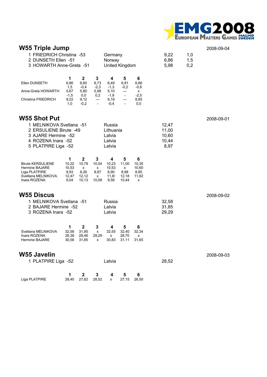

| <b>W55 Triple Jump</b><br>1 FRIEDRICH Christina -53<br>2 DUNSETH Ellen -51<br>3 HOWARTH Anne-Greta -51   |                                              |                                                     |                                                                  | Germany<br>Norway                            | United Kingdom                                              |                                           | 9,22<br>6,86<br>5,98    | 1,0<br>1,5<br>0,2 | 2008-09-04 |
|----------------------------------------------------------------------------------------------------------|----------------------------------------------|-----------------------------------------------------|------------------------------------------------------------------|----------------------------------------------|-------------------------------------------------------------|-------------------------------------------|-------------------------|-------------------|------------|
| Ellen DUNSETH                                                                                            | 1<br>6,86                                    | $\mathbf 2$<br>6,60                                 | 3<br>6,73                                                        | 4<br>6,49                                    | 5<br>6,81                                                   | 6<br>6,66                                 |                         |                   |            |
| Anne-Greta HOWARTH                                                                                       | 1,5<br>5,67                                  | $-0,4$<br>5,80                                      | $-2,3$<br>5,98                                                   | $-1,3$<br>5,10                               | $-0,2$<br>$---$                                             | $-0,6$<br>х                               |                         |                   |            |
| Christina FRIEDRICH                                                                                      | $-1,5$<br>9,22<br>1,0                        | 0,0<br>9,12<br>$-0,2$                               | 0,2<br>$\hspace{1.5cm} \textbf{---}$<br>$\overline{\phantom{a}}$ | $-1,9$<br>9,19<br>$-0,4$                     | $\overline{\phantom{a}}$<br>---<br>$\overline{\phantom{a}}$ | $-2,5$<br>8,85<br>0,0                     |                         |                   |            |
| <b>W55 Shot Put</b>                                                                                      |                                              |                                                     |                                                                  |                                              |                                                             |                                           |                         |                   | 2008-09-01 |
| 1 MELNIKOVA Svetlana -51<br>2 ERSULIENE Birute -49                                                       |                                              |                                                     |                                                                  | Russia<br>Lithuania                          |                                                             |                                           | 12,47                   |                   |            |
| 3 AJARE Hermine -52                                                                                      |                                              |                                                     |                                                                  | Latvia                                       |                                                             |                                           | 11,00<br>10,60          |                   |            |
| 4 ROZENA Inara -52<br>5 PLATPIRE Liga -52                                                                |                                              |                                                     |                                                                  | Latvia<br>Latvia                             |                                                             |                                           | 10,44<br>8,97           |                   |            |
|                                                                                                          |                                              |                                                     |                                                                  |                                              |                                                             |                                           |                         |                   |            |
| <b>Birute KERSULIENE</b><br><b>Hermine BAJARE</b><br>Liga PLATPIRE<br>Svetlana MELNIKOVA<br>Inara ROZENA | 1<br>10,22<br>10,53<br>8,93<br>12,47<br>9,04 | $\mathbf 2$<br>10,79<br>X<br>8,26<br>12,12<br>10,13 | 3<br>10,54<br>х<br>8,97<br>x<br>10,08                            | 4<br>10.23<br>10,53<br>8,90<br>11,8/<br>9,56 | 5<br>11,00<br>X<br>8,88<br>12,18<br>10,44                   | 6<br>10,35<br>10,60<br>8,85<br>11,82<br>x |                         |                   |            |
| <b>W55 Discus</b>                                                                                        |                                              |                                                     |                                                                  |                                              |                                                             |                                           |                         |                   | 2008-09-02 |
| 1 MELNIKOVA Svetlana -51<br>2 BAJARE Hermine -52<br>3 ROZENA Inara -52                                   |                                              |                                                     |                                                                  | Russia<br>Latvia<br>Latvia                   |                                                             |                                           | 32,58<br>31,85<br>29,29 |                   |            |
|                                                                                                          | 1                                            | $\mathbf 2$                                         | 3                                                                | 4                                            | 5                                                           | 6                                         |                         |                   |            |
| Svetlana MELNIKOVA<br>Inara ROZENA<br>Hermine BAJARE                                                     | 32,58<br>28,38<br>30,58                      | 31,95<br>28,46<br>31,85                             | X<br>29,29<br>x                                                  | 32,55<br>x<br>30,83                          | 32,40<br>28,70<br>31,11                                     | 32,34<br>x<br>31,65                       |                         |                   |            |
| <b>W55 Javelin</b>                                                                                       |                                              |                                                     |                                                                  |                                              |                                                             |                                           |                         |                   | 2008-09-03 |
| 1 PLATPIRE Liga -52                                                                                      |                                              |                                                     |                                                                  | Latvia                                       |                                                             |                                           | 28,52                   |                   |            |
| Liga PLATPIRE                                                                                            | 1<br>28,40                                   | $\mathbf 2$<br>27,62                                | 3<br>28,52                                                       | 4<br>x                                       | 5<br>27,15                                                  | 6<br>26,50                                |                         |                   |            |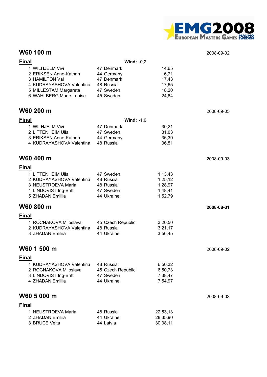

### **W60 100 m** 2008-02-02

| TYVY IVV III                                                                                                                                |                                                                               |                                                     | ∠ບບ໐−ບອ−ບ∠ |
|---------------------------------------------------------------------------------------------------------------------------------------------|-------------------------------------------------------------------------------|-----------------------------------------------------|------------|
| <b>Final</b>                                                                                                                                | Wind: $-0,2$                                                                  |                                                     |            |
| 1 WILHJELM Vivi<br>2 ERIKSEN Anne-Kathrin<br>3 HAMILTON Val<br>4 KUDRAYASHOVA Valentina<br>5 MILLESTAM Margareta<br>6 WAHLBERG Marie-Louise | 47 Denmark<br>44 Germany<br>47 Denmark<br>48 Russia<br>47 Sweden<br>45 Sweden | 14,65<br>16,71<br>17,43<br>17,65<br>18,20<br>24,84  |            |
| W60 200 m                                                                                                                                   |                                                                               |                                                     | 2008-09-05 |
| <b>Final</b>                                                                                                                                | Wind: $-1,0$                                                                  |                                                     |            |
| 1 WILHJELM Vivi<br>2 LITTENHEIM Ulla<br>3 ERIKSEN Anne-Kathrin<br>4 KUDRAYASHOVA Valentina                                                  | 47 Denmark<br>47 Sweden<br>44 Germany<br>48 Russia                            | 30,21<br>31,03<br>36,39<br>36,51                    |            |
| W60 400 m                                                                                                                                   |                                                                               |                                                     | 2008-09-03 |
| <b>Final</b>                                                                                                                                |                                                                               |                                                     |            |
| 1 LITTENHEIM Ulla<br>2 KUDRAYASHOVA Valentina<br>3 NEUSTROEVA Maria<br>4 LINDQVIST Ing-Britt<br>5 ZHADAN Emiliia                            | 47 Sweden<br>48 Russia<br>48 Russia<br>47 Sweden<br>44 Ukraine                | 1.13,43<br>1.25,12<br>1.28,97<br>1.48,41<br>1.52,79 |            |
| W60 800 m                                                                                                                                   |                                                                               |                                                     | 2008-08-31 |
| <b>Final</b>                                                                                                                                |                                                                               |                                                     |            |
| 1 ROCNAKOVA Miloslava<br>2 KUDRAYASHOVA Valentina<br>3 ZHADAN Emilija                                                                       | 45 Czech Republic<br>48 Russia<br>44 Ukraine                                  | 3.20,50<br>3.21,17<br>3.56,45                       |            |
| W60 1 500 m                                                                                                                                 |                                                                               |                                                     | 2008-09-02 |
| <b>Final</b>                                                                                                                                |                                                                               |                                                     |            |
| 1 KUDRAYASHOVA Valentina<br>2 ROCNAKOVA Miloslava<br>3 LINDQVIST Ing-Britt<br>4 ZHADAN Emiliia                                              | 48 Russia<br>45 Czech Republic<br>47 Sweden<br>44 Ukraine                     | 6.50,32<br>6.50,73<br>7.38,47<br>7.54,97            |            |
| W60 5 000 m                                                                                                                                 |                                                                               |                                                     | 2008-09-03 |
| <b>Final</b>                                                                                                                                |                                                                               |                                                     |            |
| 1 NEUSTROEVA Maria<br>2 ZHADAN Emiliia<br>3 BRUCE Velta                                                                                     | 48 Russia<br>44 Ukraine<br>44 Latvia                                          | 22.53,13<br>28.35,90<br>30.38,11                    |            |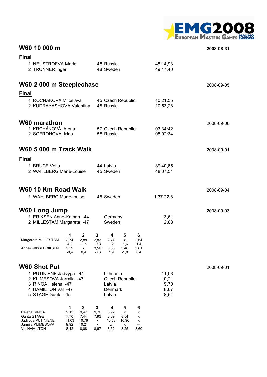

## **W60 10 000 m 2008-08-31**

| <b>Final</b>                                               |                      |                        |                     |                       |                      |                      |            |
|------------------------------------------------------------|----------------------|------------------------|---------------------|-----------------------|----------------------|----------------------|------------|
| 1 NEUSTROEVA Maria                                         |                      | 48 Russia              |                     |                       | 48.14,93             |                      |            |
| 2 TRONNER Inger                                            |                      |                        | 48 Sweden           |                       |                      | 49.17,40             |            |
| W60 2 000 m Steeplechase                                   |                      |                        |                     |                       |                      |                      | 2008-09-05 |
| <b>Final</b>                                               |                      |                        |                     |                       |                      |                      |            |
| 1 ROCNAKOVA Miloslava<br>2 KUDRAYASHOVA Valentina          |                      | 48 Russia              | 45 Czech Republic   |                       | 10.21,55<br>10.53,28 |                      |            |
| W60 marathon                                               |                      |                        |                     |                       |                      |                      | 2008-09-06 |
| 1 KRCHÁKOVÁ, Alena<br>2 SOFRONOVA, Irina                   |                      |                        | 58 Russia           | 57 Czech Republic     |                      | 03:34:42<br>05:02:34 |            |
| W60 5 000 m Track Walk                                     |                      |                        |                     |                       |                      |                      | 2008-09-01 |
| <b>Final</b>                                               |                      |                        |                     |                       |                      |                      |            |
| 1 BRUCE Velta                                              |                      |                        | 44 Latvia           |                       |                      | 39.40,65             |            |
| 2 WAHLBERG Marie-Louise                                    |                      |                        | 45 Sweden           |                       |                      | 48.07,51             |            |
| W60 10 Km Road Walk                                        |                      |                        |                     |                       |                      |                      | 2008-09-04 |
| 1 WAHLBERG Marie-louise                                    |                      |                        | 45 Sweden           |                       |                      | 1.37.22,8            |            |
| <b>W60 Long Jump</b>                                       |                      |                        |                     |                       |                      |                      | 2008-09-03 |
| 1 ERIKSEN Anne-Kathrin -44<br>2 MILLESTAM Margareta -47    |                      |                        | Germany<br>Sweden   |                       |                      | 3,61<br>2,88         |            |
| 1<br>2,74                                                  | $\mathbf{2}$<br>2.88 | 3                      | 4                   | 5                     | 6                    |                      |            |
| Margareta MILLESTAM<br>4,2<br>Anne-Kathrin ERIKSEN<br>3,59 | $-1,5$               | 2,83<br>$-0,3$<br>3,56 | 2,74<br>1,2<br>3,56 | x<br>$-1,6$           | 2,64<br>1,4          |                      |            |
| $-0.4$                                                     | x<br>0.4             | $-0,6$                 | 1,9                 | 3,46<br>-1,8          | 3,61<br>0,4          |                      |            |
| <b>W60 Shot Put</b>                                        |                      |                        |                     |                       |                      |                      | 2008-09-01 |
| 1 PUTINIENE Jadvyga -44<br>2 KLIMESOVA Jarmila -47         |                      | Lithuania              |                     |                       | 11,03                |                      |            |
| 3 RINGA Helena -47                                         |                      |                        | Latvia              | <b>Czech Republic</b> |                      | 10,21<br>9,70        |            |
| 4 HAMILTON Val -47<br>5 STAGE Gunta -45                    |                      | Denmark<br>Latvia      |                     |                       | 8,67<br>8,54         |                      |            |
| 1                                                          | $\mathbf{2}$         | 3                      | 4                   | 5                     | 6                    |                      |            |
| 9,13<br>Helena RINGA<br>Gunta STAGE<br>7,70                | 9,47<br>7,44         | 9,70<br>7,93           | 8,92<br>8,09        | x<br>8,54             | x<br>х               |                      |            |
| 11,03<br>Jadvyga PUTINIENE<br>Jarmila KLIMESOVA<br>9,92    | 10,78<br>10,21       | х<br>х                 | 10,53<br>x          | 10,96<br>x            | х<br>---             |                      |            |
| Val HAMILTON<br>8,42                                       | 8,08                 | 8,67                   | 8,52                | 8,25                  | 8,60                 |                      |            |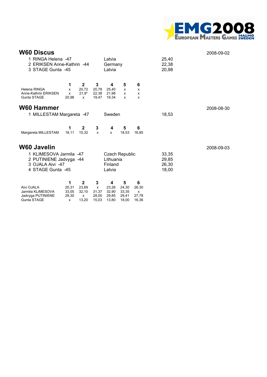

| <b>W60 Discus</b>                                                                           |                                   |                                              |                                              |                                       |                                       |                                   |                                  | 2008-09-02 |
|---------------------------------------------------------------------------------------------|-----------------------------------|----------------------------------------------|----------------------------------------------|---------------------------------------|---------------------------------------|-----------------------------------|----------------------------------|------------|
| 1 RINGA Helena -47<br>2 ERIKSEN Anne-Kathrin -44<br>3 STAGE Gunta -45                       |                                   |                                              | Latvia<br>Germany<br>Latvia                  |                                       |                                       |                                   | 25,40<br>22,38<br>20,98          |            |
| <b>Helena RINGA</b><br>Anne-Kathrin ERIKSEN<br><b>Gunta STAGE</b>                           | 1<br>x<br>x<br>20,98              | $\mathbf{2}$<br>20,72<br>$21.9*$<br>X        | 3<br>20,78<br>22,38<br>19.47                 | 4<br>25,40<br>21,98<br>19,34          | 5<br>$\mathsf{x}$<br>x<br>x           | 6<br>X<br>X<br>x                  |                                  |            |
| <b>W60 Hammer</b><br>1 MILLESTAM Margareta -47<br>Sweden                                    |                                   |                                              |                                              |                                       | 18,53                                 | 2008-08-30                        |                                  |            |
| Margareta MILLESTAM                                                                         | 1<br>18,11                        | $\mathbf{2}$<br>15,32                        | 3<br>$\mathsf{x}$                            | 4<br>$\mathsf{x}$                     | 5<br>18,53                            | 6<br>16,85                        |                                  |            |
| <b>W60 Javelin</b>                                                                          |                                   |                                              |                                              |                                       |                                       |                                   |                                  | 2008-09-03 |
| 1 KLIMESOVA Jarmila -47<br>2 PUTINIENE Jadvyga -44<br>3 OJALA Aivi -47<br>4 STAGE Gunta -45 |                                   |                                              |                                              | Lithuania<br>Finland<br>Latvia        | <b>Czech Republic</b>                 |                                   | 33,35<br>29,85<br>26,30<br>18,00 |            |
| Aivi OJALA<br>Jarmila KLIMESOVA<br>Jadvyga PUTINIENE<br><b>Gunta STAGE</b>                  | 1<br>20,31<br>33,05<br>29,30<br>x | $\mathbf{2}$<br>23,89<br>32,10<br>X<br>13,20 | 3<br>$\mathsf{x}$<br>31,37<br>28,00<br>15,03 | 4<br>23,26<br>32,90<br>29,85<br>13,80 | 5<br>24,30<br>33,35<br>29,41<br>18,00 | 6<br>26,30<br>X<br>27,78<br>16,36 |                                  |            |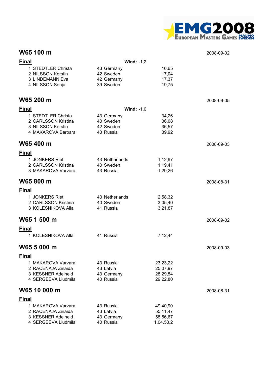

## **W65 100 m** 2008-09-02

| <b>Final</b>                                                                          | Wind: $-1,2$                                       |                                               |            |
|---------------------------------------------------------------------------------------|----------------------------------------------------|-----------------------------------------------|------------|
| 1 STEDTLER Christa<br>2 NILSSON Kerstin<br>3 LINDEMANN Eva<br>4 NILSSON Sonja         | 43 Germany<br>42 Sweden<br>42 Germany<br>39 Sweden | 16,65<br>17,04<br>17,37<br>19,75              |            |
| W65 200 m                                                                             |                                                    |                                               | 2008-09-05 |
| <b>Final</b>                                                                          | Wind: $-1,0$                                       |                                               |            |
| 1 STEDTLER Christa<br>2 CARLSSON Kristina<br>3 NILSSON Kerstin<br>4 MAKAROVA Barbara  | 43 Germany<br>40 Sweden<br>42 Sweden<br>43 Russia  | 34,26<br>36,08<br>36,57<br>39,92              |            |
| W65 400 m                                                                             |                                                    |                                               | 2008-09-03 |
| <b>Final</b>                                                                          |                                                    |                                               |            |
| 1 JONKERS Riet<br>2 CARLSSON Kristina<br>3 MAKAROVA Varvara                           | 43 Netherlands<br>40 Sweden<br>43 Russia           | 1.12,97<br>1.19,41<br>1.29,26                 |            |
| W65 800 m                                                                             |                                                    |                                               | 2008-08-31 |
| <b>Final</b>                                                                          |                                                    |                                               |            |
| 1 JONKERS Riet<br>2 CARLSSON Kristina<br>3 KOLESNIKOVA Alla                           | 43 Netherlands<br>40 Sweden<br>41 Russia           | 2.58,32<br>3.05,40<br>3.21,87                 |            |
| W65 1 500 m                                                                           |                                                    |                                               | 2008-09-02 |
| <b>Final</b>                                                                          |                                                    |                                               |            |
| 1 KOLESNIKOVA Alla                                                                    | 41 Russia                                          | 7.12,44                                       |            |
| W65 5 000 m                                                                           |                                                    |                                               | 2008-09-03 |
| <b>Final</b>                                                                          |                                                    |                                               |            |
| 1 MAKAROVA Varvara<br>2 RACENAJA Zinaida<br>3 KESSNER Adelheid<br>4 SERGEEVA Liudmila | 43 Russia<br>43 Latvia<br>43 Germany<br>40 Russia  | 23.23,22<br>25.07,97<br>28.29,54<br>29.22,80  |            |
| W65 10 000 m                                                                          |                                                    |                                               | 2008-08-31 |
| <b>Final</b>                                                                          |                                                    |                                               |            |
| 1 MAKAROVA Varvara<br>2 RACENAJA Zinaida<br>3 KESSNER Adelheid<br>4 SERGEEVA Liudmila | 43 Russia<br>43 Latvia<br>43 Germany<br>40 Russia  | 49.40,90<br>55.11,47<br>58.56,67<br>1.04.53,2 |            |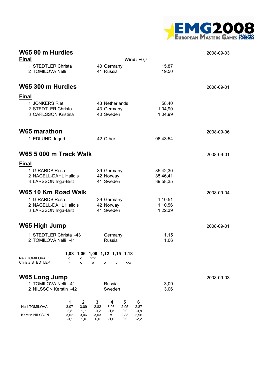

| W65 80 m Hurdles<br><b>Final</b>                               | Wind: $+0,7$                                                                                     | 2008-09-03           |            |
|----------------------------------------------------------------|--------------------------------------------------------------------------------------------------|----------------------|------------|
| 1 STEDTLER Christa                                             | 43 Germany                                                                                       | 15,87                |            |
| 2 TOMILOVA Nelli                                               | 41 Russia                                                                                        | 19,50                |            |
| W65 300 m Hurdles                                              |                                                                                                  |                      | 2008-09-01 |
| <b>Final</b>                                                   |                                                                                                  |                      |            |
| 1 JONKERS Riet<br>2 STEDTLER Christa                           | 43 Netherlands                                                                                   | 58,40                |            |
| 3 CARLSSON Kristina                                            | 43 Germany<br>40 Sweden                                                                          | 1.04,90<br>1.04,99   |            |
| <b>W65 marathon</b>                                            |                                                                                                  |                      | 2008-09-06 |
| 1 EDLUND, Ingrid                                               | 42 Other                                                                                         | 06:43:54             |            |
| <b>W65 5 000 m Track Walk</b>                                  |                                                                                                  |                      | 2008-09-01 |
| <b>Final</b>                                                   |                                                                                                  |                      |            |
| 1 GIRARDS Rosa<br>2 NAGELL-DAHL Halldis                        | 39 Germany                                                                                       | 35.42,30             |            |
| 3 LARSSON Inga-Britt                                           | 42 Norway<br>41 Sweden                                                                           | 35.46,41<br>39.58,35 |            |
| W65 10 Km Road Walk                                            |                                                                                                  |                      | 2008-09-04 |
| 1 GIRARDS Rosa                                                 | 39 Germany                                                                                       | 1.10.51              |            |
| 2 NAGELL-DAHL Halldis<br>3 LARSSON Inga-Britt                  | 42 Norway<br>41 Sweden                                                                           | 1.10.56<br>1.22.39   |            |
| W65 High Jump                                                  |                                                                                                  |                      | 2008-09-01 |
| 1 STEDTLER Christa -43                                         | Germany                                                                                          | 1,15                 |            |
| 2 TOMILOVA Nelli -41                                           | Russia                                                                                           | 1,06                 |            |
| Nelli TOMILOVA<br>o<br><b>XXX</b><br>о                         | 1,03 1,06 1,09 1,12 1,15 1,18                                                                    |                      |            |
| Christa STEDTLER<br>o<br>o                                     | <b>XXX</b><br>o<br>o                                                                             |                      |            |
| W65 Long Jump                                                  |                                                                                                  |                      | 2008-09-03 |
| 1 TOMILOVA Nelli -41<br>2 NILSSON Kerstin -42                  | Russia<br>Sweden                                                                                 | 3,09<br>3,06         |            |
|                                                                |                                                                                                  |                      |            |
| $\mathbf{2}$<br>1<br>Nelli TOMILOVA<br>3,07<br>3,09            | 3<br>6<br>4<br>5<br>2,82<br>3,06<br>2,95<br>2,87                                                 |                      |            |
| 2,8<br>1,7<br>Kerstin NILSSON<br>3,02<br>3,06<br>$-0,1$<br>1,0 | $-1,5$<br>$-0,2$<br>0,0<br>$-0,8$<br>2,83<br>3,03<br>2,96<br>x<br>0,0<br>$-1,0$<br>0,0<br>$-2,2$ |                      |            |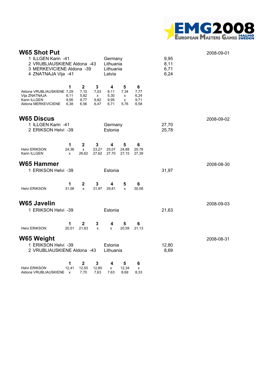

| <b>W65 Shot Put</b><br>1 ILLGEN Karin -41<br>2 VRUBLIAUSKIENE Aldona -43<br>3 MERKEVICIENE Aldona -39<br>4 ZNATNAJA Vija -41 |                           | Germany<br>Lithuania<br>Lithuania<br>Latvia  |                                                                   |                                   |                                                     |                                   | 9,95<br>8,11<br>6,71<br>6,24 | 2008-09-01 |
|------------------------------------------------------------------------------------------------------------------------------|---------------------------|----------------------------------------------|-------------------------------------------------------------------|-----------------------------------|-----------------------------------------------------|-----------------------------------|------------------------------|------------|
| Aldona VRUBLIAUSKIENE 7,29<br>Vija ZNATNAJA<br>Karin ILLGEN<br>Aldona MERKEVICIENE                                           | 1<br>6,11<br>9,56<br>6,38 | $\mathbf{2}$<br>7,10<br>5,82<br>9,77<br>6,56 | $\mathbf{3}$<br>7,53<br>$\boldsymbol{\mathsf{x}}$<br>9,82<br>6,47 | 4<br>8,11<br>5,30<br>9,95<br>6,71 | 5<br>7,34<br>$\boldsymbol{\mathsf{x}}$<br>x<br>5,76 | 6<br>7,77<br>6,24<br>9,71<br>6,58 |                              |            |
| <b>W65 Discus</b><br>1 ILLGEN Karin -41<br>2 ERIKSON Helvi -39                                                               |                           |                                              |                                                                   | Germany<br>Estonia                |                                                     |                                   | 27,70<br>25,78               | 2008-09-02 |
| <b>Helvi ERIKSON</b><br>Karin ILLGEN                                                                                         | 1<br>24,36<br>x           | $\boldsymbol{2}$<br>X<br>26,62               | 3<br>23,27<br>27,62                                               | 4<br>25,07<br>27,70               | 5<br>24,88<br>27,15                                 | 6<br>25,78<br>27,39               |                              |            |
| <b>W65 Hammer</b><br>1 ERIKSON Helvi -39                                                                                     |                           |                                              |                                                                   | Estonia                           |                                                     |                                   | 31,97                        | 2008-08-30 |
| Helvi ERIKSON                                                                                                                | 1<br>31,58                | $\mathbf 2$<br>x                             | 3<br>31,97                                                        | 4<br>29,81                        | 5<br>x                                              | $6\phantom{1}6$<br>30,08          |                              |            |
| <b>W65 Javelin</b><br>1 ERIKSON Helvi -39                                                                                    |                           |                                              |                                                                   | Estonia                           |                                                     |                                   | 21,63                        | 2008-09-03 |
| <b>Helvi ERIKSON</b>                                                                                                         | 1<br>20,51                | $\mathbf 2$<br>21,63                         | 3<br>x                                                            | 4<br>X                            | 5<br>20,59                                          | 6<br>21,13                        |                              |            |
| <b>W65 Weight</b><br>1 ERIKSON Helvi -39<br>2 VRUBLIAUSKIENE Aldona -43                                                      |                           |                                              |                                                                   | Estonia<br>Lithuania              |                                                     |                                   | 12,80<br>8,69                | 2008-08-31 |
| <b>Helvi ERIKSON</b><br>Aldona VRUBLIAUSKIENE                                                                                | 1<br>12,41<br>X           | $\mathbf 2$<br>12,50<br>7,70                 | 3<br>12,80<br>7,63                                                | 4<br>x<br>7,63                    | 5<br>12,34<br>8,69                                  | 6<br>x<br>8,33                    |                              |            |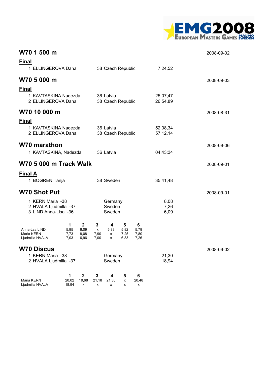

| W70 1 500 m                                                       |                                                            |                                      |                           |                             |                           |                           |                      | 2008-09-02 |
|-------------------------------------------------------------------|------------------------------------------------------------|--------------------------------------|---------------------------|-----------------------------|---------------------------|---------------------------|----------------------|------------|
| <b>Final</b><br>1 ELLINGEROVÁ Dana                                |                                                            |                                      |                           |                             | 38 Czech Republic         |                           | 7.24,52              |            |
| W70 5 000 m                                                       |                                                            |                                      |                           |                             |                           | 2008-09-03                |                      |            |
| <b>Final</b>                                                      | 1 KAVTASKINA Nadezda<br>2 ELLINGEROVÁ Dana<br>W70 10 000 m |                                      |                           |                             |                           | 38 Czech Republic         | 25.07,47<br>26.54,89 | 2008-08-31 |
| <b>Final</b><br>1 KAVTASKINA Nadezda<br>2 ELLINGEROVÁ Dana        |                                                            | 36 Latvia                            | 38 Czech Republic         |                             | 52.08,34<br>57.12,14      |                           |                      |            |
| W70 marathon<br>1 KAVTASKINA, Nadezda                             |                                                            | 36 Latvia                            |                           |                             | 04:43:34                  | 2008-09-06                |                      |            |
| <b>W70 5 000 m Track Walk</b>                                     |                                                            |                                      |                           |                             |                           |                           |                      | 2008-09-01 |
| <b>Final A</b><br>1 BOGREN Tanja                                  |                                                            |                                      |                           | 38 Sweden                   |                           |                           | 35.41,48             |            |
| <b>W70 Shot Put</b>                                               |                                                            |                                      |                           |                             |                           |                           |                      | 2008-09-01 |
| 1 KERN Maria -38<br>2 HVALA Ljudmilla -37<br>3 LIND Anna-Lisa -36 |                                                            |                                      |                           | Germany<br>Sweden<br>Sweden |                           |                           | 8,08<br>7,26<br>6,09 |            |
| Anna-Lsa LIND<br>Maria KERN<br>Ljudmilla HVALA                    | 1<br>5,95<br>7,73<br>7,03                                  | $\mathbf{2}$<br>6,09<br>8,08<br>6,96 | 3<br>x<br>7,90<br>7,00    | 4<br>5,83<br>x<br>x         | 5<br>5,82<br>7,25<br>6,83 | 6<br>5,79<br>7,80<br>7,26 |                      |            |
| <b>W70 Discus</b><br>1 KERN Maria -38<br>2 HVALA Ljudmilla -37    |                                                            | Germany<br>Sweden                    |                           |                             | 21,30<br>18,94            | 2008-09-02                |                      |            |
| Maria KERN<br>Ljudmilla HVALA                                     | $\mathbf{1}$<br>20,02<br>18,94                             | $\mathbf 2$<br>19,68<br>х            | $\mathbf 3$<br>21,18<br>х | 4<br>21,30<br>x             | 5<br>X<br>х               | $\bf 6$<br>20,48<br>х     |                      |            |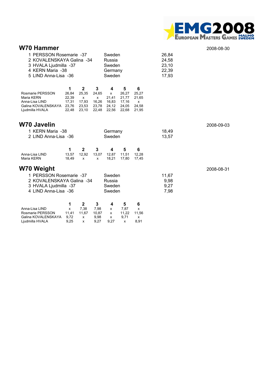

# **W70 Hammer** 2008-08-30

| 1 PERSSON Rosemarie -37<br>2 KOVALENSKAYA Galina -34<br>3 HVALA Ljudmilla -37<br>4 KERN Maria -38<br>5 LIND Anna-Lisa -36                     |                                                | Sweden<br>Russia<br>Sweden<br>Germany<br>Sweden      |                                            |                                                       | 26,84<br>24,58<br>23,10<br>22,39<br>17,93      |                                            |                               |            |
|-----------------------------------------------------------------------------------------------------------------------------------------------|------------------------------------------------|------------------------------------------------------|--------------------------------------------|-------------------------------------------------------|------------------------------------------------|--------------------------------------------|-------------------------------|------------|
| <b>Rosmarie PERSSON</b><br>Maria KERN<br>Anna-Lisa LIND<br>Galina KOVALENSKAYA<br>Ljudmilla HVALA                                             | 1<br>26,84<br>22,39<br>17,31<br>23,76<br>22,48 | $\mathbf 2$<br>25,35<br>X<br>17,93<br>23,53<br>23,10 | 3<br>24,65<br>x<br>16,26<br>23,78<br>22,48 | 4<br>$\mathsf{x}$<br>21,41<br>16,83<br>24,12<br>22,56 | 5<br>26,27<br>21,77<br>17,16<br>24,05<br>22,68 | 6<br>25,27<br>21,65<br>x<br>24,58<br>21,95 |                               |            |
| W70 Javelin<br>1 KERN Maria -38<br>Germany<br>Sweden<br>2 LIND Anna-Lisa -36                                                                  |                                                |                                                      |                                            |                                                       |                                                |                                            | 18,49<br>13,57                | 2008-09-03 |
| Anna-Lisa LIND<br>Maria KERN                                                                                                                  | 1<br>13,57<br>18,49                            | $\mathbf{2}$<br>12,92<br>x                           | 3<br>13,07<br>x                            | 4<br>12,87<br>18,21                                   | 5<br>11,51<br>17,80                            | 6<br>12,28<br>17,45                        |                               |            |
| W70 Weight                                                                                                                                    |                                                |                                                      |                                            |                                                       |                                                |                                            |                               | 2008-08-31 |
| 1 PERSSON Rosemarie -37<br>Sweden<br>2 KOVALENSKAYA Galina -34<br>Russia<br>3 HVALA Ljudmilla -37<br>Sweden<br>4 LIND Anna-Lisa -36<br>Sweden |                                                |                                                      |                                            |                                                       |                                                |                                            | 11,67<br>9,98<br>9,27<br>7,98 |            |
| Anna-Lisa LIND<br>Rosmarie PERSSON<br>Galina KOVALENSKAYA<br>Ljudmilla HVALA                                                                  | 1<br>x<br>11,41<br>9,72<br>9,25                | $\mathbf{2}$<br>7,38<br>11,67<br>x<br>x              | 3<br>7,98<br>10,87<br>9,98<br>9,27         | 4<br>x<br>x<br>x<br>9,27                              | 5<br>7,87<br>11,22<br>9,71<br>x                | 6<br>x<br>11,56<br>x<br>8,91               |                               |            |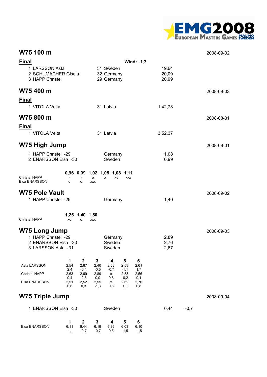

## **W75 100 m** 2008-09-02

| Final                                                            |             |                     |                 |                                          |                | Wind: $-1,3$ |                         |        |            |
|------------------------------------------------------------------|-------------|---------------------|-----------------|------------------------------------------|----------------|--------------|-------------------------|--------|------------|
| 1 LARSSON Asta<br>2 SCHUMACHER Gisela<br>3 HAPP Christel         |             |                     |                 | 31 Sweden<br>32 Germany<br>29 Germany    |                |              | 19,64<br>20,09<br>20,99 |        |            |
| W75 400 m                                                        |             |                     |                 |                                          |                |              |                         |        | 2008-09-03 |
| <b>Final</b>                                                     |             |                     |                 |                                          |                |              |                         |        |            |
| 1 VITOLA Velta                                                   |             |                     |                 | 31 Latvia                                |                |              | 1.42,78                 |        |            |
| W75 800 m                                                        |             |                     |                 |                                          |                |              |                         |        | 2008-08-31 |
| <b>Final</b>                                                     |             |                     |                 |                                          |                |              |                         |        |            |
| 1 VITOLA Velta                                                   |             |                     |                 | 31 Latvia                                |                |              | 3.52,37                 |        |            |
| W75 High Jump                                                    |             |                     |                 |                                          |                |              |                         |        | 2008-09-01 |
| 1 HAPP Christel -29<br>2 ENARSSON Elsa -30                       |             |                     |                 | Germany<br>Sweden                        |                |              | 1,08<br>0,99            |        |            |
| <b>Christel HAPP</b><br>Elsa ENARSSON                            | $\Omega$    | o                   | о<br><b>XXX</b> | 0,96 0,99 1,02 1,05 1,08 1,11<br>XO<br>o | <b>XXX</b>     |              |                         |        |            |
| <b>W75 Pole Vault</b>                                            |             |                     |                 |                                          |                |              |                         |        | 2008-09-02 |
| 1 HAPP Christel -29                                              |             |                     |                 | Germany                                  |                |              | 1,40                    |        |            |
| <b>Christel HAPP</b>                                             | XO          | 1,25 1,40 1,50<br>о | <b>XXX</b>      |                                          |                |              |                         |        |            |
| <b>W75 Long Jump</b>                                             |             |                     |                 |                                          |                |              |                         |        | 2008-09-03 |
| 1 HAPP Christel -29<br>2 ENARSSON Elsa -30<br>3 LARSSON Asta -31 |             |                     |                 | Germany<br>Sweden<br>Sweden              |                |              | 2,89<br>2,76<br>2,67    |        |            |
|                                                                  | 1           | $\mathbf 2$         | 3               | 4                                        | 5              | 6            |                         |        |            |
| Asta LARSSON                                                     | 2,54<br>2,4 | 2,67<br>$-0,4$      | 2,40<br>$-0,5$  | 2,53<br>$-0,7$                           | 2,58<br>$-1,1$ | 2,61<br>1,7  |                         |        |            |
| Christel HAPP                                                    | 2,63<br>0,4 | 2,69<br>$-2,6$      | 2,89<br>0,0     | X<br>0,8                                 | 2,83<br>$-0,2$ | 2,56<br>0,1  |                         |        |            |
| Elsa ENARSSON                                                    | 2,51<br>0,6 | 2,52<br>0,3         | 2,55<br>$-1,3$  | x<br>0,6                                 | 2,62<br>1,3    | 2,76<br>0,8  |                         |        |            |
| <b>W75 Triple Jump</b>                                           |             |                     |                 |                                          |                |              |                         |        | 2008-09-04 |
| <b>ENARSSON Elsa -30</b><br>1.                                   |             |                     |                 | Sweden                                   |                |              | 6,44                    | $-0,7$ |            |
| Elsa ENARSSON                                                    | 1<br>6,11   | $\mathbf 2$<br>6,44 | 3<br>6,19       | 4<br>6,36                                | 5<br>6,03      | 6<br>6, 10   |                         |        |            |

-1,1 -0,7 -0,7 0,5 -1,5 -1,5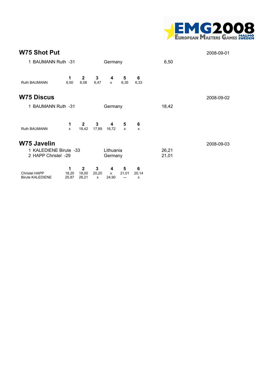

| <b>W75 Shot Put</b>                             |                     |                                |                            |                      |                   |                                |                | 2008-09-01 |
|-------------------------------------------------|---------------------|--------------------------------|----------------------------|----------------------|-------------------|--------------------------------|----------------|------------|
| 1 BAUMANN Ruth -31                              |                     |                                |                            | Germany              |                   |                                | 6,50           |            |
| Ruth BAUMANN                                    | 1<br>6,50           | $\mathbf{2}$<br>6,08           | 3<br>6,47                  | 4<br>$\mathsf{x}$    | 5<br>6,35         | 6<br>6,33                      |                |            |
| <b>W75 Discus</b>                               |                     |                                |                            |                      |                   |                                |                | 2008-09-02 |
| 1 BAUMANN Ruth -31<br>Germany                   |                     |                                |                            |                      | 18,42             |                                |                |            |
| Ruth BAUMANN                                    | 1<br>X              | $\overline{2}$<br>18,42        | 3<br>17,89                 | 4<br>16,72           | 5<br>x            | 6<br>$\boldsymbol{\mathsf{x}}$ |                |            |
| W75 Javelin                                     |                     |                                |                            |                      |                   |                                |                | 2008-09-03 |
| 1 KALEDIENE Birute -33<br>2 HAPP Christel -29   |                     |                                |                            | Lithuania<br>Germany |                   |                                | 26,21<br>21,01 |            |
| <b>Christel HAPP</b><br><b>Birute KALEDIENE</b> | 1<br>18,20<br>25,87 | $\mathbf{2}$<br>18,00<br>26,21 | 3<br>20,20<br>$\mathsf{x}$ | 4<br>x<br>24,90      | 5<br>21,01<br>--- | 6<br>20,14<br>X                |                |            |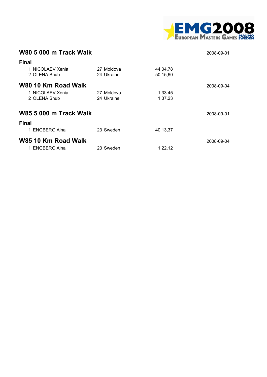

| <b>W80 5 000 m Track Walk</b><br>2008-09-01             |                          |                      |            |  |  |  |  |  |  |
|---------------------------------------------------------|--------------------------|----------------------|------------|--|--|--|--|--|--|
| <b>Final</b><br>1 NICOLAEV Xenia<br>2 OLENA Shub        | 27 Moldova<br>24 Ukraine | 44.04,78<br>50.15,60 |            |  |  |  |  |  |  |
| W80 10 Km Road Walk<br>1 NICOLAEV Xenia<br>2 OLENA Shub | 27 Moldova<br>24 Ukraine | 1.33.45<br>1.37.23   | 2008-09-04 |  |  |  |  |  |  |
| <b>W85 5 000 m Track Walk</b><br><b>Final</b>           |                          |                      | 2008-09-01 |  |  |  |  |  |  |
| 1 ENGBERG Aina                                          | 23 Sweden                | 40.13,37             |            |  |  |  |  |  |  |
| W85 10 Km Road Walk<br>1 ENGBERG Aina                   | 23 Sweden                | 1.22.12              | 2008-09-04 |  |  |  |  |  |  |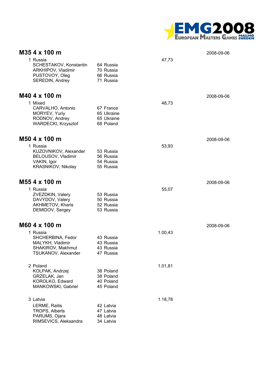

| M35 4 x 100 m                                                                                 |                                                    |         | 2008-09-06 |
|-----------------------------------------------------------------------------------------------|----------------------------------------------------|---------|------------|
| 1 Russia<br>SCHESTAKOV, Konstantin<br>ARKHIPOV, Vladimir<br>PUSTOVOY, Oleg<br>SEREDIN, Andrey | 64 Russia<br>70 Russia<br>66 Russia<br>71 Russia   | 47,73   |            |
| M40 4 x 100 m                                                                                 |                                                    |         | 2008-09-06 |
| 1 Mixed<br>CARVALHO, Antonio<br>MORYEV, Yuriy<br>RODNOV, Andrey<br>WARDECKI, Krzysztof        | 67 France<br>65 Ukraine<br>65 Ukraine<br>68 Poland | 48,73   |            |
| M50 4 x 100 m                                                                                 |                                                    |         | 2008-09-06 |
| 1 Russia<br>KUZOVNIKOV, Alexander<br>BELOUSOV, Vladimir<br>VAKIN, Igor<br>KRASNIKOV, Nikolay  | 53 Russia<br>56 Russia<br>54 Russia<br>55 Russia   | 53,93   |            |
| M55 4 x 100 m                                                                                 |                                                    |         | 2008-09-06 |
| 1 Russia<br>ZVEZDKIN, Valery<br>DAVYDOV, Valery<br>AKHMETOV, Kharis<br>DEMIDOV, Sergey        | 53 Russia<br>50 Russia<br>52 Russia<br>53 Russia   | 55,07   |            |
| M60 4 x 100 m                                                                                 |                                                    |         | 2008-09-06 |
| 1 Russia<br>SHCHERBINA, Fedor<br>MALYKH, Vladimir<br>SHAKIROV, Makhmut<br>TSUKANOV, Alexander | 43 Russia<br>43 Russia<br>43 Russia<br>47 Russia   | 1.00,43 |            |
| 2 Poland<br>KOLPAK, Andrzej<br>GRZELAK, Jan<br>KOROLKO, Edward<br>MANKOWSKI, Gabriel          | 38 Poland<br>38 Poland<br>40 Poland<br>45 Poland   | 1.01,81 |            |
| 3 Latvia                                                                                      |                                                    | 1.18,78 |            |
| LERME, Raitis<br>TROPS, Alberts<br>PARUMS, Ojara<br>RIMSEVICS, Aleksandra                     | 42 Latvia<br>47 Latvia<br>48 Latvia<br>34 Latvia   |         |            |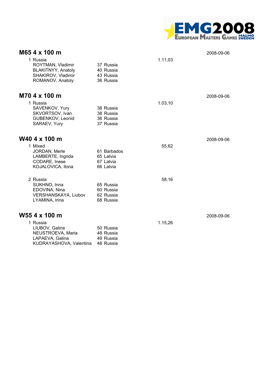

| M65 4 x 100 m                                                                                 |                                                    |         | 2008-09-06 |
|-----------------------------------------------------------------------------------------------|----------------------------------------------------|---------|------------|
| 1 Russia<br>ROYTMAN, Vladimir<br>BLAKITNYY, Anatoly<br>SHAKIROV, Vladimir<br>ROMANOV, Anatoly | 37 Russia<br>40 Russia<br>43 Russia<br>36 Russia   | 1.11,03 |            |
| M70 4 x 100 m                                                                                 |                                                    |         | 2008-09-06 |
| 1 Russia<br>SAVENKOV, Yury<br>SKVORTSOV, Ivan<br>GUBENKOV, Leonid<br>SARAEV, Yury             | 38 Russia<br>38 Russia<br>36 Russia<br>37 Russia   | 1.03,10 |            |
| W40 4 x 100 m                                                                                 |                                                    |         | 2008-09-06 |
| 1 Mixed<br>JORDAN, Merle<br>LAMBERTE, Ingrida<br>CODARE, Inese<br>KOJALOVICA, Ilona           | 61 Barbados<br>65 Latvia<br>67 Latvia<br>66 Latvia | 55,62   |            |
| 2 Russia<br>SUKHNO, Inna<br>EDOVINA, Nina<br><b>VERSHANSKAYA, Liubov</b><br>LYAMINA, Irina    | 65 Russia<br>60 Russia<br>62 Russia<br>68 Russia   | 58,16   |            |
| W55 4 x 100 m                                                                                 |                                                    |         | 2008-09-06 |
| 1 Russia<br>LIUBOV, Galina<br>NEUSTROEVA, Maria<br>LAPAEVA, Galina<br>KUDRAYASHOVA, Valentina | 50 Russia<br>48 Russia<br>49 Russia<br>48 Russia   | 1.15,26 |            |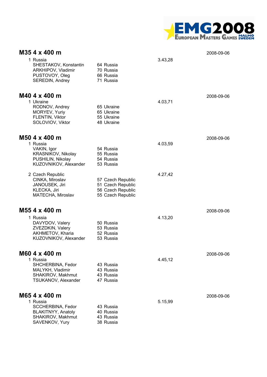

| M35 4 x 400 m                                                                                                      |                                                                                  |         | 2008-09-06 |
|--------------------------------------------------------------------------------------------------------------------|----------------------------------------------------------------------------------|---------|------------|
| 1 Russia<br>SHESTAKOV, Konstantin<br>ARKHIPOV, Vladimir<br>PUSTOVOY, Oleg<br>SEREDIN, Andrey                       | 64 Russia<br>70 Russia<br>66 Russia<br>71 Russia                                 | 3.43,28 |            |
| M40 4 x 400 m<br>1 Ukraine<br>RODNOV, Andrey<br>MORYEV, Yuriy<br>FLENTIN, Viktor<br>SOLOVIOV, Viktor               | 65 Ukraine<br>65 Ukraine<br>55 Ukraine<br>48 Ukraine                             | 4.03,71 | 2008-09-06 |
| $M504 \times 400$ m<br>1 Russia<br>VAKIN, Igor<br>KRASNIKOV, Nikolay<br>PUSHILIN, Nikolay<br>KUZOVNIKOV, Alexander | 54 Russia<br>55 Russia<br>54 Russia<br>53 Russia                                 | 4.03,59 | 2008-09-06 |
| 2 Czech Republic<br>CINKA, Miroslav<br>JANOUSEK, Jiri<br>KLECKA, Jiri<br>MATECHA, Miroslav                         | 57 Czech Republic<br>51 Czech Republic<br>56 Czech Republic<br>55 Czech Republic | 4.27,42 |            |
| M55 4 x 400 m                                                                                                      |                                                                                  |         | 2008-09-06 |
| 1 Russia<br>DAVYDOV, Valery<br>ZVEZDKIN, Valery<br>AKHMETOV, Kharia<br>KUZOVNIKOV, Alexander                       | 50 Russia<br>53 Russia<br>52 Russia<br>53 Russia                                 | 4.13,20 |            |
| M60 4 x 400 m<br>1 Russia<br>SHCHERBINA, Fedor<br>MALYKH, Vladimir<br>SHAKIROV, Makhmut<br>TSUKANOV, Alexander     | 43 Russia<br>43 Russia<br>43 Russia<br>47 Russia                                 | 4.45,12 | 2008-09-06 |
| M65 4 x 400 m<br>1 Russia<br>SCCHERBINA, Fedor<br>BLAKITNYY, Anatoly<br>SHAKIROV, Makhmut<br>SAVENKOV, Yury        | 43 Russia<br>40 Russia<br>43 Russia<br>38 Russia                                 | 5.15,99 | 2008-09-06 |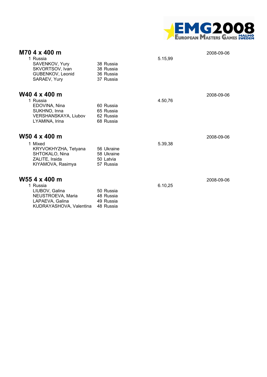

| M70 4 x 400 m<br>1 Russia<br>SAVENKOV, Yury<br>SKVORTSOV, Ivan<br>GUBENKOV, Leonid<br>SARAEV, Yury             | 38 Russia<br>38 Russia<br>36 Russia<br>37 Russia   | 5.15,99 | 2008-09-06 |
|----------------------------------------------------------------------------------------------------------------|----------------------------------------------------|---------|------------|
| W40 4 x 400 m<br>1 Russia<br>EDOVINA, Nina<br>SUKHNO, Inna<br>VERSHANSKAYA, Liubov<br>LYAMINA, Irina           | 60 Russia<br>65 Russia<br>62 Russia<br>68 Russia   | 4.50,76 | 2008-09-06 |
| W50 4 x 400 m                                                                                                  |                                                    |         | 2008-09-06 |
| 1 Mixed<br>KRYVOKHYZHA, Tetyana<br>SHTOKALO, Nina<br>ZALITE, Iraida<br>KIYAMOVA, Rasimya                       | 56 Ukraine<br>58 Ukraine<br>50 Latvia<br>57 Russia | 5.39,38 |            |
| W55 4 x 400 m<br>1 Russia<br>LIUBOV, Galina<br>NEUSTROEVA, Maria<br>LAPAEVA, Galina<br>KUDRAYASHOVA, Valentina | 50 Russia<br>48 Russia<br>49 Russia<br>48 Russia   | 6.10,25 | 2008-09-06 |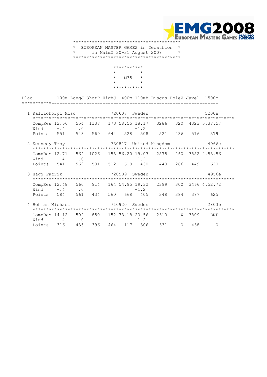

 \* EUROPEAN MASTER GAMES in Decathlon \* \* in Malmö 30-31 August 2008 \* \*\*\*\*\*\*\*\*\*\*\*\*\*\*\*\*\*\*\*\*\*\*\*\*\*\*\*\*\*\*\*\*\*\*\*\*\*\*\*\*

|     | $^\star$                              |
|-----|---------------------------------------|
| M35 | $\star$                               |
|     | $\star$                               |
|     |                                       |
|     | ***********<br>$\star$<br>*********** |

Plac. 100m LongJ ShotP HighJ 400m 110mh Discus PoleV Javel 1500m \*\*\*\*\*\*\*\*\*\*\*--------------------------------------------------------------

|   | 1 Kalliokorpi Miso    |        |                  |         |     | 720607<br>Sweden |                           |                |           |      | 5200e        |  |
|---|-----------------------|--------|------------------|---------|-----|------------------|---------------------------|----------------|-----------|------|--------------|--|
|   | CompRes 12.66<br>Wind | $-$ .4 | 554<br>$\cdot$ 0 | 1138    |     |                  | 173 58.55 18.17<br>$-1.2$ | 3286           | 320       |      | 4323 5.38.57 |  |
|   | Points                | 551    | 548              | 569     | 644 | 528              | 508                       | 521            | 436       | 516  | 379          |  |
|   | 2 Kennedy Troy        |        |                  |         |     | 730817           |                           | United Kingdom |           |      | 4966e        |  |
|   | CompRes 12.71<br>Wind | $-4$   | 564<br>$\cdot$ 0 | 1026    |     |                  | 158 56.20 19.03<br>$-1.2$ | 2875           | 260       |      | 3882 4.53.56 |  |
|   | Points 541            |        |                  | 569 501 | 512 | 618              | 430                       | 440            | 286       | 449  | 620          |  |
|   | 3 Hägg Patrik         |        |                  |         |     | 720509           | Sweden                    |                |           |      | 4956e        |  |
|   | CompRes 12.48<br>Wind | $-0.4$ | 560<br>$\cdot$ 0 | 914     |     |                  | 164 54.95 19.32<br>$-1.2$ | 2399           | 300       |      | 3466 4.52.72 |  |
|   | Points                | 584    | 561              | 434     | 560 | 668              | 405                       | 348            | 384       | 387  | 625          |  |
| 4 | Bohman Michael        |        |                  |         |     | 710920           | Sweden                    |                |           |      | 2803e        |  |
|   | CompRes 14.12<br>Wind | $-$ .4 | 502<br>$\cdot$ 0 | 850     |     |                  | 152 73.18 20.56<br>$-1.2$ | 2310           | X         | 3809 | DNF          |  |
|   | Points                | 316    | 435              | 396     | 464 | 117              | 306                       | 331            | $\bigcap$ | 438  | $\cap$       |  |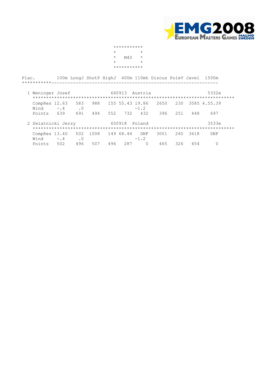

 \*\*\*\*\*\*\*\*\*\*\*  $\star$   $\star$  $\star$  M40  $\star$  $\star$   $\star$ \*\*\*\*\*\*\*\*\*\*\*

| Plac.<br>***********  |        |                  |      |     |                 |               | 100m LongJ ShotP HighJ 400m 110mh Discus PoleV Javel |      |      | 1500m        |  |
|-----------------------|--------|------------------|------|-----|-----------------|---------------|------------------------------------------------------|------|------|--------------|--|
| 1 Weninger Josef      |        |                  |      |     | 660913          | Austria       |                                                      |      |      | 5332e        |  |
| CompRes 12.63<br>Wind | $-$ .4 | 583<br>$\cdot$ 0 | 988  |     | 155 55.43 19.86 | $-1.2$        | 2650                                                 | 230  |      | 3585 4.55.39 |  |
| Points                | 639    | 691              | 494  | 552 | 732             | 432           | 396                                                  | 2.51 | 448  | 697          |  |
| 2 Swiatnicki Jerzy    |        |                  |      |     | 650918          | Poland        |                                                      |      |      | 3533e        |  |
| CompRes 13.40<br>Wind | $-0.4$ | 502<br>$\cdot$ 0 | 1008 |     | 149 68.44       | DNF<br>$-1.2$ | 3001                                                 | 260  | 3618 | DNF          |  |
| Points                | 502    | 496              | 507  | 496 | 287             | $\Omega$      | 465                                                  | 326  | 454  |              |  |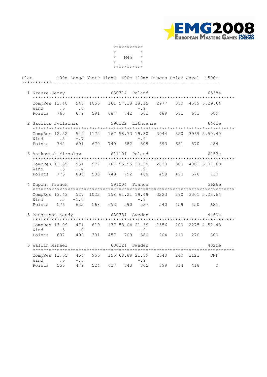

|            | *********** |            |
|------------|-------------|------------|
| $^{\star}$ |             | $^{\star}$ |
| $\star$    | M45         | $\star$    |
| $\star$    |             | $^{\star}$ |
|            | *********** |            |

| Plac.<br>***********--- |                                    | 100m LongJ ShotP HighJ 400m 110mh Discus PoleV Javel |             |     |        |                                |      |     |          | 1500m            |
|-------------------------|------------------------------------|------------------------------------------------------|-------------|-----|--------|--------------------------------|------|-----|----------|------------------|
| 1 Krauze Jerzy          |                                    |                                                      |             |     |        | 630714 Poland                  |      |     |          | 6538e            |
|                         |                                    |                                                      |             |     |        |                                |      |     |          |                  |
| Wind                    | CompRes 12.40<br>.5                | 545<br>$\cdot$ 0                                     | 1055        |     |        | 161 57.18 18.15<br>$-0.9$      | 2977 |     |          | 350 4589 5.29.64 |
| Points                  | 765                                | 679                                                  | 591         | 687 |        | 742 662                        | 489  | 651 | 683      | 589              |
| 2 Saulius Svilainis     |                                    |                                                      |             |     |        | 590122 Lithuania               |      |     |          | 6441e            |
|                         |                                    |                                                      |             |     |        |                                |      |     |          |                  |
| Wind                    | CompRes 12.52                      | 549<br>.5<br>$-0.7$                                  | 1172        |     |        | 167 58.73 19.80<br>$-0.9$      | 3944 |     |          | 350 3969 5.50.40 |
|                         | Points 742                         | 691                                                  | 670         | 749 | 682    | 509                            | 693  | 651 | 570      | 484              |
| 3 Antkowiak Miroslaw    |                                    |                                                      |             |     | 621101 | Poland                         |      |     |          | 6253e            |
| Wind                    | CompRes 12.35                      | 551<br>.5                                            | 977<br>$-4$ |     |        | 167 55.95 20.28<br>$-0.9$      | 2830 |     |          | 300 4001 5.07.69 |
|                         | Points 776                         |                                                      | 695 538     | 749 | 792    | 468                            | 459  | 490 | 576      | 710              |
| 4 Dupont Franck         |                                    |                                                      |             |     |        | 591004 France                  |      |     |          | 5626e            |
|                         |                                    |                                                      |             |     |        |                                |      |     |          |                  |
| Wind                    | CompRes 13.43<br>$\cdot$ 5         | 527<br>$-1.0$                                        |             |     |        | 1022 158 61.21 19.49<br>$-0.9$ | 3223 |     |          | 290 3301 5.23.64 |
| Points                  | 576                                | 632                                                  | 568         | 653 | 590    | 537                            | 540  | 459 | 450      | 621              |
| 5 Bengtsson Sandy       |                                    |                                                      |             |     |        | 630731 Sweden                  |      |     |          | 4460e            |
|                         | CompRes 13.09<br>Wind .5           | 471<br>$\cdot$ 0                                     |             |     |        | 619 137 58.04 21.39<br>$-0.9$  | 1556 |     |          | 200 2275 4.52.43 |
| Points                  | 637                                | 492                                                  | 301         | 457 | 709    | 380                            | 204  | 210 | 270      | 800              |
| 6 Wallin Mikael         |                                    |                                                      |             |     |        | 630121 Sweden                  |      |     |          | 4025e            |
|                         | CompRes 13.55<br>Wind <sub>5</sub> | 466<br>$-0.6$                                        |             |     |        | 955 155 68.89 21.59<br>$-0.9$  | 2540 |     | 240 3123 | DNF              |
| Points                  | 556                                | 479                                                  | 524         | 627 | 343    | 365                            | 399  | 314 | 418      | $\Omega$         |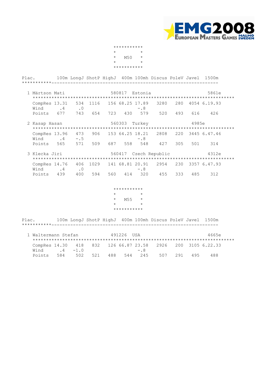

|            | *********** |            |
|------------|-------------|------------|
| $^{\star}$ |             | $^{\star}$ |
| $\star$    | M50         | $^\star$   |
| $^{\star}$ |             | $^{\star}$ |
|            | *********** |            |

| Plac.                                          |  |  |                        |         | 100m LongJ ShotP HighJ 400m 100mh Discus PoleV Javel 1500m |  |                                                              |  |
|------------------------------------------------|--|--|------------------------|---------|------------------------------------------------------------|--|--------------------------------------------------------------|--|
|                                                |  |  |                        |         |                                                            |  |                                                              |  |
| 1 Märtson Mati 680817 Estonia                  |  |  |                        |         |                                                            |  | 5861e                                                        |  |
| $Wind$ . 4 . 0 -. 8                            |  |  |                        |         |                                                            |  | CompRes 13.31 534 1116 156 68.25 17.89 3280 280 4054 6.19.93 |  |
| Points 677 743 654 723 430 579 520 493 616 426 |  |  |                        |         |                                                            |  |                                                              |  |
| 2 Kasap Hasan                                  |  |  |                        |         | 560303 Turkey 4985e                                        |  |                                                              |  |
| Wind $.4 - .5$ - $.8$                          |  |  |                        |         |                                                            |  | CompRes 13.96 473 906 153 64.25 18.21 2808 220 3445 6.47.46  |  |
| Points 565 571 509 687 558 548 427 305 501 314 |  |  |                        |         |                                                            |  |                                                              |  |
| 3 Klecka Jiri                                  |  |  |                        |         |                                                            |  | 560417 Czech Republic 4312e                                  |  |
| Wind .4 .0 -.8                                 |  |  |                        |         |                                                            |  | CompRes 14.76 406 1029 141 68.81 20.91 2954 230 3357 6.47.93 |  |
| Points 439 400 594 560 414 320 455 333 485 312 |  |  |                        |         |                                                            |  |                                                              |  |
|                                                |  |  |                        |         |                                                            |  |                                                              |  |
|                                                |  |  | ***********<br>$\star$ | $\star$ |                                                            |  |                                                              |  |
|                                                |  |  | $*$ M55 $*$            |         |                                                            |  |                                                              |  |
|                                                |  |  | $\star$                | $\star$ |                                                            |  |                                                              |  |
|                                                |  |  | ***********            |         |                                                            |  |                                                              |  |
|                                                |  |  |                        |         |                                                            |  |                                                              |  |

 Plac. 100m LongJ ShotP HighJ 400m 100mh Discus PoleV Javel 1500m \*\*\*\*\*\*\*\*\*\*\*--------------------------------------------------------------

| 1 Waltermann Stefan |     |          |  | 491226 USA |        |                                                             |     |     | 4665e |  |
|---------------------|-----|----------|--|------------|--------|-------------------------------------------------------------|-----|-----|-------|--|
|                     |     |          |  |            |        |                                                             |     |     |       |  |
|                     |     |          |  |            |        | CompRes 14.30 418 832 126 66.87 23.58 2926 200 3105 6.22.33 |     |     |       |  |
| Wind                |     | $4 - 10$ |  |            | $-0.8$ |                                                             |     |     |       |  |
| Points              | 584 | 502 521  |  | 488 544    | 245    | 507                                                         | 291 | 495 | 488   |  |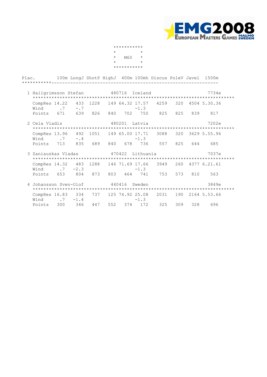

|            | *********** |            |
|------------|-------------|------------|
| $^{\star}$ |             | $^{\star}$ |
| $\star$    | M60         | $^\star$   |
| $^{\star}$ |             | $^{\star}$ |
|            | *********** |            |

| Plac. 100m LongJ ShotP HighJ 400m 100mh Discus PoleV Javel 1500m |                                                                                |               |  |                  |  |                                                |  |
|------------------------------------------------------------------|--------------------------------------------------------------------------------|---------------|--|------------------|--|------------------------------------------------|--|
|                                                                  | 1 Hallgrimsson Stefan <a> 480716</a> Iceland                                   |               |  |                  |  | 7734e                                          |  |
|                                                                  | CompRes 14.22 433 1228 149 64.32 17.57 4259 320 4504 5.30.36<br>Wind $.7 - .7$ |               |  | $-1.3$           |  |                                                |  |
|                                                                  | Points 671 639 826 840 702 750 825 825 839 817                                 |               |  |                  |  |                                                |  |
| 2 Cela Vladis                                                    |                                                                                | 480201 Latvia |  |                  |  | 7202e                                          |  |
|                                                                  | CompRes 13.96<br>Wind $.7 - .4$                                                |               |  | $-1.3$           |  | 492 1051 149 65.00 17.71 3088 320 3629 5.55.96 |  |
|                                                                  | Points 713 835 689 840 678 736 557 825 644 685                                 |               |  |                  |  |                                                |  |
|                                                                  | 3 Zaniauskas Vladas                                                            |               |  | 470422 Lithuania |  | 7037e                                          |  |
|                                                                  | CompRes 14.32 483 1288 146 71.69 17.66 3949 260 4377 6.21.61<br>Wind $.7 -2.3$ |               |  | $-1.3$           |  |                                                |  |
|                                                                  | Points 653 804 873 803 464 741 753 573 810 563                                 |               |  |                  |  |                                                |  |
|                                                                  | 4 Johansson Sven-Olof 5 440416 Sweden                                          |               |  |                  |  | 3849e                                          |  |
|                                                                  | CompRes 16.83 334 737 125 74.92 25.08 2031 190 2164 5.53.66<br>Wind $.7 -1.4$  |               |  | $-1.3$           |  |                                                |  |
|                                                                  | Points 300 346 447 552 374 172 325 309 328 696                                 |               |  |                  |  |                                                |  |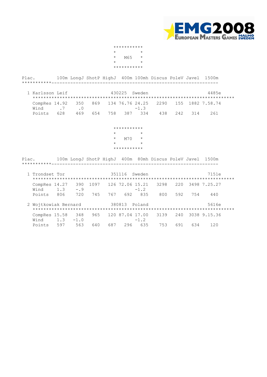

|            | *********** |            |
|------------|-------------|------------|
| $^{\star}$ |             | $^{\star}$ |
| $\star$    | M65         | $\star$    |
| $^{\star}$ |             | $^{\star}$ |
|            | *********** |            |

 Plac. 100m LongJ ShotP HighJ 400m 100mh Discus PoleV Javel 1500m \*\*\*\*\*\*\*\*\*\*\*-------------------------------------------------------------- 1 Karlsson Leif 430225 Sweden 4485e \*\*\*\*\*\*\*\*\*\*\*\*\*\*\*\*\*\*\*\*\*\*\*\*\*\*\*\*\*\*\*\*\*\*\*\*\*\*\*\*\*\*\*\*\*\*\*\*\*\*\*\*\*\*\*\*\*\*\*\*\*\*\*\*\*\*\*\*\*\*\*\*\*\*\*

| CompRes 14.92 350 869 134 76.76 24.25 2290 155 1882 7.58.74 |  |  |  |  |  |
|-------------------------------------------------------------|--|--|--|--|--|
| $Wind$ . $7$ . $0$ . $1.3$                                  |  |  |  |  |  |
| Points 628 469 654 758 387 334 438 242 314 261              |  |  |  |  |  |

## \*\*\*\*\*\*\*\*\*\*\*  $\star$   $\star$  \* M70 \*  $\star$   $\star$ \*\*\*\*\*\*\*\*\*\*\*

Plac. 100m LongJ ShotP HighJ 400m 80mh Discus PoleV Javel 1500m \*\*\*\*\*\*\*\*\*\*\*--------------------------------------------------------------

| 1 Trondset Tor        |     |               |      |     | 351116 | Sweden                    |      |     |     | 7151e        |  |
|-----------------------|-----|---------------|------|-----|--------|---------------------------|------|-----|-----|--------------|--|
| CompRes 14.27<br>Wind | 1.3 | 390<br>$-0.9$ | 1097 |     |        | 126 72.06 15.21<br>$-1.2$ | 3298 | 220 |     | 3498 7.25.27 |  |
| Points                | 806 | 720           | 745  | 767 | 692    | 835                       | 800  | 592 | 754 | 440          |  |
| 2 Wojtkowiak Bernard  |     |               |      |     | 380813 | Poland                    |      |     |     | 5616e        |  |
| CompRes 15.58<br>Wind | 1.3 | 348<br>$-1.0$ | 965  |     |        | 120 87.04 17.00<br>$-1.2$ | 3139 | 240 |     | 3038 9.15.36 |  |
| Points                | 597 | 563           | 640  | 687 | 296    | 635                       | 753  | 691 | 634 | 120          |  |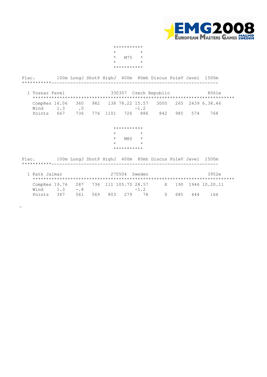

|         | *********** |            |
|---------|-------------|------------|
| $\star$ |             | $^{\star}$ |
| $\star$ | M75         | $^{\star}$ |
| $\star$ |             | $^{\star}$ |
|         | *********** |            |

 Plac. 100m LongJ ShotP HighJ 400m 80mh Discus PoleV Javel 1500m \*\*\*\*\*\*\*\*\*\*\*--------------------------------------------------------------

| 1 Tosnar Pavel |                |                      |  |        | 330307 Czech Republic                                       |         | 8061e |
|----------------|----------------|----------------------|--|--------|-------------------------------------------------------------|---------|-------|
| Wind           | 1 <sub>3</sub> | $\cap$               |  | $-1.2$ | CompRes 16.06 360 982 138 78.22 15.57 3000 265 2439 6.38.46 |         |       |
| Points         | 667            | 736 776 1101 726 886 |  |        | 842                                                         | 985 574 | 768.  |

### \*\*\*\*\*\*\*\*\*\*\*  $\star$   $\star$  \* M80 \*  $\star$   $\star$ \*\*\*\*\*\*\*\*\*\*\*

Plac. 100m LongJ ShotP HighJ 400m 80mh Discus PoleV Javel 1500m \*\*\*\*\*\*\*\*\*\*\*--------------------------------------------------------------

 $\overline{\phantom{0}}$ 

| 1 Katk Jalmar |     |       |     | 270504 | Sweden                                                     |           |     |     | 3952e |  |
|---------------|-----|-------|-----|--------|------------------------------------------------------------|-----------|-----|-----|-------|--|
|               |     |       |     |        | CompRes 19.76 287 736 111 105.70 28.57 X 190 1946 10.20.11 |           |     |     |       |  |
| Wind          | 1.3 | $-8$  |     |        | $-1$ 2                                                     |           |     |     |       |  |
| Points        | 367 | 561 - | 569 |        | 803 279 78                                                 | $\bigcap$ | 685 | 444 | 66    |  |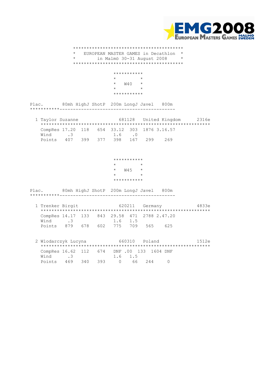

#### \*\*\*\*\*\*\*\*\*\*\*\*\*\*\*\*\*\*\*\*\*\*\*\*\*\*\*\*\*\*\*\*\*\*\*\*\*\*\*\*\* \* EUROPEAN MASTER GAMES in Decathlon \* in Malmö 30-31 August 2008 \*\*\*\*\*\*\*\*\*\*\*\*\*\*\*\*\*\*\*\*\*\*\*\*\*\*\*\*\*\*\*\*\*\*\*\*\*\*\*\*\*

 \*\*\*\*\*\*\*\*\*\*\*  $\star$   $\star$  $*$  W40  $*$  $\star$   $\star$ \*\*\*\*\*\*\*\*\*\*\*

Plac. 80mh HighJ ShotP 200m LongJ Javel 800m \*\*\*\*\*\*\*\*\*\*\*-------------------------------------------

| 1 Taylor Suzanne                             |               |  |                         |  | 681128 United Kingdom | 2316e |
|----------------------------------------------|---------------|--|-------------------------|--|-----------------------|-------|
|                                              |               |  |                         |  |                       |       |
| CompRes 17.20 118 654 33.12 303 1876 3.16.57 |               |  |                         |  |                       |       |
| Wind                                         | $\mathcal{A}$ |  | $1.6 \qquad 0$          |  |                       |       |
| Points                                       |               |  | 407 399 377 398 167 299 |  | 269                   |       |

 \*\*\*\*\*\*\*\*\*\*\*  $\star$  \* W45 \*  $\star$   $\star$ \*\*\*\*\*\*\*\*\*\*\*

Plac. 80mh HighJ ShotP 200m LongJ Javel 800m \*\*\*\*\*\*\*\*\*\*\*-------------------------------------------

| 1 Trenker Birgit                             |           |  |         | 620211 Germany |     | 4833e |
|----------------------------------------------|-----------|--|---------|----------------|-----|-------|
|                                              |           |  |         |                |     |       |
| CompRes 14.17 133 843 29.58 471 2788 2.47.20 |           |  |         |                |     |       |
| Wind                                         | $\cdot$ 3 |  | 1.6 1.5 |                |     |       |
| Points 879 678 602 775 709 565               |           |  |         |                | 625 |       |

 2 Wlodarczyk Lucyna 660310 Poland 1512e \*\*\*\*\*\*\*\*\*\*\*\*\*\*\*\*\*\*\*\*\*\*\*\*\*\*\*\*\*\*\*\*\*\*\*\*\*\*\*\*\*\*\*\*\*\*\*\*\*\*\*\*\*\*\*\*\*\*\*\*\*\*\* CompRes 16.62 112 674 DNF .00 133 1604 DNF Wind .3 1.6 1.5 Points 469 340 393 0 66 244 0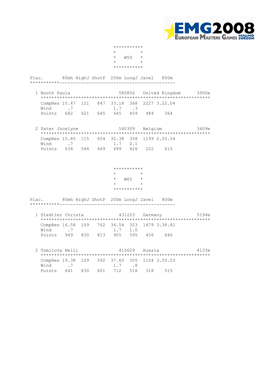

|            | *********** |            |
|------------|-------------|------------|
| $^{\star}$ |             | $^{\star}$ |
| $\star$    | <b>W50</b>  | $\star$    |
| $^{\star}$ |             | $^{\star}$ |
|            | *********** |            |

Plac. 80mh HighJ ShotP 200m LongJ Javel 800m \*\*\*\*\*\*\*\*\*\*\*-------------------------------------------

| 1 Booth Paula |                |  |                         |  | 580806 United Kingdom                        | 3900e |
|---------------|----------------|--|-------------------------|--|----------------------------------------------|-------|
|               | $Wind$ 7 1.7 3 |  |                         |  | CompRes 15.47 121 847 33.18 368 2227 3.22.04 |       |
| Points        |                |  | 682 621 645 645 459 484 |  | 364                                          |       |

|        | 2 Pater Jocelyne                             | 540309 Belgium |                         | 3609e |     |  |
|--------|----------------------------------------------|----------------|-------------------------|-------|-----|--|
|        |                                              |                |                         |       |     |  |
|        | CompRes 15.85 115 654 32.38 358 1199 2.55.34 |                |                         |       |     |  |
|        | Wind 7                                       |                | 1.7 2.1                 |       |     |  |
| Points |                                              |                | 634 544 469 699 426 222 |       | 615 |  |

 \*\*\*\*\*\*\*\*\*\*\*  $\star$   $\qquad$   $\star$  \* W65 \*  $\star$   $\star$ \*\*\*\*\*\*\*\*\*\*\*

Plac. 80mh HighJ ShotP 200m LongJ Javel 800m \*\*\*\*\*\*\*\*\*\*\*-------------------------------------------

| 1 Stedtler Christa                           |                         |  |  | 431223 Germany |  | 5194e |  |
|----------------------------------------------|-------------------------|--|--|----------------|--|-------|--|
|                                              |                         |  |  |                |  |       |  |
| CompRes 16.58 109 762 34.54 323 1479 3.38.81 |                         |  |  |                |  |       |  |
| Wind 7                                       |                         |  |  | $1.7$ $1.0$    |  |       |  |
| Points                                       | 949 830 813 905 595 456 |  |  |                |  | 646   |  |

 2 Tomilova Nelli 410629 Russia 4133e \*\*\*\*\*\*\*\*\*\*\*\*\*\*\*\*\*\*\*\*\*\*\*\*\*\*\*\*\*\*\*\*\*\*\*\*\*\*\*\*\*\*\*\*\*\*\*\*\*\*\*\*\*\*\*\*\*\*\*\*\*\*\* CompRes 19.38 109 592 37.60 305 1104 3.55.03<br>Wind 7 1 7 8 Wind .7 1.7 .8 Points 641 830 601 712 516 318 515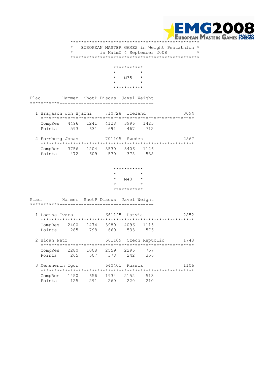

 \*\*\*\*\*\*\*\*\*\*\*\*\*\*\*\*\*\*\*\*\*\*\*\*\*\*\*\*\*\*\*\*\*\*\*\*\*\*\*\*\*\*\*\*\*\*\*\* \* EUROPEAN MASTER GAMES in Weight Pentathlon \* in Malmö 4 September 2008 \*\*\*\*\*\*\*\*\*\*\*\*\*\*\*\*\*\*\*\*\*\*\*\*\*\*\*\*\*\*\*\*\*\*\*\*\*\*\*\*\*\*\*\*\*\*\*\* \*\*\*\*\*\*\*\*\*\*\*<br>\*  $\star$   $\star$  \* M35 \*  $\star$   $\star$  \*\*\*\*\*\*\*\*\*\*\* Plac. Hammer ShotP Discus Javel Weight \*\*\*\*\*\*\*\*\*\*\*----------------------------------- 1 Bragason Jon Bjarni 710728 Iceland 3094 \*\*\*\*\*\*\*\*\*\*\*\*\*\*\*\*\*\*\*\*\*\*\*\*\*\*\*\*\*\*\*\*\*\*\*\*\*\*\*\*\*\*\*\*\*\*\*\*\*\*\*\*\*\*\*\*\* CompRes 4496 1241 4128 3996 1425 Points 593 631 691 467 712 2 Forsberg Jonas 701105 Sweden 2567 \*\*\*\*\*\*\*\*\*\*\*\*\*\*\*\*\*\*\*\*\*\*\*\*\*\*\*\*\*\*\*\*\*\*\*\*\*\*\*\*\*\*\*\*\*\*\*\*\*\*\*\*\*\*\*\*\* CompRes 3756 1204 3530 3406 1126 Points 472 609 570 378 538 \*\*\*\*\*\*\*\*\*\*\*  $\begin{array}{ccc}\n\star & & \star \\
\star & & \mathrm{M40} & \star\n\end{array}$  \* M40 \*  $\star$   $\star$  \*\*\*\*\*\*\*\*\*\*\* Plac. Hammer ShotP Discus Javel Weight \*\*\*\*\*\*\*\*\*\*\*----------------------------------- 1 Logins Ivars 661125 Latvia 2852 \*\*\*\*\*\*\*\*\*\*\*\*\*\*\*\*\*\*\*\*\*\*\*\*\*\*\*\*\*\*\*\*\*\*\*\*\*\*\*\*\*\*\*\*\*\*\*\*\*\*\*\*\*\*\*\*\* CompRes 2400 1474 3980 4096 1115 Points 285 798 660 533 576 2 Bican Petr 661109 Czech Republic 1748 \*\*\*\*\*\*\*\*\*\*\*\*\*\*\*\*\*\*\*\*\*\*\*\*\*\*\*\*\*\*\*\*\*\*\*\*\*\*\*\*\*\*\*\*\*\*\*\*\*\*\*\*\*\*\*\*\* CompRes 2280 1008 2559 2296 757 Points 265 507 378 242 356 3 Menshenin Igor 640401 Russia 1106 \*\*\*\*\*\*\*\*\*\*\*\*\*\*\*\*\*\*\*\*\*\*\*\*\*\*\*\*\*\*\*\*\*\*\*\*\*\*\*\*\*\*\*\*\*\*\*\*\*\*\*\*\*\*\*\*\* CompRes 1450 656 1934 2152 513 Points 125 291 260 220 210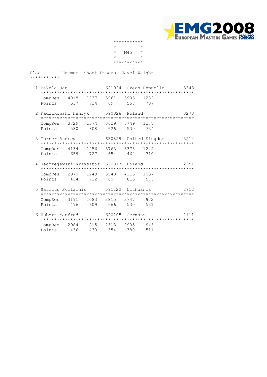

|         | *********** |            |
|---------|-------------|------------|
| $\star$ |             | $^{\star}$ |
| $\star$ | M45         | $^\star$   |
| $\star$ |             | $^{\star}$ |
|         | *********** |            |

| 1 Bakala Jan |                                  |     |     |     | 621024 Czech Republic | 3343 |
|--------------|----------------------------------|-----|-----|-----|-----------------------|------|
|              |                                  |     |     |     |                       |      |
|              | CompRes 4018 1237 3961 3903 1282 |     |     |     |                       |      |
| Points       | 637                              | 714 | 697 | 558 | 737                   |      |

- 2 Radzikowski Henryk 590328 Poland 3278 \*\*\*\*\*\*\*\*\*\*\*\*\*\*\*\*\*\*\*\*\*\*\*\*\*\*\*\*\*\*\*\*\*\*\*\*\*\*\*\*\*\*\*\*\*\*\*\*\*\*\*\*\*\*\*\*\* CompRes 3729 1374 3629 3749 1278 Points 580 808 626 530 734
	- 3 Turner Andrew 630829 United Kingdom 3214 \*\*\*\*\*\*\*\*\*\*\*\*\*\*\*\*\*\*\*\*\*\*\*\*\*\*\*\*\*\*\*\*\*\*\*\*\*\*\*\*\*\*\*\*\*\*\*\*\*\*\*\*\*\*\*\*\* CompRes 4134 1256 3763 3378 1242 Points 659 727 654 464 710
	- 4 Jedrzejewski Krzysztof 630817 Poland 2951 \*\*\*\*\*\*\*\*\*\*\*\*\*\*\*\*\*\*\*\*\*\*\*\*\*\*\*\*\*\*\*\*\*\*\*\*\*\*\*\*\*\*\*\*\*\*\*\*\*\*\*\*\*\*\*\*\* CompRes 2970 1249 3540 4215 1037 Points 434 722 607 615 573
	- 5 Saulius Svilainis 591122 Lithuania 2812 \*\*\*\*\*\*\*\*\*\*\*\*\*\*\*\*\*\*\*\*\*\*\*\*\*\*\*\*\*\*\*\*\*\*\*\*\*\*\*\*\*\*\*\*\*\*\*\*\*\*\*\*\*\*\*\*\* CompRes 3191 1083 3815 3747 972 Points 476 609 666 530 531
- 6 Hubert Manfred 620205 Germany 2111 \*\*\*\*\*\*\*\*\*\*\*\*\*\*\*\*\*\*\*\*\*\*\*\*\*\*\*\*\*\*\*\*\*\*\*\*\*\*\*\*\*\*\*\*\*\*\*\*\*\*\*\*\*\*\*\*\* CompRes 2984 815 2318 2905 943 Points 436 430 354 380 511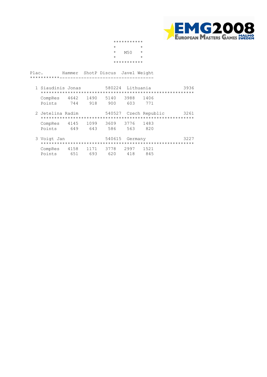

|         | *********** |            |
|---------|-------------|------------|
| $\star$ |             | $^{\star}$ |
| $\star$ | M50         | $^{\star}$ |
| $\star$ |             | $^{\star}$ |
|         | *********** |            |

| 1 Siaudinis Jonas           |     |     |     |     | 580224 Lithuania | 3936 |
|-----------------------------|-----|-----|-----|-----|------------------|------|
|                             |     |     |     |     |                  |      |
| CompRes 4642 1490 5140 3988 |     |     |     |     | 1406             |      |
| Points                      | 744 | 918 | 900 | 603 | 771              |      |
|                             |     |     |     |     |                  |      |

 2 Jetelina Radim 540527 Czech Republic 3261 \*\*\*\*\*\*\*\*\*\*\*\*\*\*\*\*\*\*\*\*\*\*\*\*\*\*\*\*\*\*\*\*\*\*\*\*\*\*\*\*\*\*\*\*\*\*\*\*\*\*\*\*\*\*\*\*\* CompRes 4145 1099 3609 3776 1483 Points 649 643 586 563 820

| 3 Voigt Jan |                                         |     | 540615 Germany |     |     | 3227 |
|-------------|-----------------------------------------|-----|----------------|-----|-----|------|
| Points      | CompRes 4158 1171 3778 2997 1521<br>651 | 693 | 620            | 418 | 845 |      |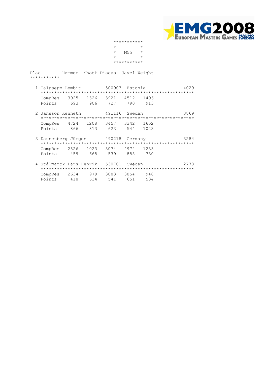

|            | *********** |            |  |
|------------|-------------|------------|--|
| $^{\star}$ |             | $^{\star}$ |  |
| $\star$    | M55         | $\star$    |  |
| $\star$    |             | $^{\star}$ |  |
|            | *********** |            |  |

| 1 Talpsepp Lembit                |     |      | 500903 Estonia |      |     | 4029 |
|----------------------------------|-----|------|----------------|------|-----|------|
|                                  |     |      |                |      |     |      |
| CompRes 3925 1326 3921 4512 1496 |     |      |                |      |     |      |
| Points                           | 693 | 906. | 727            | 790. | 913 |      |

| 2 Jansson Kenneth |         | 491116 Sweden                    |          | 3869 |
|-------------------|---------|----------------------------------|----------|------|
|                   |         |                                  |          |      |
|                   |         | CompRes 4724 1208 3457 3342 1652 |          |      |
| Points            | 866 813 | 623.                             | 544 1023 |      |

| 3 Dannenberg Jürgen                        |     |       | 490218 Germany |     |     | 3284 |
|--------------------------------------------|-----|-------|----------------|-----|-----|------|
| CompRes 2826 1023 3074 4974 1233<br>Points | 459 | 668 - | 539            | 888 | 730 |      |

| 4 Stålmarck Lars-Henrik 530701 Sweden |     |     |     |     | 2778 |
|---------------------------------------|-----|-----|-----|-----|------|
|                                       |     |     |     |     |      |
| CompRes 2634 979 3083 3854            |     |     |     |     | 948  |
| Points                                | 418 | 634 | 541 | 651 | 534  |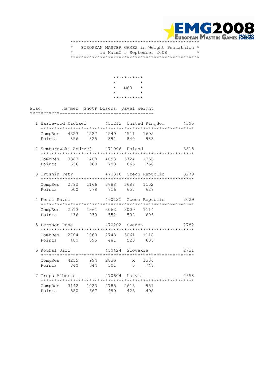

 \* EUROPEAN MASTER GAMES in Weight Pentathlon \* \* in Malmö 5 September 2008 \* \*\*\*\*\*\*\*\*\*\*\*\*\*\*\*\*\*\*\*\*\*\*\*\*\*\*\*\*\*\*\*\*\*\*\*\*\*\*\*\*\*\*\*\*\*\*\*\*

|       |                                                                |                                  | $\star$          | ***********<br>$M60$ * |                            |      |
|-------|----------------------------------------------------------------|----------------------------------|------------------|------------------------|----------------------------|------|
|       |                                                                |                                  | $\star$          | ***********            | $\star$                    |      |
| Plac. |                                                                | Hammer ShotP Discus Javel Weight |                  |                        |                            |      |
|       | 1 Hazlewood Michael                                            |                                  |                  |                        | 451212 United Kingdom 4395 |      |
|       | CompRes 4323 1227 4540 4511 1695<br>Points 856 825 891 840 983 |                                  |                  |                        |                            |      |
|       | 2 Semborowski Andrzej 471006 Poland                            |                                  |                  |                        |                            | 3815 |
|       | CompRes 3383 1408 4098 3724 1353<br>Points 636 968 788 665 758 |                                  |                  |                        |                            |      |
|       | 3 Trusnik Petr                                                 |                                  |                  |                        | 470316 Czech Republic 3279 |      |
|       | CompRes 2792 1166 3788 3688 1152<br>Points 500 778 716 657 628 |                                  |                  |                        |                            |      |
|       | 4 Fencl Pavel                                                  |                                  |                  |                        | 460121 Czech Republic 3029 |      |
|       | CompRes 2513 1361 3063 3009 1114<br>Points 436 930 552 508 603 |                                  |                  |                        |                            |      |
|       | 5 Persson Rune 470202 Sweden                                   |                                  |                  |                        |                            | 2782 |
|       | CompRes 2704 1060 2748 3061 1118<br>Points 480 695 481 520 606 |                                  |                  |                        |                            |      |
|       | 6 Koukal Jiri                                                  |                                  |                  | 450424 Slovakia        |                            | 2731 |
|       | CompRes 4255 994 2836 X 1334<br>Points 840 644 501 0 746       |                                  |                  |                        |                            |      |
|       | 7 Trops Alberts 470604 Latvia                                  |                                  |                  |                        |                            | 2658 |
|       | CompRes<br>3142<br>Points<br>580                               | 1023<br>667                      | 2785 2613<br>490 | 423                    | 951<br>498                 |      |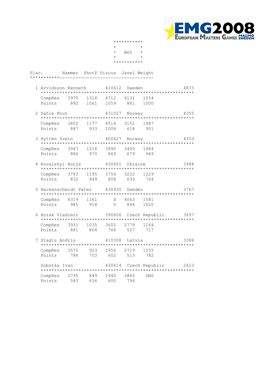

|            | *********** |            |  |
|------------|-------------|------------|--|
| $^{\star}$ |             | $^{\star}$ |  |
| $\star$    | M65         | $\star$    |  |
| $\star$    |             | $^{\star}$ |  |
|            | *********** |            |  |

| 1 Arvidsson Kenneth              |               | 410612 Sweden |     |      | 4873 |
|----------------------------------|---------------|---------------|-----|------|------|
|                                  |               |               |     |      |      |
| CompRes 3970 1318 4712 4131 1554 |               |               |     |      |      |
| Points                           | 892 1061 1059 |               | 861 | 1000 |      |

- 2 Dahle Knut 431027 Norway 4355 \*\*\*\*\*\*\*\*\*\*\*\*\*\*\*\*\*\*\*\*\*\*\*\*\*\*\*\*\*\*\*\*\*\*\*\*\*\*\*\*\*\*\*\*\*\*\*\*\*\*\*\*\*\*\*\*\* CompRes 3802 1177 4514 3152 1487 Points 847 933 1006 618 951
	- 3 Hytten Svein 400427 Norway 4353 \*\*\*\*\*\*\*\*\*\*\*\*\*\*\*\*\*\*\*\*\*\*\*\*\*\*\*\*\*\*\*\*\*\*\*\*\*\*\*\*\*\*\*\*\*\*\*\*\*\*\*\*\*\*\*\*\* CompRes 3947 1218 3990 3400 1484 Points 886 970 869 679 949
	- 4 Kovalskyi Borys 430601 Ukraine 3988 \*\*\*\*\*\*\*\*\*\*\*\*\*\*\*\*\*\*\*\*\*\*\*\*\*\*\*\*\*\*\*\*\*\*\*\*\*\*\*\*\*\*\*\*\*\*\*\*\*\*\*\*\*\*\*\*\* CompRes 3743 1195 3756 3222 1229 Points 832 949 808 635 764
- 5 Hackenschmidt Peter 430930 Sweden 3767 \*\*\*\*\*\*\*\*\*\*\*\*\*\*\*\*\*\*\*\*\*\*\*\*\*\*\*\*\*\*\*\*\*\*\*\*\*\*\*\*\*\*\*\*\*\*\*\*\*\*\*\*\*\*\*\*\* CompRes 4319 1161 X 4063 1581 Points 985 918 0 844 1020
	- 6 Horak Vladimir 390606 Czech Republic 3697 \*\*\*\*\*\*\*\*\*\*\*\*\*\*\*\*\*\*\*\*\*\*\*\*\*\*\*\*\*\*\*\*\*\*\*\*\*\*\*\*\*\*\*\*\*\*\*\*\*\*\*\*\*\*\*\*\* CompRes 3931 1035 3602 2779 1164 Points 881 804 768 527 717

| 7 Stagis Andris   |             |            | 410308      | Latvia      |                       | 3386 |
|-------------------|-------------|------------|-------------|-------------|-----------------------|------|
| CompRes           | 3570        | 923        | 2950        | 2719        | 1255                  |      |
| Points            | 786         | 703        | 602         | 513         | 782                   |      |
| Sobotka Ivan      |             |            |             |             | 430614 Czech Republic | 2613 |
| CompRes<br>Points | 2795<br>583 | 849<br>636 | 2940<br>600 | 3865<br>794 | <b>DNS</b>            |      |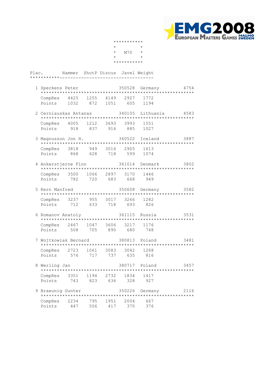

|            | *********** |            |  |
|------------|-------------|------------|--|
| $^{\star}$ |             | $^{\star}$ |  |
| $\star$    | M70         | $^{\star}$ |  |
| $\star$    |             | $^{\star}$ |  |
|            | *********** |            |  |

| 1 Speckens Peter                 |               | 350528 Germany |          | 4754 |
|----------------------------------|---------------|----------------|----------|------|
|                                  |               |                |          |      |
| CompRes 4425 1255 4149 2927 1772 |               |                |          |      |
| Points                           | 1032 872 1051 |                | 605 1194 |      |

- 2 Cerniauskas Antanas 340105 Lithuania 4583 \*\*\*\*\*\*\*\*\*\*\*\*\*\*\*\*\*\*\*\*\*\*\*\*\*\*\*\*\*\*\*\*\*\*\*\*\*\*\*\*\*\*\*\*\*\*\*\*\*\*\*\*\*\*\*\*\* CompRes 4005 1212 3693 3993 1551 Points 918 837 916 885 1027
- 3 Magnusson Jon H. 360522 Iceland 3887 \*\*\*\*\*\*\*\*\*\*\*\*\*\*\*\*\*\*\*\*\*\*\*\*\*\*\*\*\*\*\*\*\*\*\*\*\*\*\*\*\*\*\*\*\*\*\*\*\*\*\*\*\*\*\*\*\* CompRes 3818 949 3016 2905 1613 Points 868 628 718 599 1074
	- 4 Ankerstjerne Finn 361014 Denmark 3802 \*\*\*\*\*\*\*\*\*\*\*\*\*\*\*\*\*\*\*\*\*\*\*\*\*\*\*\*\*\*\*\*\*\*\*\*\*\*\*\*\*\*\*\*\*\*\*\*\*\*\*\*\*\*\*\*\* CompRes 3500 1066 2897 3170 1446 Points 782 720 683 668 949
- 5 Kern Manfred 350608 Germany 3582 \*\*\*\*\*\*\*\*\*\*\*\*\*\*\*\*\*\*\*\*\*\*\*\*\*\*\*\*\*\*\*\*\*\*\*\*\*\*\*\*\*\*\*\*\*\*\*\*\*\*\*\*\*\*\*\*\* CompRes 3237 955 3017 3266 1282 Points 712 633 718 693 826
	- 6 Romanov Anatoly 361115 Russia 3531 \*\*\*\*\*\*\*\*\*\*\*\*\*\*\*\*\*\*\*\*\*\*\*\*\*\*\*\*\*\*\*\*\*\*\*\*\*\*\*\*\*\*\*\*\*\*\*\*\*\*\*\*\*\*\*\*\* CompRes 2467 1047 3606 3217 1176 Points 508 705 890 680 748
- 7 Wojtkowiak Bernard 380813 Poland 3481 \*\*\*\*\*\*\*\*\*\*\*\*\*\*\*\*\*\*\*\*\*\*\*\*\*\*\*\*\*\*\*\*\*\*\*\*\*\*\*\*\*\*\*\*\*\*\*\*\*\*\*\*\*\*\*\*\* CompRes 2723 1061 3083 3042 1268 Points 576 717 737 635 816
- 8 Werling Jan 380717 Poland 3457 \*\*\*\*\*\*\*\*\*\*\*\*\*\*\*\*\*\*\*\*\*\*\*\*\*\*\*\*\*\*\*\*\*\*\*\*\*\*\*\*\*\*\*\*\*\*\*\*\*\*\*\*\*\*\*\*\* CompRes 3351 1194 2732 1834 1417 Points 743 823 636 328 927

| 9 Braeunig Gunter      |     |       |                 |             | 350226 Germany | 2116 |
|------------------------|-----|-------|-----------------|-------------|----------------|------|
| CompRes 2234<br>Points | 447 | 506 - | 795 1951<br>417 | 2004<br>370 | 667<br>376     |      |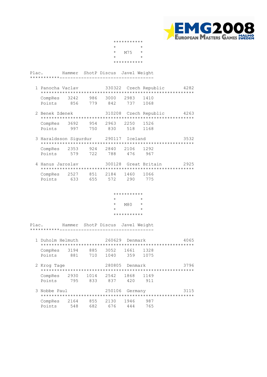

|         | *********** |            |  |
|---------|-------------|------------|--|
| $\star$ |             | $^{\star}$ |  |
| $\star$ | M75         | $\star$    |  |
| $\star$ |             | $^{\star}$ |  |
|         | *********** |            |  |

- 1 Panocha Vaclav 330322 Czech Republic 4282 \*\*\*\*\*\*\*\*\*\*\*\*\*\*\*\*\*\*\*\*\*\*\*\*\*\*\*\*\*\*\*\*\*\*\*\*\*\*\*\*\*\*\*\*\*\*\*\*\*\*\*\*\*\*\*\*\* CompRes 3242 986 3000 2983 1410 Points 856 779 842 737 1068
- 2 Benek Zdenek 310208 Czech Republic 4263 \*\*\*\*\*\*\*\*\*\*\*\*\*\*\*\*\*\*\*\*\*\*\*\*\*\*\*\*\*\*\*\*\*\*\*\*\*\*\*\*\*\*\*\*\*\*\*\*\*\*\*\*\*\*\*\*\* CompRes 3692 954 2963 2250 1526 Points 997 750 830 518 1168
	- 3 Haraldsson Sigurdur 290117 Iceland 3532 \*\*\*\*\*\*\*\*\*\*\*\*\*\*\*\*\*\*\*\*\*\*\*\*\*\*\*\*\*\*\*\*\*\*\*\*\*\*\*\*\*\*\*\*\*\*\*\*\*\*\*\*\*\*\*\*\* CompRes 2353 924 2840 2106 1292 Points 579 722 788 476 967
- 4 Hanus Jaroslav 300128 Great Britain 2925 \*\*\*\*\*\*\*\*\*\*\*\*\*\*\*\*\*\*\*\*\*\*\*\*\*\*\*\*\*\*\*\*\*\*\*\*\*\*\*\*\*\*\*\*\*\*\*\*\*\*\*\*\*\*\*\*\* CompRes 2527 851 2184 1460 1066 Points 633 655 572 290 775

#### \*\*\*\*\*\*\*\*\*\*\*<br>\*  $\star$   $\star$  $*$  M80  $*$  $\star$   $\star$ \*\*\*\*\*\*\*\*\*\*\*

| 1 Duholm Helmuth  |             |             | 260629       | Denmark     | 4065         |      |
|-------------------|-------------|-------------|--------------|-------------|--------------|------|
| CompRes<br>Points | 3194<br>881 | 885<br>710  | 3052<br>1040 | 1661<br>359 | 1328<br>1075 |      |
| 2 Krog Tage       |             |             | 280805       | Denmark     |              | 3796 |
| CompRes<br>Points | 2930<br>795 | 1014<br>833 | 2542<br>837  | 1868<br>420 | 1149<br>911  |      |
| 3 Nobbe Paul      |             |             | 250106       | Germany     |              | 3115 |
| CompRes<br>Points | 2164<br>548 | 855<br>682  | 2130<br>676  | 1946<br>444 | 987<br>765   |      |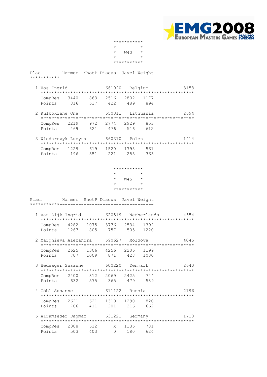

|            | *********** |            |  |
|------------|-------------|------------|--|
| $^{\star}$ |             | $^{\star}$ |  |
| $\star$    | W40         | $^\star$   |  |
| $\star$    |             | $^{\star}$ |  |
|            | *********** |            |  |

| 1 Vos Ingrid |     |     |                    | 661020 Belgium |     | 3158 |  |
|--------------|-----|-----|--------------------|----------------|-----|------|--|
|              |     |     |                    |                |     |      |  |
| CompRes 3440 |     |     | 863 2516 2802 1177 |                |     |      |  |
| Points       | 816 | 537 | 422                | 489            | 894 |      |  |

- 2 Kulbokiene Ona 650311 Lithuania 2694 \*\*\*\*\*\*\*\*\*\*\*\*\*\*\*\*\*\*\*\*\*\*\*\*\*\*\*\*\*\*\*\*\*\*\*\*\*\*\*\*\*\*\*\*\*\*\*\*\*\*\*\*\*\*\*\*\* CompRes 2219 972 2774 2929 853 Points 469 621 476 516 612
	- 3 Wlodarczyk Lucyna 660310 Polen 1414 \*\*\*\*\*\*\*\*\*\*\*\*\*\*\*\*\*\*\*\*\*\*\*\*\*\*\*\*\*\*\*\*\*\*\*\*\*\*\*\*\*\*\*\*\*\*\*\*\*\*\*\*\*\*\*\*\* CompRes 1229 619 1520 1798 561<br>Points 196 351 221 283 363 Points 196 351 221 283

 \*\*\*\*\*\*\*\*\*\*\*  $\begin{array}{ccc}\n\star & & \star \\
\star & & \mathrm{M45} & \star\n\end{array}$  $W45$  \*  $\star$   $\star$ \*\*\*\*\*\*\*\*\*\*\*

- 1 van Dijk Ingrid 620519 Netherlands 4554 \*\*\*\*\*\*\*\*\*\*\*\*\*\*\*\*\*\*\*\*\*\*\*\*\*\*\*\*\*\*\*\*\*\*\*\*\*\*\*\*\*\*\*\*\*\*\*\*\*\*\*\*\*\*\*\*\* CompRes 4282 1075 3776 2534 1392 Points 1267 805 757 505 1220
- 2 Marghieva Alexandra 590627 Moldova 4045 \*\*\*\*\*\*\*\*\*\*\*\*\*\*\*\*\*\*\*\*\*\*\*\*\*\*\*\*\*\*\*\*\*\*\*\*\*\*\*\*\*\*\*\*\*\*\*\*\*\*\*\*\*\*\*\*\* CompRes 2625 1306 4256 2206 1199 Points 707 1009 871 428 1030
- 3 Hedeager Susanne 600220 Denmark 2640 \*\*\*\*\*\*\*\*\*\*\*\*\*\*\*\*\*\*\*\*\*\*\*\*\*\*\*\*\*\*\*\*\*\*\*\*\*\*\*\*\*\*\*\*\*\*\*\*\*\*\*\*\*\*\*\*\* CompRes 2400 812 2069 2425 744 Points 632 575 365 479 589
- 4 Göbl Susanne 611122 Russia 2196 \*\*\*\*\*\*\*\*\*\*\*\*\*\*\*\*\*\*\*\*\*\*\*\*\*\*\*\*\*\*\*\*\*\*\*\*\*\*\*\*\*\*\*\*\*\*\*\*\*\*\*\*\*\*\*\*\* CompRes 2621 621 1310 1290 820 Points 706 411 201 216 662 5 Alramseder Dagmar 631221 Germany 1710
- \*\*\*\*\*\*\*\*\*\*\*\*\*\*\*\*\*\*\*\*\*\*\*\*\*\*\*\*\*\*\*\*\*\*\*\*\*\*\*\*\*\*\*\*\*\*\*\*\*\*\*\*\*\*\*\*\* CompRes 2008 612 X 1135 781 Points 503 403 0 180 624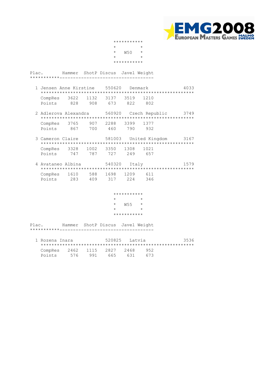

|         | *********** |            |  |
|---------|-------------|------------|--|
| $\star$ |             | $^{\star}$ |  |
| $\star$ | <b>W50</b>  | $\star$    |  |
| $\star$ |             | $^{\star}$ |  |
|         | *********** |            |  |

- 1 Jensen Anne Kirstine 550620 Denmark 4033 \*\*\*\*\*\*\*\*\*\*\*\*\*\*\*\*\*\*\*\*\*\*\*\*\*\*\*\*\*\*\*\*\*\*\*\*\*\*\*\*\*\*\*\*\*\*\*\*\*\*\*\*\*\*\*\*\* CompRes 3622 1132 3137 3519 1210 Points 828 908 673 822 802
- 2 Adlerova Alexandra 560920 Czech Republic 3749 \*\*\*\*\*\*\*\*\*\*\*\*\*\*\*\*\*\*\*\*\*\*\*\*\*\*\*\*\*\*\*\*\*\*\*\*\*\*\*\*\*\*\*\*\*\*\*\*\*\*\*\*\*\*\*\*\* CompRes 3765 907 2288 3399 1377 Points 867 700 460 790 932
	- 3 Cameron Claire 581003 United Kingdom 3167 \*\*\*\*\*\*\*\*\*\*\*\*\*\*\*\*\*\*\*\*\*\*\*\*\*\*\*\*\*\*\*\*\*\*\*\*\*\*\*\*\*\*\*\*\*\*\*\*\*\*\*\*\*\*\*\*\* CompRes 3328 1002 3350 1308 1021 Points 747 787 727 249 657
- 4 Avataneo Albina 540320 Italy 1579 \*\*\*\*\*\*\*\*\*\*\*\*\*\*\*\*\*\*\*\*\*\*\*\*\*\*\*\*\*\*\*\*\*\*\*\*\*\*\*\*\*\*\*\*\*\*\*\*\*\*\*\*\*\*\*\*\* CompRes 1610 588 1698 1209 611 Points 283 409 317 224 346

#### \*\*\*\*\*\*\*\*\*\*\*  $\star$   $\star$  $*$  W55  $*$  $\star$   $\star$ \*\*\*\*\*\*\*\*\*\*\*

| 1 Rozena Inara | 520825 Latvia               |     |     | 3536 |     |  |
|----------------|-----------------------------|-----|-----|------|-----|--|
|                |                             |     |     |      |     |  |
|                | CompRes 2462 1115 2827 2468 |     |     |      | 952 |  |
| Points         | 576                         | 991 | 665 | 631  | 673 |  |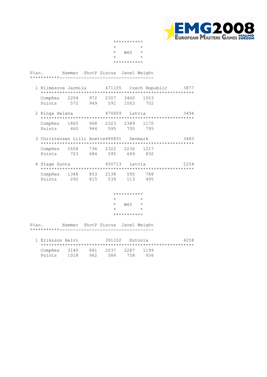

|                          |                |                                          |     |                  | *********** |         |                                                    |      |
|--------------------------|----------------|------------------------------------------|-----|------------------|-------------|---------|----------------------------------------------------|------|
|                          |                |                                          |     |                  |             |         |                                                    |      |
|                          |                |                                          |     | $\star$          | W60         |         |                                                    |      |
|                          |                |                                          |     |                  |             | $\star$ |                                                    |      |
|                          |                |                                          |     |                  | *********** |         |                                                    |      |
| Plac.                    |                | Hammer ShotP Discus Javel Weight         |     |                  |             |         |                                                    |      |
| ***********___.          |                |                                          |     |                  |             |         |                                                    |      |
|                          |                |                                          |     |                  |             |         | 1 Klimesova Jarmila (471105) Czech Republic (3877) |      |
|                          |                | CompRes 2204 972 2307 3460               |     |                  |             | 1053    |                                                    |      |
|                          | Points         |                                          |     | 572 949 591 1063 |             | 702     |                                                    |      |
|                          | 2 Ringa Helena |                                          |     | 470609           |             | Latvia  |                                                    | 3494 |
|                          |                | CompRes 1865 968 2323 2389               |     |                  |             | 1170    |                                                    |      |
|                          |                | Points 460 944 595 700 795               |     |                  |             |         |                                                    |      |
|                          |                | 3 Christensen Lilli Anette480831 Denmark |     |                  |             |         |                                                    | 3483 |
|                          |                | CompRes 2658 736 2322 2236               |     |                  |             | 1217    |                                                    |      |
|                          |                | Points 723 684 595 649 832               |     |                  |             |         |                                                    |      |
|                          | 4 Stage Gunta  |                                          |     | 450713 Latvia    |             |         |                                                    | 2254 |
|                          |                | CompRes 1348 853 2138 595                |     |                  |             | 788     |                                                    |      |
|                          | Points         | 292                                      | 815 | 539 113          |             | 495     |                                                    |      |
|                          |                |                                          |     |                  | *********** |         |                                                    |      |
|                          |                |                                          |     |                  |             |         |                                                    |      |
|                          |                |                                          |     | $\star$          | $W65$ *     |         |                                                    |      |
|                          |                |                                          |     | $\star$          |             | $\star$ |                                                    |      |
|                          |                |                                          |     |                  | *********** |         |                                                    |      |
| Plac.<br>***********____ |                | Hammer ShotP Discus Javel Weight         |     |                  |             |         |                                                    |      |
|                          |                |                                          |     |                  |             |         |                                                    |      |
|                          |                | 1 Eriksson Helvi                         |     | 391102           |             | Estonia |                                                    | 4258 |
|                          | CompRes        | 3140                                     |     | 881 2037         | 2287        | 1199    |                                                    |      |
|                          | Points         | 1018                                     | 962 | 584              | 758         | 936     |                                                    |      |